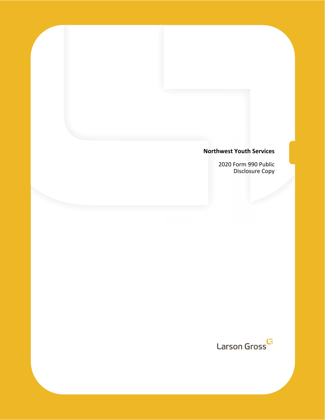## **Northwest Youth Services**

2020 Form 990 Public Disclosure Copy

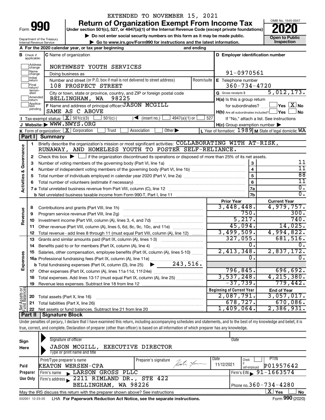## EXTENDED TO NOVEMBER 15, 2021

**990** Return of Organization Exempt From Income Tax <br>
Under section 501(c), 527, or 4947(a)(1) of the Internal Revenue Code (except private foundations)<br> **PO20** 

**▶ Do not enter social security numbers on this form as it may be made public. Open to Public**<br>
inspection instructions and the latest information. Inspection **| Go to www.irs.gov/Form990 for instructions and the latest information. Inspection**



Department of the Treasury Internal Revenue Service **A For the 2020 calendar year, or tax year beginning and ending**

|                         |                               | r are 2020 calendar year, or tax year beginning                                                                                                                            | ana chams  |                                                         |                                                             |
|-------------------------|-------------------------------|----------------------------------------------------------------------------------------------------------------------------------------------------------------------------|------------|---------------------------------------------------------|-------------------------------------------------------------|
|                         | <b>B</b> Check if applicable: | C Name of organization                                                                                                                                                     |            | D Employer identification number                        |                                                             |
|                         | Address<br>change             | NORTHWEST YOUTH SERVICES                                                                                                                                                   |            |                                                         |                                                             |
|                         | Name<br>change                | Doing business as                                                                                                                                                          |            | 91-0970561                                              |                                                             |
|                         | Initial<br>return             | Number and street (or P.O. box if mail is not delivered to street address)                                                                                                 | Room/suite | E Telephone number                                      |                                                             |
|                         | Final<br>return/              | 108 PROSPECT STREET                                                                                                                                                        |            | $360 - 734 - 4720$                                      |                                                             |
|                         | termin-<br>ated               | City or town, state or province, country, and ZIP or foreign postal code                                                                                                   |            | G Gross receipts \$                                     | 5,012,173.                                                  |
|                         | Amended<br>return             | 98225<br>BELLINGHAM, WA                                                                                                                                                    |            | H(a) Is this a group return                             |                                                             |
|                         | Applica-<br>tion              | F Name and address of principal officer: JASON MCGILL                                                                                                                      |            | for subordinates?                                       | $\Box$ Yes $\Box X$ No                                      |
|                         | pending                       | SAME AS C ABOVE                                                                                                                                                            |            | $H(b)$ Are all subordinates included? $\Box$ Yes $\Box$ | $\Box$ No                                                   |
|                         |                               | <b>I</b> Tax-exempt status: $X$ 501(c)(3)<br>$501(c)$ (<br>$\sqrt{\bullet}$ (insert no.)<br>$4947(a)(1)$ or                                                                | 527        |                                                         | If "No," attach a list. See instructions                    |
|                         |                               | J Website: WWW.NWYS.ORG                                                                                                                                                    |            | $H(c)$ Group exemption number $\blacktriangleright$     |                                                             |
|                         |                               | <b>K</b> Form of organization: $\boxed{\mathbf{X}}$ Corporation<br>Other $\blacktriangleright$<br>Trust<br>Association                                                     |            |                                                         | L Year of formation: $1989$ M State of legal domicile: $WA$ |
|                         | Part I                        | <b>Summary</b>                                                                                                                                                             |            |                                                         |                                                             |
|                         | $\mathbf{1}$                  | Briefly describe the organization's mission or most significant activities: COLLABORATING WITH AT-RISK,                                                                    |            |                                                         |                                                             |
|                         |                               | RUNAWAY, AND HOMELESS YOUTH TO FOSTER SELF-RELIANCE.                                                                                                                       |            |                                                         |                                                             |
|                         | 2                             | Check this box $\blacktriangleright$ $\Box$ if the organization discontinued its operations or disposed of more than 25% of its net assets.                                |            |                                                         |                                                             |
|                         | З                             | Number of voting members of the governing body (Part VI, line 1a)                                                                                                          |            | $\boldsymbol{3}$                                        | 11                                                          |
|                         | 4                             |                                                                                                                                                                            |            | $\overline{\mathbf{4}}$                                 | $\overline{11}$                                             |
|                         | 5                             |                                                                                                                                                                            |            | $\overline{5}$                                          | 88                                                          |
|                         | 6                             | Total number of volunteers (estimate if necessary)                                                                                                                         |            | $6\phantom{a}$                                          | 11                                                          |
| Activities & Governance |                               |                                                                                                                                                                            |            | <b>7a</b>                                               | $\overline{0}$ .                                            |
|                         |                               |                                                                                                                                                                            |            | 7b                                                      | $\overline{0}$ .                                            |
|                         |                               |                                                                                                                                                                            |            | <b>Prior Year</b>                                       | <b>Current Year</b>                                         |
|                         | 8                             |                                                                                                                                                                            |            | 3,448,448.                                              | 4,979,757.                                                  |
|                         | 9                             | Program service revenue (Part VIII, line 2g)                                                                                                                               |            | 750.                                                    | 300.                                                        |
| Revenue                 | 10                            |                                                                                                                                                                            |            | 5,217.                                                  | 740.                                                        |
|                         | 11                            | Other revenue (Part VIII, column (A), lines 5, 6d, 8c, 9c, 10c, and 11e)                                                                                                   |            | 45,094.                                                 | 14,025.                                                     |
|                         | 12                            | Total revenue - add lines 8 through 11 (must equal Part VIII, column (A), line 12)                                                                                         |            | 3,499,509.                                              | 4,994,822.                                                  |
|                         | 13                            | Grants and similar amounts paid (Part IX, column (A), lines 1-3)                                                                                                           |            | 327,055.                                                | 681,516.                                                    |
|                         | 14                            | Benefits paid to or for members (Part IX, column (A), line 4)                                                                                                              |            | Ο.                                                      | 0.                                                          |
|                         | 15                            | Salaries, other compensation, employee benefits (Part IX, column (A), lines 5-10)                                                                                          |            | 2,413,348.                                              | 2,837,172.                                                  |
| Expenses                |                               |                                                                                                                                                                            |            | $\overline{0}$ .                                        | 0.                                                          |
|                         |                               |                                                                                                                                                                            |            |                                                         |                                                             |
|                         |                               |                                                                                                                                                                            |            | 796,845.                                                | 696,692.                                                    |
|                         | 18                            | Total expenses. Add lines 13-17 (must equal Part IX, column (A), line 25)                                                                                                  |            | 3,537,248.                                              | 4, 215, 380.                                                |
|                         | 19                            |                                                                                                                                                                            |            | $-37,739.$                                              | 779,442.                                                    |
|                         |                               |                                                                                                                                                                            |            | <b>Beginning of Current Year</b>                        | <b>End of Year</b>                                          |
| Net Assets or           |                               |                                                                                                                                                                            |            | 2,087,791.                                              | 3,057,017.                                                  |
|                         | 20                            | Total assets (Part X, line 16)<br>Total liabilities (Part X, line 26)                                                                                                      |            | 678, 727.                                               | 670,086.                                                    |
|                         | 21<br>22                      |                                                                                                                                                                            |            | 1,409,064.                                              | 2,386,931.                                                  |
|                         | Part II                       | <b>Signature Block</b>                                                                                                                                                     |            |                                                         |                                                             |
|                         |                               | Under penalties of perjury, I declare that I have examined this return, including accompanying schedules and statements, and to the best of my knowledge and belief, it is |            |                                                         |                                                             |
|                         |                               | true, correct, and complete. Declaration of preparer (other than officer) is based on all information of which preparer has any knowledge.                                 |            |                                                         |                                                             |
|                         |                               |                                                                                                                                                                            |            |                                                         |                                                             |

| Sign<br>Here                                                                                                 | Signature of officer<br><b>JASON MCGILL,</b><br>Type or print name and title    | EXECUTIVE DIRECTOR   |          | Date               |                                                    |  |
|--------------------------------------------------------------------------------------------------------------|---------------------------------------------------------------------------------|----------------------|----------|--------------------|----------------------------------------------------|--|
| Paid                                                                                                         | Print/Type preparer's name<br>KEATON WERSEN-CPA                                 | Preparer's signature | Kati Jun | Date<br>11/12/2021 | <b>PTIN</b><br>Check<br>P01957642<br>self-emploved |  |
| Preparer                                                                                                     | Firm's name LARSON GROSS PLLC                                                   |                      |          |                    | Firm's EIN $\frac{91 - 1663574}{ }$                |  |
| Use Only                                                                                                     | Firm's address 2211 RIMLAND DR., STE 422                                        |                      |          |                    |                                                    |  |
|                                                                                                              | BELLINGHAM, WA 98226                                                            |                      |          |                    | Phone no. $360 - 734 - 4280$                       |  |
|                                                                                                              | May the IRS discuss this return with the preparer shown above? See instructions |                      |          |                    | ΧI<br>Yes<br><b>No</b>                             |  |
| Form 990 (2020)<br>LHA For Paperwork Reduction Act Notice, see the separate instructions.<br>032001 12-23-20 |                                                                                 |                      |          |                    |                                                    |  |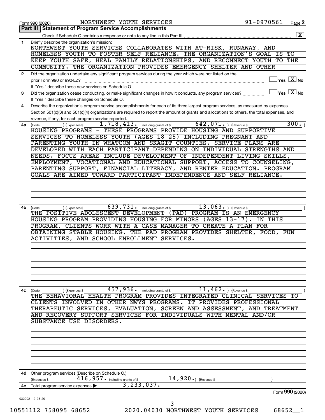|              | 91-0970561<br>NORTHWEST YOUTH SERVICES<br>Page 2<br>Form 990 (2020)<br>Part III   Statement of Program Service Accomplishments                                                             |
|--------------|--------------------------------------------------------------------------------------------------------------------------------------------------------------------------------------------|
|              | $\overline{\mathbf{x}}$<br>Check if Schedule O contains a response or note to any line in this Part III                                                                                    |
| 1            | Briefly describe the organization's mission:                                                                                                                                               |
|              | NORTHWEST YOUTH SERVICES COLLABORATES WITH AT-RISK, RUNAWAY, AND                                                                                                                           |
|              | HOMELESS YOUTH TO FOSTER SELF-RELIANCE. THE ORGANIZATION'S GOAL IS TO                                                                                                                      |
|              | KEEP YOUTH SAFE, HEAL FAMILY RELATIONSHIPS, AND RECONNECT YOUTH TO THE<br>COMMUNITY. THE ORGANIZATION PROVIDES EMERGENCY SHELTER AND OTHER                                                 |
|              | Did the organization undertake any significant program services during the year which were not listed on the                                                                               |
| $\mathbf{2}$ | $Yes \quad X$ No<br>prior Form 990 or 990-EZ?                                                                                                                                              |
|              | If "Yes," describe these new services on Schedule O.                                                                                                                                       |
| 3            | $\left\vert \mathsf{Yes}\right\vert$ $\left\vert \mathsf{X}\right\vert$ No<br>Did the organization cease conducting, or make significant changes in how it conducts, any program services? |
|              | If "Yes," describe these changes on Schedule O.                                                                                                                                            |
| 4            | Describe the organization's program service accomplishments for each of its three largest program services, as measured by expenses.                                                       |
|              | Section 501(c)(3) and 501(c)(4) organizations are required to report the amount of grants and allocations to others, the total expenses, and                                               |
|              | revenue, if any, for each program service reported                                                                                                                                         |
| 4a           | 642,071.<br>300.<br>1,718,413. including grants of \$<br>) (Revenue \$<br>(Expenses \$<br>(Code:<br>HOUSING PROGRAMS - THESE PROGRAMS PROVIDE HOUSING AND SUPPORTIVE                       |
|              | SERVICES TO HOMELESS YOUTH (AGES 18-25)<br>INCLUDING PREGNANT AND                                                                                                                          |
|              | PARENTING YOUTH IN WHATCOM AND SKAGIT COUNTIES. SERVICE PLANS ARE                                                                                                                          |
|              | DEVELOPED WITH EACH PARTICIPANT DEPENDING ON INDIVIDUAL STRENGTHS AND                                                                                                                      |
|              | NEEDS. FOCUS AREAS INCLUDE DEVELOPMENT OF INDEPENDENT LIVING SKILLS,                                                                                                                       |
|              | EMPLOYMENT, VOCATIONAL AND EDUCATIONAL SUPPORT, ACCESS TO COUNSELING,                                                                                                                      |
|              | PARENTING SUPPORT, FINANCIAL LITERACY, AND RENTER EDUCATION. PROGRAM                                                                                                                       |
|              | GOALS ARE AIMED TOWARD PARTICIPANT INDEPENDENCE AND SELF-RELIANCE.                                                                                                                         |
|              |                                                                                                                                                                                            |
|              |                                                                                                                                                                                            |
|              |                                                                                                                                                                                            |
| 4b           | $639,731$ . including grants of \$<br>13,063.<br>) (Revenue \$<br>(Code:<br>(Expenses \$                                                                                                   |
|              | THE POSITIVE ADOLESCENT DEVELOPMENT (PAD) PROGRAM IS AN EMERGENCY                                                                                                                          |
|              | HOUSING PROGRAM PROVIDING HOUSING FOR MINORS (AGES 13-17)<br>IN THIS                                                                                                                       |
|              | PROGRAM, CLIENTS WORK WITH A CASE MANAGER TO CREATE A PLAN FOR                                                                                                                             |
|              | OBTAINING STABLE HOUSING. THE PAD PROGRAM PROVIDES SHELTER, FOOD, FUN                                                                                                                      |
|              | ACTIVITIES, AND SCHOOL ENROLLMENT SERVICES.                                                                                                                                                |
|              |                                                                                                                                                                                            |
|              |                                                                                                                                                                                            |
|              |                                                                                                                                                                                            |
|              |                                                                                                                                                                                            |
|              |                                                                                                                                                                                            |
|              |                                                                                                                                                                                            |
| 4c           | 457, 936. including grants of \$<br>$11, 462.$ (Revenue \$<br>(Expenses \$<br>(Code:                                                                                                       |
|              | THE BEHAVIORAL HEALTH PROGRAM PROVIDES INTEGRATED CLINICAL SERVICES<br>TО                                                                                                                  |
|              | IN OTHER NWYS PROGRAMS.<br>IT PROVIDES PROFESSIONAL<br>CLIENTS INVOLVED                                                                                                                    |
|              | THERAPEUTIC SERVICES, EVALUATION, SCREEN AND ASSESSMENT, AND TREATMENT                                                                                                                     |
|              | AND RECOVERY SUPPORT SERVICES FOR INDIVIDUALS WITH MENTAL AND/OR<br>SUBSTANCE USE DISORDERS.                                                                                               |
|              |                                                                                                                                                                                            |
|              |                                                                                                                                                                                            |
|              |                                                                                                                                                                                            |
|              |                                                                                                                                                                                            |
|              |                                                                                                                                                                                            |
|              |                                                                                                                                                                                            |
|              |                                                                                                                                                                                            |
|              | 4d Other program services (Describe on Schedule O.)                                                                                                                                        |
|              | 14,920.) (Revenue \$<br>416, 957. including grants of \$<br>(Expenses \$                                                                                                                   |
| 4е           | 3, 233, 037.<br>Total program service expenses<br>Form 990 (2020)                                                                                                                          |
|              | 032002 12-23-20                                                                                                                                                                            |
|              | 3                                                                                                                                                                                          |
|              | 10551112 758095 68652<br>2020.04030 NORTHWEST YOUTH SERVICES<br>68652<br>1                                                                                                                 |
|              |                                                                                                                                                                                            |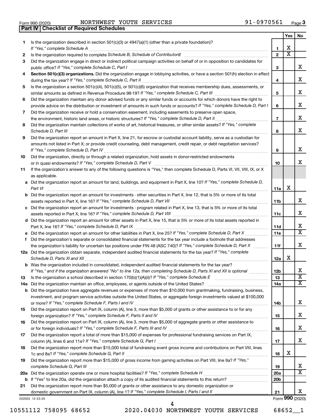|  | Form 990 (2020) |
|--|-----------------|

**Part IV Checklist of Required Schedules**

Form 990 (2020) Page NORTHWEST YOUTH SERVICES 91-0970561

| Is the organization described in section 501(c)(3) or 4947(a)(1) (other than a private foundation)?<br>1.<br>x<br>If "Yes," complete Schedule A<br>1<br>X<br>$\mathbf{2}$<br>2<br>Did the organization engage in direct or indirect political campaign activities on behalf of or in opposition to candidates for<br>3<br>х<br>public office? If "Yes," complete Schedule C, Part I<br>З<br>Section 501(c)(3) organizations. Did the organization engage in lobbying activities, or have a section 501(h) election in effect<br>4<br>х<br>4<br>Is the organization a section 501(c)(4), 501(c)(5), or 501(c)(6) organization that receives membership dues, assessments, or<br>5<br>х<br>5<br>Did the organization maintain any donor advised funds or any similar funds or accounts for which donors have the right to<br>6<br>х<br>provide advice on the distribution or investment of amounts in such funds or accounts? If "Yes," complete Schedule D, Part I<br>6<br>Did the organization receive or hold a conservation easement, including easements to preserve open space,<br>7<br>х<br>$\overline{7}$<br>Did the organization maintain collections of works of art, historical treasures, or other similar assets? If "Yes," complete<br>8<br>х<br>8<br>Did the organization report an amount in Part X, line 21, for escrow or custodial account liability, serve as a custodian for<br>9<br>amounts not listed in Part X; or provide credit counseling, debt management, credit repair, or debt negotiation services?<br>x<br>9<br>Did the organization, directly or through a related organization, hold assets in donor-restricted endowments<br>10<br>x<br>10<br>If the organization's answer to any of the following questions is "Yes," then complete Schedule D, Parts VI, VII, VIII, IX, or X<br>11<br>as applicable.<br>a Did the organization report an amount for land, buildings, and equipment in Part X, line 10? If "Yes," complete Schedule D,<br>х<br>Part VI<br>11a<br><b>b</b> Did the organization report an amount for investments - other securities in Part X, line 12, that is 5% or more of its total<br>x<br>11 <sub>b</sub><br>c Did the organization report an amount for investments - program related in Part X, line 13, that is 5% or more of its total<br>х<br>11c<br>d Did the organization report an amount for other assets in Part X, line 15, that is 5% or more of its total assets reported in<br>х<br>11d<br>х<br>11e<br>Did the organization's separate or consolidated financial statements for the tax year include a footnote that addresses<br>f<br>x<br>the organization's liability for uncertain tax positions under FIN 48 (ASC 740)? If "Yes," complete Schedule D, Part X<br>11f<br>12a Did the organization obtain separate, independent audited financial statements for the tax year? If "Yes," complete<br>х<br>12a<br><b>b</b> Was the organization included in consolidated, independent audited financial statements for the tax year?<br>х<br>12 <sub>b</sub><br>If "Yes," and if the organization answered "No" to line 12a, then completing Schedule D, Parts XI and XII is optional<br>$\overline{\text{x}}$<br>13<br>13<br>x<br>14a<br>14a<br>Did the organization have aggregate revenues or expenses of more than \$10,000 from grantmaking, fundraising, business,<br>b<br>investment, and program service activities outside the United States, or aggregate foreign investments valued at \$100,000<br>х<br>14b<br>Did the organization report on Part IX, column (A), line 3, more than \$5,000 of grants or other assistance to or for any<br>15<br>х<br>15<br>Did the organization report on Part IX, column (A), line 3, more than \$5,000 of aggregate grants or other assistance to<br>16<br>х<br>16<br>Did the organization report a total of more than \$15,000 of expenses for professional fundraising services on Part IX,<br>17<br>x<br>17<br>Did the organization report more than \$15,000 total of fundraising event gross income and contributions on Part VIII, lines<br>18<br>х<br>18<br>Did the organization report more than \$15,000 of gross income from gaming activities on Part VIII, line 9a? If "Yes,"<br>19<br>x<br>19<br>х<br>20a<br>20a<br>20 <sub>b</sub><br>b<br>Did the organization report more than \$5,000 of grants or other assistance to any domestic organization or<br>21<br>х<br>21<br>Form 990 (2020)<br>032003 12-23-20 |  | Yes | No |
|-----------------------------------------------------------------------------------------------------------------------------------------------------------------------------------------------------------------------------------------------------------------------------------------------------------------------------------------------------------------------------------------------------------------------------------------------------------------------------------------------------------------------------------------------------------------------------------------------------------------------------------------------------------------------------------------------------------------------------------------------------------------------------------------------------------------------------------------------------------------------------------------------------------------------------------------------------------------------------------------------------------------------------------------------------------------------------------------------------------------------------------------------------------------------------------------------------------------------------------------------------------------------------------------------------------------------------------------------------------------------------------------------------------------------------------------------------------------------------------------------------------------------------------------------------------------------------------------------------------------------------------------------------------------------------------------------------------------------------------------------------------------------------------------------------------------------------------------------------------------------------------------------------------------------------------------------------------------------------------------------------------------------------------------------------------------------------------------------------------------------------------------------------------------------------------------------------------------------------------------------------------------------------------------------------------------------------------------------------------------------------------------------------------------------------------------------------------------------------------------------------------------------------------------------------------------------------------------------------------------------------------------------------------------------------------------------------------------------------------------------------------------------------------------------------------------------------------------------------------------------------------------------------------------------------------------------------------------------------------------------------------------------------------------------------------------------------------------------------------------------------------------------------------------------------------------------------------------------------------------------------------------------------------------------------------------------------------------------------------------------------------------------------------------------------------------------------------------------------------------------------------------------------------------------------------------------------------------------------------------------------------------------------------------------------------------------------------------------------------------------------------------------------------------------------------------------------------------------------------------------------------------------------------------------------------------------------------------------------------------------------------------------------------------------------------------------------------------------------------------------------------------------------------------------------------------------------------------------------------------------------------------------------------------------------------------------------------------------------------------------------------------------------------------------------------------------------|--|-----|----|
|                                                                                                                                                                                                                                                                                                                                                                                                                                                                                                                                                                                                                                                                                                                                                                                                                                                                                                                                                                                                                                                                                                                                                                                                                                                                                                                                                                                                                                                                                                                                                                                                                                                                                                                                                                                                                                                                                                                                                                                                                                                                                                                                                                                                                                                                                                                                                                                                                                                                                                                                                                                                                                                                                                                                                                                                                                                                                                                                                                                                                                                                                                                                                                                                                                                                                                                                                                                                                                                                                                                                                                                                                                                                                                                                                                                                                                                                                                                                                                                                                                                                                                                                                                                                                                                                                                                                                                                                                                                     |  |     |    |
|                                                                                                                                                                                                                                                                                                                                                                                                                                                                                                                                                                                                                                                                                                                                                                                                                                                                                                                                                                                                                                                                                                                                                                                                                                                                                                                                                                                                                                                                                                                                                                                                                                                                                                                                                                                                                                                                                                                                                                                                                                                                                                                                                                                                                                                                                                                                                                                                                                                                                                                                                                                                                                                                                                                                                                                                                                                                                                                                                                                                                                                                                                                                                                                                                                                                                                                                                                                                                                                                                                                                                                                                                                                                                                                                                                                                                                                                                                                                                                                                                                                                                                                                                                                                                                                                                                                                                                                                                                                     |  |     |    |
|                                                                                                                                                                                                                                                                                                                                                                                                                                                                                                                                                                                                                                                                                                                                                                                                                                                                                                                                                                                                                                                                                                                                                                                                                                                                                                                                                                                                                                                                                                                                                                                                                                                                                                                                                                                                                                                                                                                                                                                                                                                                                                                                                                                                                                                                                                                                                                                                                                                                                                                                                                                                                                                                                                                                                                                                                                                                                                                                                                                                                                                                                                                                                                                                                                                                                                                                                                                                                                                                                                                                                                                                                                                                                                                                                                                                                                                                                                                                                                                                                                                                                                                                                                                                                                                                                                                                                                                                                                                     |  |     |    |
|                                                                                                                                                                                                                                                                                                                                                                                                                                                                                                                                                                                                                                                                                                                                                                                                                                                                                                                                                                                                                                                                                                                                                                                                                                                                                                                                                                                                                                                                                                                                                                                                                                                                                                                                                                                                                                                                                                                                                                                                                                                                                                                                                                                                                                                                                                                                                                                                                                                                                                                                                                                                                                                                                                                                                                                                                                                                                                                                                                                                                                                                                                                                                                                                                                                                                                                                                                                                                                                                                                                                                                                                                                                                                                                                                                                                                                                                                                                                                                                                                                                                                                                                                                                                                                                                                                                                                                                                                                                     |  |     |    |
|                                                                                                                                                                                                                                                                                                                                                                                                                                                                                                                                                                                                                                                                                                                                                                                                                                                                                                                                                                                                                                                                                                                                                                                                                                                                                                                                                                                                                                                                                                                                                                                                                                                                                                                                                                                                                                                                                                                                                                                                                                                                                                                                                                                                                                                                                                                                                                                                                                                                                                                                                                                                                                                                                                                                                                                                                                                                                                                                                                                                                                                                                                                                                                                                                                                                                                                                                                                                                                                                                                                                                                                                                                                                                                                                                                                                                                                                                                                                                                                                                                                                                                                                                                                                                                                                                                                                                                                                                                                     |  |     |    |
|                                                                                                                                                                                                                                                                                                                                                                                                                                                                                                                                                                                                                                                                                                                                                                                                                                                                                                                                                                                                                                                                                                                                                                                                                                                                                                                                                                                                                                                                                                                                                                                                                                                                                                                                                                                                                                                                                                                                                                                                                                                                                                                                                                                                                                                                                                                                                                                                                                                                                                                                                                                                                                                                                                                                                                                                                                                                                                                                                                                                                                                                                                                                                                                                                                                                                                                                                                                                                                                                                                                                                                                                                                                                                                                                                                                                                                                                                                                                                                                                                                                                                                                                                                                                                                                                                                                                                                                                                                                     |  |     |    |
|                                                                                                                                                                                                                                                                                                                                                                                                                                                                                                                                                                                                                                                                                                                                                                                                                                                                                                                                                                                                                                                                                                                                                                                                                                                                                                                                                                                                                                                                                                                                                                                                                                                                                                                                                                                                                                                                                                                                                                                                                                                                                                                                                                                                                                                                                                                                                                                                                                                                                                                                                                                                                                                                                                                                                                                                                                                                                                                                                                                                                                                                                                                                                                                                                                                                                                                                                                                                                                                                                                                                                                                                                                                                                                                                                                                                                                                                                                                                                                                                                                                                                                                                                                                                                                                                                                                                                                                                                                                     |  |     |    |
|                                                                                                                                                                                                                                                                                                                                                                                                                                                                                                                                                                                                                                                                                                                                                                                                                                                                                                                                                                                                                                                                                                                                                                                                                                                                                                                                                                                                                                                                                                                                                                                                                                                                                                                                                                                                                                                                                                                                                                                                                                                                                                                                                                                                                                                                                                                                                                                                                                                                                                                                                                                                                                                                                                                                                                                                                                                                                                                                                                                                                                                                                                                                                                                                                                                                                                                                                                                                                                                                                                                                                                                                                                                                                                                                                                                                                                                                                                                                                                                                                                                                                                                                                                                                                                                                                                                                                                                                                                                     |  |     |    |
|                                                                                                                                                                                                                                                                                                                                                                                                                                                                                                                                                                                                                                                                                                                                                                                                                                                                                                                                                                                                                                                                                                                                                                                                                                                                                                                                                                                                                                                                                                                                                                                                                                                                                                                                                                                                                                                                                                                                                                                                                                                                                                                                                                                                                                                                                                                                                                                                                                                                                                                                                                                                                                                                                                                                                                                                                                                                                                                                                                                                                                                                                                                                                                                                                                                                                                                                                                                                                                                                                                                                                                                                                                                                                                                                                                                                                                                                                                                                                                                                                                                                                                                                                                                                                                                                                                                                                                                                                                                     |  |     |    |
|                                                                                                                                                                                                                                                                                                                                                                                                                                                                                                                                                                                                                                                                                                                                                                                                                                                                                                                                                                                                                                                                                                                                                                                                                                                                                                                                                                                                                                                                                                                                                                                                                                                                                                                                                                                                                                                                                                                                                                                                                                                                                                                                                                                                                                                                                                                                                                                                                                                                                                                                                                                                                                                                                                                                                                                                                                                                                                                                                                                                                                                                                                                                                                                                                                                                                                                                                                                                                                                                                                                                                                                                                                                                                                                                                                                                                                                                                                                                                                                                                                                                                                                                                                                                                                                                                                                                                                                                                                                     |  |     |    |
|                                                                                                                                                                                                                                                                                                                                                                                                                                                                                                                                                                                                                                                                                                                                                                                                                                                                                                                                                                                                                                                                                                                                                                                                                                                                                                                                                                                                                                                                                                                                                                                                                                                                                                                                                                                                                                                                                                                                                                                                                                                                                                                                                                                                                                                                                                                                                                                                                                                                                                                                                                                                                                                                                                                                                                                                                                                                                                                                                                                                                                                                                                                                                                                                                                                                                                                                                                                                                                                                                                                                                                                                                                                                                                                                                                                                                                                                                                                                                                                                                                                                                                                                                                                                                                                                                                                                                                                                                                                     |  |     |    |
|                                                                                                                                                                                                                                                                                                                                                                                                                                                                                                                                                                                                                                                                                                                                                                                                                                                                                                                                                                                                                                                                                                                                                                                                                                                                                                                                                                                                                                                                                                                                                                                                                                                                                                                                                                                                                                                                                                                                                                                                                                                                                                                                                                                                                                                                                                                                                                                                                                                                                                                                                                                                                                                                                                                                                                                                                                                                                                                                                                                                                                                                                                                                                                                                                                                                                                                                                                                                                                                                                                                                                                                                                                                                                                                                                                                                                                                                                                                                                                                                                                                                                                                                                                                                                                                                                                                                                                                                                                                     |  |     |    |
|                                                                                                                                                                                                                                                                                                                                                                                                                                                                                                                                                                                                                                                                                                                                                                                                                                                                                                                                                                                                                                                                                                                                                                                                                                                                                                                                                                                                                                                                                                                                                                                                                                                                                                                                                                                                                                                                                                                                                                                                                                                                                                                                                                                                                                                                                                                                                                                                                                                                                                                                                                                                                                                                                                                                                                                                                                                                                                                                                                                                                                                                                                                                                                                                                                                                                                                                                                                                                                                                                                                                                                                                                                                                                                                                                                                                                                                                                                                                                                                                                                                                                                                                                                                                                                                                                                                                                                                                                                                     |  |     |    |
|                                                                                                                                                                                                                                                                                                                                                                                                                                                                                                                                                                                                                                                                                                                                                                                                                                                                                                                                                                                                                                                                                                                                                                                                                                                                                                                                                                                                                                                                                                                                                                                                                                                                                                                                                                                                                                                                                                                                                                                                                                                                                                                                                                                                                                                                                                                                                                                                                                                                                                                                                                                                                                                                                                                                                                                                                                                                                                                                                                                                                                                                                                                                                                                                                                                                                                                                                                                                                                                                                                                                                                                                                                                                                                                                                                                                                                                                                                                                                                                                                                                                                                                                                                                                                                                                                                                                                                                                                                                     |  |     |    |
|                                                                                                                                                                                                                                                                                                                                                                                                                                                                                                                                                                                                                                                                                                                                                                                                                                                                                                                                                                                                                                                                                                                                                                                                                                                                                                                                                                                                                                                                                                                                                                                                                                                                                                                                                                                                                                                                                                                                                                                                                                                                                                                                                                                                                                                                                                                                                                                                                                                                                                                                                                                                                                                                                                                                                                                                                                                                                                                                                                                                                                                                                                                                                                                                                                                                                                                                                                                                                                                                                                                                                                                                                                                                                                                                                                                                                                                                                                                                                                                                                                                                                                                                                                                                                                                                                                                                                                                                                                                     |  |     |    |
|                                                                                                                                                                                                                                                                                                                                                                                                                                                                                                                                                                                                                                                                                                                                                                                                                                                                                                                                                                                                                                                                                                                                                                                                                                                                                                                                                                                                                                                                                                                                                                                                                                                                                                                                                                                                                                                                                                                                                                                                                                                                                                                                                                                                                                                                                                                                                                                                                                                                                                                                                                                                                                                                                                                                                                                                                                                                                                                                                                                                                                                                                                                                                                                                                                                                                                                                                                                                                                                                                                                                                                                                                                                                                                                                                                                                                                                                                                                                                                                                                                                                                                                                                                                                                                                                                                                                                                                                                                                     |  |     |    |
|                                                                                                                                                                                                                                                                                                                                                                                                                                                                                                                                                                                                                                                                                                                                                                                                                                                                                                                                                                                                                                                                                                                                                                                                                                                                                                                                                                                                                                                                                                                                                                                                                                                                                                                                                                                                                                                                                                                                                                                                                                                                                                                                                                                                                                                                                                                                                                                                                                                                                                                                                                                                                                                                                                                                                                                                                                                                                                                                                                                                                                                                                                                                                                                                                                                                                                                                                                                                                                                                                                                                                                                                                                                                                                                                                                                                                                                                                                                                                                                                                                                                                                                                                                                                                                                                                                                                                                                                                                                     |  |     |    |
|                                                                                                                                                                                                                                                                                                                                                                                                                                                                                                                                                                                                                                                                                                                                                                                                                                                                                                                                                                                                                                                                                                                                                                                                                                                                                                                                                                                                                                                                                                                                                                                                                                                                                                                                                                                                                                                                                                                                                                                                                                                                                                                                                                                                                                                                                                                                                                                                                                                                                                                                                                                                                                                                                                                                                                                                                                                                                                                                                                                                                                                                                                                                                                                                                                                                                                                                                                                                                                                                                                                                                                                                                                                                                                                                                                                                                                                                                                                                                                                                                                                                                                                                                                                                                                                                                                                                                                                                                                                     |  |     |    |
|                                                                                                                                                                                                                                                                                                                                                                                                                                                                                                                                                                                                                                                                                                                                                                                                                                                                                                                                                                                                                                                                                                                                                                                                                                                                                                                                                                                                                                                                                                                                                                                                                                                                                                                                                                                                                                                                                                                                                                                                                                                                                                                                                                                                                                                                                                                                                                                                                                                                                                                                                                                                                                                                                                                                                                                                                                                                                                                                                                                                                                                                                                                                                                                                                                                                                                                                                                                                                                                                                                                                                                                                                                                                                                                                                                                                                                                                                                                                                                                                                                                                                                                                                                                                                                                                                                                                                                                                                                                     |  |     |    |
|                                                                                                                                                                                                                                                                                                                                                                                                                                                                                                                                                                                                                                                                                                                                                                                                                                                                                                                                                                                                                                                                                                                                                                                                                                                                                                                                                                                                                                                                                                                                                                                                                                                                                                                                                                                                                                                                                                                                                                                                                                                                                                                                                                                                                                                                                                                                                                                                                                                                                                                                                                                                                                                                                                                                                                                                                                                                                                                                                                                                                                                                                                                                                                                                                                                                                                                                                                                                                                                                                                                                                                                                                                                                                                                                                                                                                                                                                                                                                                                                                                                                                                                                                                                                                                                                                                                                                                                                                                                     |  |     |    |
|                                                                                                                                                                                                                                                                                                                                                                                                                                                                                                                                                                                                                                                                                                                                                                                                                                                                                                                                                                                                                                                                                                                                                                                                                                                                                                                                                                                                                                                                                                                                                                                                                                                                                                                                                                                                                                                                                                                                                                                                                                                                                                                                                                                                                                                                                                                                                                                                                                                                                                                                                                                                                                                                                                                                                                                                                                                                                                                                                                                                                                                                                                                                                                                                                                                                                                                                                                                                                                                                                                                                                                                                                                                                                                                                                                                                                                                                                                                                                                                                                                                                                                                                                                                                                                                                                                                                                                                                                                                     |  |     |    |
|                                                                                                                                                                                                                                                                                                                                                                                                                                                                                                                                                                                                                                                                                                                                                                                                                                                                                                                                                                                                                                                                                                                                                                                                                                                                                                                                                                                                                                                                                                                                                                                                                                                                                                                                                                                                                                                                                                                                                                                                                                                                                                                                                                                                                                                                                                                                                                                                                                                                                                                                                                                                                                                                                                                                                                                                                                                                                                                                                                                                                                                                                                                                                                                                                                                                                                                                                                                                                                                                                                                                                                                                                                                                                                                                                                                                                                                                                                                                                                                                                                                                                                                                                                                                                                                                                                                                                                                                                                                     |  |     |    |
|                                                                                                                                                                                                                                                                                                                                                                                                                                                                                                                                                                                                                                                                                                                                                                                                                                                                                                                                                                                                                                                                                                                                                                                                                                                                                                                                                                                                                                                                                                                                                                                                                                                                                                                                                                                                                                                                                                                                                                                                                                                                                                                                                                                                                                                                                                                                                                                                                                                                                                                                                                                                                                                                                                                                                                                                                                                                                                                                                                                                                                                                                                                                                                                                                                                                                                                                                                                                                                                                                                                                                                                                                                                                                                                                                                                                                                                                                                                                                                                                                                                                                                                                                                                                                                                                                                                                                                                                                                                     |  |     |    |
|                                                                                                                                                                                                                                                                                                                                                                                                                                                                                                                                                                                                                                                                                                                                                                                                                                                                                                                                                                                                                                                                                                                                                                                                                                                                                                                                                                                                                                                                                                                                                                                                                                                                                                                                                                                                                                                                                                                                                                                                                                                                                                                                                                                                                                                                                                                                                                                                                                                                                                                                                                                                                                                                                                                                                                                                                                                                                                                                                                                                                                                                                                                                                                                                                                                                                                                                                                                                                                                                                                                                                                                                                                                                                                                                                                                                                                                                                                                                                                                                                                                                                                                                                                                                                                                                                                                                                                                                                                                     |  |     |    |
|                                                                                                                                                                                                                                                                                                                                                                                                                                                                                                                                                                                                                                                                                                                                                                                                                                                                                                                                                                                                                                                                                                                                                                                                                                                                                                                                                                                                                                                                                                                                                                                                                                                                                                                                                                                                                                                                                                                                                                                                                                                                                                                                                                                                                                                                                                                                                                                                                                                                                                                                                                                                                                                                                                                                                                                                                                                                                                                                                                                                                                                                                                                                                                                                                                                                                                                                                                                                                                                                                                                                                                                                                                                                                                                                                                                                                                                                                                                                                                                                                                                                                                                                                                                                                                                                                                                                                                                                                                                     |  |     |    |
|                                                                                                                                                                                                                                                                                                                                                                                                                                                                                                                                                                                                                                                                                                                                                                                                                                                                                                                                                                                                                                                                                                                                                                                                                                                                                                                                                                                                                                                                                                                                                                                                                                                                                                                                                                                                                                                                                                                                                                                                                                                                                                                                                                                                                                                                                                                                                                                                                                                                                                                                                                                                                                                                                                                                                                                                                                                                                                                                                                                                                                                                                                                                                                                                                                                                                                                                                                                                                                                                                                                                                                                                                                                                                                                                                                                                                                                                                                                                                                                                                                                                                                                                                                                                                                                                                                                                                                                                                                                     |  |     |    |
|                                                                                                                                                                                                                                                                                                                                                                                                                                                                                                                                                                                                                                                                                                                                                                                                                                                                                                                                                                                                                                                                                                                                                                                                                                                                                                                                                                                                                                                                                                                                                                                                                                                                                                                                                                                                                                                                                                                                                                                                                                                                                                                                                                                                                                                                                                                                                                                                                                                                                                                                                                                                                                                                                                                                                                                                                                                                                                                                                                                                                                                                                                                                                                                                                                                                                                                                                                                                                                                                                                                                                                                                                                                                                                                                                                                                                                                                                                                                                                                                                                                                                                                                                                                                                                                                                                                                                                                                                                                     |  |     |    |
|                                                                                                                                                                                                                                                                                                                                                                                                                                                                                                                                                                                                                                                                                                                                                                                                                                                                                                                                                                                                                                                                                                                                                                                                                                                                                                                                                                                                                                                                                                                                                                                                                                                                                                                                                                                                                                                                                                                                                                                                                                                                                                                                                                                                                                                                                                                                                                                                                                                                                                                                                                                                                                                                                                                                                                                                                                                                                                                                                                                                                                                                                                                                                                                                                                                                                                                                                                                                                                                                                                                                                                                                                                                                                                                                                                                                                                                                                                                                                                                                                                                                                                                                                                                                                                                                                                                                                                                                                                                     |  |     |    |
|                                                                                                                                                                                                                                                                                                                                                                                                                                                                                                                                                                                                                                                                                                                                                                                                                                                                                                                                                                                                                                                                                                                                                                                                                                                                                                                                                                                                                                                                                                                                                                                                                                                                                                                                                                                                                                                                                                                                                                                                                                                                                                                                                                                                                                                                                                                                                                                                                                                                                                                                                                                                                                                                                                                                                                                                                                                                                                                                                                                                                                                                                                                                                                                                                                                                                                                                                                                                                                                                                                                                                                                                                                                                                                                                                                                                                                                                                                                                                                                                                                                                                                                                                                                                                                                                                                                                                                                                                                                     |  |     |    |
|                                                                                                                                                                                                                                                                                                                                                                                                                                                                                                                                                                                                                                                                                                                                                                                                                                                                                                                                                                                                                                                                                                                                                                                                                                                                                                                                                                                                                                                                                                                                                                                                                                                                                                                                                                                                                                                                                                                                                                                                                                                                                                                                                                                                                                                                                                                                                                                                                                                                                                                                                                                                                                                                                                                                                                                                                                                                                                                                                                                                                                                                                                                                                                                                                                                                                                                                                                                                                                                                                                                                                                                                                                                                                                                                                                                                                                                                                                                                                                                                                                                                                                                                                                                                                                                                                                                                                                                                                                                     |  |     |    |
|                                                                                                                                                                                                                                                                                                                                                                                                                                                                                                                                                                                                                                                                                                                                                                                                                                                                                                                                                                                                                                                                                                                                                                                                                                                                                                                                                                                                                                                                                                                                                                                                                                                                                                                                                                                                                                                                                                                                                                                                                                                                                                                                                                                                                                                                                                                                                                                                                                                                                                                                                                                                                                                                                                                                                                                                                                                                                                                                                                                                                                                                                                                                                                                                                                                                                                                                                                                                                                                                                                                                                                                                                                                                                                                                                                                                                                                                                                                                                                                                                                                                                                                                                                                                                                                                                                                                                                                                                                                     |  |     |    |
|                                                                                                                                                                                                                                                                                                                                                                                                                                                                                                                                                                                                                                                                                                                                                                                                                                                                                                                                                                                                                                                                                                                                                                                                                                                                                                                                                                                                                                                                                                                                                                                                                                                                                                                                                                                                                                                                                                                                                                                                                                                                                                                                                                                                                                                                                                                                                                                                                                                                                                                                                                                                                                                                                                                                                                                                                                                                                                                                                                                                                                                                                                                                                                                                                                                                                                                                                                                                                                                                                                                                                                                                                                                                                                                                                                                                                                                                                                                                                                                                                                                                                                                                                                                                                                                                                                                                                                                                                                                     |  |     |    |
|                                                                                                                                                                                                                                                                                                                                                                                                                                                                                                                                                                                                                                                                                                                                                                                                                                                                                                                                                                                                                                                                                                                                                                                                                                                                                                                                                                                                                                                                                                                                                                                                                                                                                                                                                                                                                                                                                                                                                                                                                                                                                                                                                                                                                                                                                                                                                                                                                                                                                                                                                                                                                                                                                                                                                                                                                                                                                                                                                                                                                                                                                                                                                                                                                                                                                                                                                                                                                                                                                                                                                                                                                                                                                                                                                                                                                                                                                                                                                                                                                                                                                                                                                                                                                                                                                                                                                                                                                                                     |  |     |    |
|                                                                                                                                                                                                                                                                                                                                                                                                                                                                                                                                                                                                                                                                                                                                                                                                                                                                                                                                                                                                                                                                                                                                                                                                                                                                                                                                                                                                                                                                                                                                                                                                                                                                                                                                                                                                                                                                                                                                                                                                                                                                                                                                                                                                                                                                                                                                                                                                                                                                                                                                                                                                                                                                                                                                                                                                                                                                                                                                                                                                                                                                                                                                                                                                                                                                                                                                                                                                                                                                                                                                                                                                                                                                                                                                                                                                                                                                                                                                                                                                                                                                                                                                                                                                                                                                                                                                                                                                                                                     |  |     |    |
|                                                                                                                                                                                                                                                                                                                                                                                                                                                                                                                                                                                                                                                                                                                                                                                                                                                                                                                                                                                                                                                                                                                                                                                                                                                                                                                                                                                                                                                                                                                                                                                                                                                                                                                                                                                                                                                                                                                                                                                                                                                                                                                                                                                                                                                                                                                                                                                                                                                                                                                                                                                                                                                                                                                                                                                                                                                                                                                                                                                                                                                                                                                                                                                                                                                                                                                                                                                                                                                                                                                                                                                                                                                                                                                                                                                                                                                                                                                                                                                                                                                                                                                                                                                                                                                                                                                                                                                                                                                     |  |     |    |
|                                                                                                                                                                                                                                                                                                                                                                                                                                                                                                                                                                                                                                                                                                                                                                                                                                                                                                                                                                                                                                                                                                                                                                                                                                                                                                                                                                                                                                                                                                                                                                                                                                                                                                                                                                                                                                                                                                                                                                                                                                                                                                                                                                                                                                                                                                                                                                                                                                                                                                                                                                                                                                                                                                                                                                                                                                                                                                                                                                                                                                                                                                                                                                                                                                                                                                                                                                                                                                                                                                                                                                                                                                                                                                                                                                                                                                                                                                                                                                                                                                                                                                                                                                                                                                                                                                                                                                                                                                                     |  |     |    |
|                                                                                                                                                                                                                                                                                                                                                                                                                                                                                                                                                                                                                                                                                                                                                                                                                                                                                                                                                                                                                                                                                                                                                                                                                                                                                                                                                                                                                                                                                                                                                                                                                                                                                                                                                                                                                                                                                                                                                                                                                                                                                                                                                                                                                                                                                                                                                                                                                                                                                                                                                                                                                                                                                                                                                                                                                                                                                                                                                                                                                                                                                                                                                                                                                                                                                                                                                                                                                                                                                                                                                                                                                                                                                                                                                                                                                                                                                                                                                                                                                                                                                                                                                                                                                                                                                                                                                                                                                                                     |  |     |    |
|                                                                                                                                                                                                                                                                                                                                                                                                                                                                                                                                                                                                                                                                                                                                                                                                                                                                                                                                                                                                                                                                                                                                                                                                                                                                                                                                                                                                                                                                                                                                                                                                                                                                                                                                                                                                                                                                                                                                                                                                                                                                                                                                                                                                                                                                                                                                                                                                                                                                                                                                                                                                                                                                                                                                                                                                                                                                                                                                                                                                                                                                                                                                                                                                                                                                                                                                                                                                                                                                                                                                                                                                                                                                                                                                                                                                                                                                                                                                                                                                                                                                                                                                                                                                                                                                                                                                                                                                                                                     |  |     |    |
|                                                                                                                                                                                                                                                                                                                                                                                                                                                                                                                                                                                                                                                                                                                                                                                                                                                                                                                                                                                                                                                                                                                                                                                                                                                                                                                                                                                                                                                                                                                                                                                                                                                                                                                                                                                                                                                                                                                                                                                                                                                                                                                                                                                                                                                                                                                                                                                                                                                                                                                                                                                                                                                                                                                                                                                                                                                                                                                                                                                                                                                                                                                                                                                                                                                                                                                                                                                                                                                                                                                                                                                                                                                                                                                                                                                                                                                                                                                                                                                                                                                                                                                                                                                                                                                                                                                                                                                                                                                     |  |     |    |
|                                                                                                                                                                                                                                                                                                                                                                                                                                                                                                                                                                                                                                                                                                                                                                                                                                                                                                                                                                                                                                                                                                                                                                                                                                                                                                                                                                                                                                                                                                                                                                                                                                                                                                                                                                                                                                                                                                                                                                                                                                                                                                                                                                                                                                                                                                                                                                                                                                                                                                                                                                                                                                                                                                                                                                                                                                                                                                                                                                                                                                                                                                                                                                                                                                                                                                                                                                                                                                                                                                                                                                                                                                                                                                                                                                                                                                                                                                                                                                                                                                                                                                                                                                                                                                                                                                                                                                                                                                                     |  |     |    |
|                                                                                                                                                                                                                                                                                                                                                                                                                                                                                                                                                                                                                                                                                                                                                                                                                                                                                                                                                                                                                                                                                                                                                                                                                                                                                                                                                                                                                                                                                                                                                                                                                                                                                                                                                                                                                                                                                                                                                                                                                                                                                                                                                                                                                                                                                                                                                                                                                                                                                                                                                                                                                                                                                                                                                                                                                                                                                                                                                                                                                                                                                                                                                                                                                                                                                                                                                                                                                                                                                                                                                                                                                                                                                                                                                                                                                                                                                                                                                                                                                                                                                                                                                                                                                                                                                                                                                                                                                                                     |  |     |    |
|                                                                                                                                                                                                                                                                                                                                                                                                                                                                                                                                                                                                                                                                                                                                                                                                                                                                                                                                                                                                                                                                                                                                                                                                                                                                                                                                                                                                                                                                                                                                                                                                                                                                                                                                                                                                                                                                                                                                                                                                                                                                                                                                                                                                                                                                                                                                                                                                                                                                                                                                                                                                                                                                                                                                                                                                                                                                                                                                                                                                                                                                                                                                                                                                                                                                                                                                                                                                                                                                                                                                                                                                                                                                                                                                                                                                                                                                                                                                                                                                                                                                                                                                                                                                                                                                                                                                                                                                                                                     |  |     |    |
|                                                                                                                                                                                                                                                                                                                                                                                                                                                                                                                                                                                                                                                                                                                                                                                                                                                                                                                                                                                                                                                                                                                                                                                                                                                                                                                                                                                                                                                                                                                                                                                                                                                                                                                                                                                                                                                                                                                                                                                                                                                                                                                                                                                                                                                                                                                                                                                                                                                                                                                                                                                                                                                                                                                                                                                                                                                                                                                                                                                                                                                                                                                                                                                                                                                                                                                                                                                                                                                                                                                                                                                                                                                                                                                                                                                                                                                                                                                                                                                                                                                                                                                                                                                                                                                                                                                                                                                                                                                     |  |     |    |
|                                                                                                                                                                                                                                                                                                                                                                                                                                                                                                                                                                                                                                                                                                                                                                                                                                                                                                                                                                                                                                                                                                                                                                                                                                                                                                                                                                                                                                                                                                                                                                                                                                                                                                                                                                                                                                                                                                                                                                                                                                                                                                                                                                                                                                                                                                                                                                                                                                                                                                                                                                                                                                                                                                                                                                                                                                                                                                                                                                                                                                                                                                                                                                                                                                                                                                                                                                                                                                                                                                                                                                                                                                                                                                                                                                                                                                                                                                                                                                                                                                                                                                                                                                                                                                                                                                                                                                                                                                                     |  |     |    |
|                                                                                                                                                                                                                                                                                                                                                                                                                                                                                                                                                                                                                                                                                                                                                                                                                                                                                                                                                                                                                                                                                                                                                                                                                                                                                                                                                                                                                                                                                                                                                                                                                                                                                                                                                                                                                                                                                                                                                                                                                                                                                                                                                                                                                                                                                                                                                                                                                                                                                                                                                                                                                                                                                                                                                                                                                                                                                                                                                                                                                                                                                                                                                                                                                                                                                                                                                                                                                                                                                                                                                                                                                                                                                                                                                                                                                                                                                                                                                                                                                                                                                                                                                                                                                                                                                                                                                                                                                                                     |  |     |    |
|                                                                                                                                                                                                                                                                                                                                                                                                                                                                                                                                                                                                                                                                                                                                                                                                                                                                                                                                                                                                                                                                                                                                                                                                                                                                                                                                                                                                                                                                                                                                                                                                                                                                                                                                                                                                                                                                                                                                                                                                                                                                                                                                                                                                                                                                                                                                                                                                                                                                                                                                                                                                                                                                                                                                                                                                                                                                                                                                                                                                                                                                                                                                                                                                                                                                                                                                                                                                                                                                                                                                                                                                                                                                                                                                                                                                                                                                                                                                                                                                                                                                                                                                                                                                                                                                                                                                                                                                                                                     |  |     |    |
|                                                                                                                                                                                                                                                                                                                                                                                                                                                                                                                                                                                                                                                                                                                                                                                                                                                                                                                                                                                                                                                                                                                                                                                                                                                                                                                                                                                                                                                                                                                                                                                                                                                                                                                                                                                                                                                                                                                                                                                                                                                                                                                                                                                                                                                                                                                                                                                                                                                                                                                                                                                                                                                                                                                                                                                                                                                                                                                                                                                                                                                                                                                                                                                                                                                                                                                                                                                                                                                                                                                                                                                                                                                                                                                                                                                                                                                                                                                                                                                                                                                                                                                                                                                                                                                                                                                                                                                                                                                     |  |     |    |
|                                                                                                                                                                                                                                                                                                                                                                                                                                                                                                                                                                                                                                                                                                                                                                                                                                                                                                                                                                                                                                                                                                                                                                                                                                                                                                                                                                                                                                                                                                                                                                                                                                                                                                                                                                                                                                                                                                                                                                                                                                                                                                                                                                                                                                                                                                                                                                                                                                                                                                                                                                                                                                                                                                                                                                                                                                                                                                                                                                                                                                                                                                                                                                                                                                                                                                                                                                                                                                                                                                                                                                                                                                                                                                                                                                                                                                                                                                                                                                                                                                                                                                                                                                                                                                                                                                                                                                                                                                                     |  |     |    |
|                                                                                                                                                                                                                                                                                                                                                                                                                                                                                                                                                                                                                                                                                                                                                                                                                                                                                                                                                                                                                                                                                                                                                                                                                                                                                                                                                                                                                                                                                                                                                                                                                                                                                                                                                                                                                                                                                                                                                                                                                                                                                                                                                                                                                                                                                                                                                                                                                                                                                                                                                                                                                                                                                                                                                                                                                                                                                                                                                                                                                                                                                                                                                                                                                                                                                                                                                                                                                                                                                                                                                                                                                                                                                                                                                                                                                                                                                                                                                                                                                                                                                                                                                                                                                                                                                                                                                                                                                                                     |  |     |    |
|                                                                                                                                                                                                                                                                                                                                                                                                                                                                                                                                                                                                                                                                                                                                                                                                                                                                                                                                                                                                                                                                                                                                                                                                                                                                                                                                                                                                                                                                                                                                                                                                                                                                                                                                                                                                                                                                                                                                                                                                                                                                                                                                                                                                                                                                                                                                                                                                                                                                                                                                                                                                                                                                                                                                                                                                                                                                                                                                                                                                                                                                                                                                                                                                                                                                                                                                                                                                                                                                                                                                                                                                                                                                                                                                                                                                                                                                                                                                                                                                                                                                                                                                                                                                                                                                                                                                                                                                                                                     |  |     |    |
|                                                                                                                                                                                                                                                                                                                                                                                                                                                                                                                                                                                                                                                                                                                                                                                                                                                                                                                                                                                                                                                                                                                                                                                                                                                                                                                                                                                                                                                                                                                                                                                                                                                                                                                                                                                                                                                                                                                                                                                                                                                                                                                                                                                                                                                                                                                                                                                                                                                                                                                                                                                                                                                                                                                                                                                                                                                                                                                                                                                                                                                                                                                                                                                                                                                                                                                                                                                                                                                                                                                                                                                                                                                                                                                                                                                                                                                                                                                                                                                                                                                                                                                                                                                                                                                                                                                                                                                                                                                     |  |     |    |
|                                                                                                                                                                                                                                                                                                                                                                                                                                                                                                                                                                                                                                                                                                                                                                                                                                                                                                                                                                                                                                                                                                                                                                                                                                                                                                                                                                                                                                                                                                                                                                                                                                                                                                                                                                                                                                                                                                                                                                                                                                                                                                                                                                                                                                                                                                                                                                                                                                                                                                                                                                                                                                                                                                                                                                                                                                                                                                                                                                                                                                                                                                                                                                                                                                                                                                                                                                                                                                                                                                                                                                                                                                                                                                                                                                                                                                                                                                                                                                                                                                                                                                                                                                                                                                                                                                                                                                                                                                                     |  |     |    |
|                                                                                                                                                                                                                                                                                                                                                                                                                                                                                                                                                                                                                                                                                                                                                                                                                                                                                                                                                                                                                                                                                                                                                                                                                                                                                                                                                                                                                                                                                                                                                                                                                                                                                                                                                                                                                                                                                                                                                                                                                                                                                                                                                                                                                                                                                                                                                                                                                                                                                                                                                                                                                                                                                                                                                                                                                                                                                                                                                                                                                                                                                                                                                                                                                                                                                                                                                                                                                                                                                                                                                                                                                                                                                                                                                                                                                                                                                                                                                                                                                                                                                                                                                                                                                                                                                                                                                                                                                                                     |  |     |    |
|                                                                                                                                                                                                                                                                                                                                                                                                                                                                                                                                                                                                                                                                                                                                                                                                                                                                                                                                                                                                                                                                                                                                                                                                                                                                                                                                                                                                                                                                                                                                                                                                                                                                                                                                                                                                                                                                                                                                                                                                                                                                                                                                                                                                                                                                                                                                                                                                                                                                                                                                                                                                                                                                                                                                                                                                                                                                                                                                                                                                                                                                                                                                                                                                                                                                                                                                                                                                                                                                                                                                                                                                                                                                                                                                                                                                                                                                                                                                                                                                                                                                                                                                                                                                                                                                                                                                                                                                                                                     |  |     |    |

10551112 758095 68652 2020.04030 NORTHWEST YOUTH SERVICES 68652\_\_1

4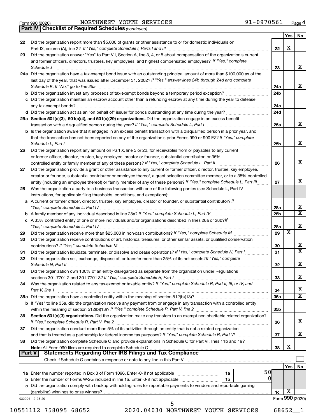|  | Form 990 (2020) |
|--|-----------------|
|  |                 |

*(continued)* **Part IV Checklist of Required Schedules**

|        |                                                                                                                                                                                                   |                        | Yes        | No                      |
|--------|---------------------------------------------------------------------------------------------------------------------------------------------------------------------------------------------------|------------------------|------------|-------------------------|
| 22     | Did the organization report more than \$5,000 of grants or other assistance to or for domestic individuals on                                                                                     |                        |            |                         |
|        |                                                                                                                                                                                                   | 22                     | x          |                         |
| 23     | Did the organization answer "Yes" to Part VII, Section A, line 3, 4, or 5 about compensation of the organization's current                                                                        |                        |            |                         |
|        | and former officers, directors, trustees, key employees, and highest compensated employees? If "Yes," complete                                                                                    |                        |            |                         |
|        | Schedule J <b>Execute Schedule J Execute Schedule J</b>                                                                                                                                           | 23                     |            | x                       |
|        | 24a Did the organization have a tax-exempt bond issue with an outstanding principal amount of more than \$100,000 as of the                                                                       |                        |            |                         |
|        | last day of the year, that was issued after December 31, 2002? If "Yes," answer lines 24b through 24d and complete                                                                                |                        |            | x                       |
|        |                                                                                                                                                                                                   | 24a<br>24 <sub>b</sub> |            |                         |
|        | c Did the organization maintain an escrow account other than a refunding escrow at any time during the year to defease                                                                            |                        |            |                         |
|        |                                                                                                                                                                                                   | 24c                    |            |                         |
|        |                                                                                                                                                                                                   | 24d                    |            |                         |
|        | 25a Section 501(c)(3), 501(c)(4), and 501(c)(29) organizations. Did the organization engage in an excess benefit                                                                                  |                        |            |                         |
|        |                                                                                                                                                                                                   | 25a                    |            | x                       |
|        | <b>b</b> Is the organization aware that it engaged in an excess benefit transaction with a disqualified person in a prior year, and                                                               |                        |            |                         |
|        | that the transaction has not been reported on any of the organization's prior Forms 990 or 990-EZ? If "Yes," complete                                                                             |                        |            |                         |
|        | Schedule L, Part I                                                                                                                                                                                | 25 <sub>b</sub>        |            | x                       |
| 26     | Did the organization report any amount on Part X, line 5 or 22, for receivables from or payables to any current                                                                                   |                        |            |                         |
|        | or former officer, director, trustee, key employee, creator or founder, substantial contributor, or 35%                                                                                           |                        |            |                         |
|        |                                                                                                                                                                                                   | 26                     |            | x                       |
| 27     | Did the organization provide a grant or other assistance to any current or former officer, director, trustee, key employee,                                                                       |                        |            |                         |
|        | creator or founder, substantial contributor or employee thereof, a grant selection committee member, or to a 35% controlled                                                                       |                        |            | x                       |
|        | entity (including an employee thereof) or family member of any of these persons? If "Yes," complete Schedule L, Part III                                                                          | 27                     |            |                         |
| 28     | Was the organization a party to a business transaction with one of the following parties (see Schedule L, Part IV<br>instructions, for applicable filing thresholds, conditions, and exceptions): |                        |            |                         |
|        | a A current or former officer, director, trustee, key employee, creator or founder, or substantial contributor? If                                                                                |                        |            |                         |
|        |                                                                                                                                                                                                   | 28a                    |            | х                       |
|        |                                                                                                                                                                                                   | 28b                    |            | $\overline{\mathtt{x}}$ |
|        | c A 35% controlled entity of one or more individuals and/or organizations described in lines 28a or 28b?If                                                                                        |                        |            |                         |
|        |                                                                                                                                                                                                   | 28c                    |            | X                       |
| 29     |                                                                                                                                                                                                   | 29                     | х          |                         |
| 30     | Did the organization receive contributions of art, historical treasures, or other similar assets, or qualified conservation                                                                       |                        |            |                         |
|        |                                                                                                                                                                                                   | 30                     |            | x                       |
| 31     |                                                                                                                                                                                                   | 31                     |            | $\overline{\mathtt{x}}$ |
| 32     | Did the organization sell, exchange, dispose of, or transfer more than 25% of its net assets? If "Yes," complete                                                                                  |                        |            |                         |
|        |                                                                                                                                                                                                   | 32                     |            | x                       |
| 33     | Did the organization own 100% of an entity disregarded as separate from the organization under Regulations                                                                                        |                        |            | X                       |
| 34     | Was the organization related to any tax-exempt or taxable entity? If "Yes," complete Schedule R, Part II, III, or IV, and                                                                         | 33                     |            |                         |
|        | Part V, line 1                                                                                                                                                                                    | 34                     |            | х                       |
|        | 35a Did the organization have a controlled entity within the meaning of section 512(b)(13)?                                                                                                       | 35a                    |            | $\overline{\mathtt{x}}$ |
|        | b If "Yes" to line 35a, did the organization receive any payment from or engage in any transaction with a controlled entity                                                                       |                        |            |                         |
|        |                                                                                                                                                                                                   | 35 <sub>b</sub>        |            |                         |
| 36     | Section 501(c)(3) organizations. Did the organization make any transfers to an exempt non-charitable related organization?                                                                        |                        |            |                         |
|        |                                                                                                                                                                                                   | 36                     |            | X                       |
| 37     | Did the organization conduct more than 5% of its activities through an entity that is not a related organization                                                                                  |                        |            |                         |
|        |                                                                                                                                                                                                   | 37                     |            | x                       |
| 38     | Did the organization complete Schedule O and provide explanations in Schedule O for Part VI, lines 11b and 19?                                                                                    |                        |            |                         |
|        |                                                                                                                                                                                                   | 38                     | X          |                         |
| Part V |                                                                                                                                                                                                   |                        |            |                         |
|        |                                                                                                                                                                                                   |                        |            | No.                     |
|        | 50<br>1a                                                                                                                                                                                          |                        | <b>Yes</b> |                         |
|        | 1b                                                                                                                                                                                                |                        |            |                         |
|        | c Did the organization comply with backup withholding rules for reportable payments to vendors and reportable gaming                                                                              |                        |            |                         |
|        |                                                                                                                                                                                                   | 1c                     | х          |                         |
|        | 032004 12-23-20                                                                                                                                                                                   |                        |            | Form 990 (2020)         |
|        | 5                                                                                                                                                                                                 |                        |            |                         |

10551112 758095 68652 2020.04030 NORTHWEST YOUTH SERVICES 68652\_\_1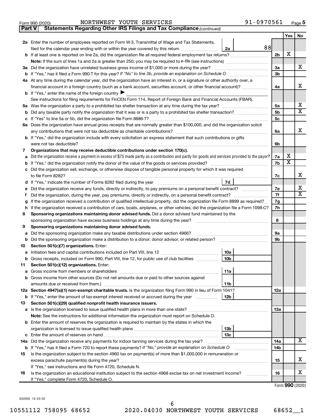| Form 990 (2020) | NORTHWEST YOUTH SERVICES |  | $-0970561$ | Page |
|-----------------|--------------------------|--|------------|------|
|-----------------|--------------------------|--|------------|------|

**Part V** Statements Regarding Other IRS Filings and Tax Compliance (continued)

**5**

|        |                                                                                                                                                                                                                                  |           | Yes                   | No                      |
|--------|----------------------------------------------------------------------------------------------------------------------------------------------------------------------------------------------------------------------------------|-----------|-----------------------|-------------------------|
|        | 2a Enter the number of employees reported on Form W-3, Transmittal of Wage and Tax Statements,                                                                                                                                   |           |                       |                         |
|        | 88<br>filed for the calendar year ending with or within the year covered by this return<br>2a                                                                                                                                    |           |                       |                         |
| b      | If at least one is reported on line 2a, did the organization file all required federal employment tax returns?                                                                                                                   | 2b        | X                     |                         |
|        | Note: If the sum of lines 1a and 2a is greater than 250, you may be required to e-file (see instructions) <i>marroummann</i>                                                                                                     |           |                       |                         |
|        | 3a Did the organization have unrelated business gross income of \$1,000 or more during the year?                                                                                                                                 | За        |                       | x                       |
| b      |                                                                                                                                                                                                                                  | 3b        |                       |                         |
|        | 4a At any time during the calendar year, did the organization have an interest in, or a signature or other authority over, a                                                                                                     |           |                       |                         |
|        | financial account in a foreign country (such as a bank account, securities account, or other financial account)?                                                                                                                 | 4a        |                       | х                       |
|        | <b>b</b> If "Yes," enter the name of the foreign country $\blacktriangleright$                                                                                                                                                   |           |                       |                         |
|        | See instructions for filing requirements for FinCEN Form 114, Report of Foreign Bank and Financial Accounts (FBAR).                                                                                                              |           |                       |                         |
| 5a     |                                                                                                                                                                                                                                  | 5a        |                       | x                       |
| b      |                                                                                                                                                                                                                                  | 5b        |                       | $\overline{\mathbf{X}}$ |
|        |                                                                                                                                                                                                                                  | 5с        |                       |                         |
|        | 6a Does the organization have annual gross receipts that are normally greater than \$100,000, and did the organization solicit                                                                                                   |           |                       | х                       |
|        |                                                                                                                                                                                                                                  | 6a        |                       |                         |
| b      | If "Yes," did the organization include with every solicitation an express statement that such contributions or gifts                                                                                                             |           |                       |                         |
|        | were not tax deductible?                                                                                                                                                                                                         | 6b        |                       |                         |
| 7      | Organizations that may receive deductible contributions under section 170(c).<br>Did the organization receive a payment in excess of \$75 made partly as a contribution and partly for goods and services provided to the payor? | 7a        | х                     |                         |
| a<br>b |                                                                                                                                                                                                                                  | 7b        | $\overline{\text{X}}$ |                         |
|        | Did the organization sell, exchange, or otherwise dispose of tangible personal property for which it was required                                                                                                                |           |                       |                         |
|        | to file Form 8282?                                                                                                                                                                                                               | 7c        |                       | х                       |
| d      | 7d                                                                                                                                                                                                                               |           |                       |                         |
|        | Did the organization receive any funds, directly or indirectly, to pay premiums on a personal benefit contract?                                                                                                                  | 7е        |                       | х                       |
| f      |                                                                                                                                                                                                                                  | 7f        |                       | $\overline{\mathbf{X}}$ |
| g      | If the organization received a contribution of qualified intellectual property, did the organization file Form 8899 as required?                                                                                                 | 7g        |                       |                         |
| h      | If the organization received a contribution of cars, boats, airplanes, or other vehicles, did the organization file a Form 1098-C?                                                                                               | 7h        |                       |                         |
| 8      | Sponsoring organizations maintaining donor advised funds. Did a donor advised fund maintained by the                                                                                                                             |           |                       |                         |
|        |                                                                                                                                                                                                                                  | 8         |                       |                         |
| 9      | Sponsoring organizations maintaining donor advised funds.                                                                                                                                                                        |           |                       |                         |
| а      | Did the sponsoring organization make any taxable distributions under section 4966?                                                                                                                                               | <b>9a</b> |                       |                         |
| b      |                                                                                                                                                                                                                                  | 9b        |                       |                         |
| 10     | Section 501(c)(7) organizations. Enter:                                                                                                                                                                                          |           |                       |                         |
| а      | 10a                                                                                                                                                                                                                              |           |                       |                         |
| b      | 10 <sub>b</sub><br>Gross receipts, included on Form 990, Part VIII, line 12, for public use of club facilities                                                                                                                   |           |                       |                         |
| 11     | Section 501(c)(12) organizations. Enter:                                                                                                                                                                                         |           |                       |                         |
|        | 11a                                                                                                                                                                                                                              |           |                       |                         |
|        | Gross income from other sources (Do not net amounts due or paid to other sources against                                                                                                                                         |           |                       |                         |
|        | 11b                                                                                                                                                                                                                              |           |                       |                         |
|        | 12a Section 4947(a)(1) non-exempt charitable trusts. Is the organization filing Form 990 in lieu of Form 1041?                                                                                                                   | 12a       |                       |                         |
|        | 12b<br><b>b</b> If "Yes," enter the amount of tax-exempt interest received or accrued during the year                                                                                                                            |           |                       |                         |
| 13     | Section 501(c)(29) qualified nonprofit health insurance issuers.                                                                                                                                                                 |           |                       |                         |
|        | a Is the organization licensed to issue qualified health plans in more than one state?                                                                                                                                           | 13a       |                       |                         |
|        | Note: See the instructions for additional information the organization must report on Schedule O.                                                                                                                                |           |                       |                         |
| b      | Enter the amount of reserves the organization is required to maintain by the states in which the<br>13b                                                                                                                          |           |                       |                         |
|        | 13c                                                                                                                                                                                                                              |           |                       |                         |
| с      | 14a Did the organization receive any payments for indoor tanning services during the tax year?                                                                                                                                   | 14a       |                       | x                       |
|        | <b>b</b> If "Yes," has it filed a Form 720 to report these payments? If "No," provide an explanation on Schedule O                                                                                                               | 14b       |                       |                         |
| 15     | Is the organization subject to the section 4960 tax on payment(s) of more than \$1,000,000 in remuneration or                                                                                                                    |           |                       |                         |
|        |                                                                                                                                                                                                                                  | 15        |                       | х                       |
|        | If "Yes," see instructions and file Form 4720, Schedule N.                                                                                                                                                                       |           |                       |                         |
| 16     | Is the organization an educational institution subject to the section 4968 excise tax on net investment income?                                                                                                                  | 16        |                       | x                       |
|        | If "Yes," complete Form 4720, Schedule O.                                                                                                                                                                                        |           |                       |                         |
|        |                                                                                                                                                                                                                                  |           |                       |                         |

Form (2020) **990**

032005 12-23-20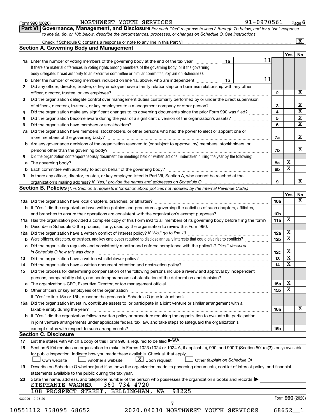## Form 990 (2020) Page NORTHWEST YOUTH SERVICES 91-0970561

**Part VI** Governance, Management, and Disclosure For each "Yes" response to lines 2 through 7b below, and for a "No" response *to line 8a, 8b, or 10b below, describe the circumstances, processes, or changes on Schedule O. See instructions.*

|     | Check if Schedule O contains a response or note to any line in this Part VI [11] [12] [12] Check if Schedule O contains a response or note to any line in this Part VI |                               |                         |                              | $\overline{\mathbf{X}}$ |
|-----|------------------------------------------------------------------------------------------------------------------------------------------------------------------------|-------------------------------|-------------------------|------------------------------|-------------------------|
|     | <b>Section A. Governing Body and Management</b>                                                                                                                        |                               |                         |                              |                         |
|     |                                                                                                                                                                        |                               |                         | Yes                          | No                      |
|     | 1a Enter the number of voting members of the governing body at the end of the tax year                                                                                 | 1a                            | 11                      |                              |                         |
|     | If there are material differences in voting rights among members of the governing body, or if the governing                                                            |                               |                         |                              |                         |
|     | body delegated broad authority to an executive committee or similar committee, explain on Schedule O.                                                                  |                               |                         |                              |                         |
|     | <b>b</b> Enter the number of voting members included on line 1a, above, who are independent <i></i>                                                                    | 1b                            | 11                      |                              |                         |
| 2   | Did any officer, director, trustee, or key employee have a family relationship or a business relationship with any other                                               |                               |                         |                              |                         |
|     | officer, director, trustee, or key employee?                                                                                                                           |                               | $\mathbf{2}$            |                              |                         |
| 3   | Did the organization delegate control over management duties customarily performed by or under the direct supervision                                                  |                               |                         |                              |                         |
|     |                                                                                                                                                                        |                               | 3                       |                              |                         |
| 4   | Did the organization make any significant changes to its governing documents since the prior Form 990 was filed?                                                       |                               | 4                       |                              |                         |
| 5   |                                                                                                                                                                        |                               | $\overline{\mathbf{5}}$ |                              |                         |
| 6   |                                                                                                                                                                        |                               | 6                       |                              |                         |
| 7a  | Did the organization have members, stockholders, or other persons who had the power to elect or appoint one or                                                         |                               |                         |                              |                         |
|     |                                                                                                                                                                        |                               | 7a                      |                              |                         |
|     | <b>b</b> Are any governance decisions of the organization reserved to (or subject to approval by) members, stockholders, or                                            |                               |                         |                              |                         |
|     | persons other than the governing body?                                                                                                                                 |                               | 7b                      |                              |                         |
| 8   | Did the organization contemporaneously document the meetings held or written actions undertaken during the year by the following:                                      |                               |                         |                              |                         |
|     |                                                                                                                                                                        |                               | 8a                      | x                            |                         |
| b   |                                                                                                                                                                        |                               | 8b                      | $\overline{\mathbf{x}}$      |                         |
| 9   | Is there any officer, director, trustee, or key employee listed in Part VII, Section A, who cannot be reached at the                                                   |                               |                         |                              |                         |
|     |                                                                                                                                                                        |                               | 9                       |                              |                         |
|     | Section B. Policies (This Section B requests information about policies not required by the Internal Revenue Code.)                                                    |                               |                         |                              |                         |
|     |                                                                                                                                                                        |                               |                         | Yes                          |                         |
|     |                                                                                                                                                                        |                               | 10a                     |                              |                         |
|     | <b>b</b> If "Yes," did the organization have written policies and procedures governing the activities of such chapters, affiliates,                                    |                               |                         |                              |                         |
|     |                                                                                                                                                                        |                               | 10 <sub>b</sub>         |                              |                         |
|     |                                                                                                                                                                        |                               | 11a                     | X                            |                         |
|     | 11a Has the organization provided a complete copy of this Form 990 to all members of its governing body before filing the form?                                        |                               |                         |                              |                         |
|     | <b>b</b> Describe in Schedule O the process, if any, used by the organization to review this Form 990.                                                                 |                               |                         | x                            |                         |
| 12a |                                                                                                                                                                        |                               | 12a                     | $\overline{\textbf{x}}$      |                         |
| b   | Were officers, directors, or trustees, and key employees required to disclose annually interests that could give rise to conflicts?                                    |                               | 12 <sub>b</sub>         |                              |                         |
|     | c Did the organization regularly and consistently monitor and enforce compliance with the policy? If "Yes," describe                                                   |                               |                         |                              |                         |
|     | in Schedule O how this was done manufactured and continuum and contact the way to the set of the set of the schedule O how this was done                               |                               | 12c                     | х<br>$\overline{\textbf{x}}$ |                         |
| 13  |                                                                                                                                                                        |                               | 13                      |                              |                         |
| 14  | Did the organization have a written document retention and destruction policy? [11] manufaction manufaction in                                                         |                               | 14                      | $\overline{\textbf{x}}$      |                         |
| 15  | Did the process for determining compensation of the following persons include a review and approval by independent                                                     |                               |                         |                              |                         |
|     | persons, comparability data, and contemporaneous substantiation of the deliberation and decision?                                                                      |                               |                         |                              |                         |
|     |                                                                                                                                                                        |                               | 15a                     | x                            |                         |
|     |                                                                                                                                                                        |                               | 15b                     | $\overline{\textbf{x}}$      |                         |
|     | If "Yes" to line 15a or 15b, describe the process in Schedule O (see instructions).                                                                                    |                               |                         |                              |                         |
|     | 16a Did the organization invest in, contribute assets to, or participate in a joint venture or similar arrangement with a                                              |                               |                         |                              |                         |
|     | taxable entity during the year?                                                                                                                                        |                               | 16a                     |                              |                         |
|     | <b>b</b> If "Yes," did the organization follow a written policy or procedure requiring the organization to evaluate its participation                                  |                               |                         |                              |                         |
|     | in joint venture arrangements under applicable federal tax law, and take steps to safeguard the organization's                                                         |                               |                         |                              |                         |
|     | exempt status with respect to such arrangements?                                                                                                                       |                               | 16b                     |                              |                         |
|     | <b>Section C. Disclosure</b>                                                                                                                                           |                               |                         |                              |                         |
| 17  | List the states with which a copy of this Form 990 is required to be filed $\blacktriangleright\text{WA}$                                                              |                               |                         |                              |                         |
| 18  | Section 6104 requires an organization to make its Forms 1023 (1024 or 1024-A, if applicable), 990, and 990-T (Section 501(c)(3)s only) available                       |                               |                         |                              |                         |
|     | for public inspection. Indicate how you made these available. Check all that apply.                                                                                    |                               |                         |                              |                         |
|     | $\lfloor x \rfloor$ Upon request<br>Own website<br>Another's website                                                                                                   | Other (explain on Schedule O) |                         |                              |                         |
| 19  | Describe on Schedule O whether (and if so, how) the organization made its governing documents, conflict of interest policy, and financial                              |                               |                         |                              |                         |
|     | statements available to the public during the tax year.                                                                                                                |                               |                         |                              |                         |
|     | State the name, address, and telephone number of the person who possesses the organization's books and records                                                         |                               |                         |                              |                         |
|     | STEPHANIE WAGNER - 360-734-4720                                                                                                                                        |                               |                         |                              |                         |
|     |                                                                                                                                                                        |                               |                         |                              |                         |
|     |                                                                                                                                                                        |                               |                         |                              |                         |
|     | 108 PROSPECT STREET, BELLINGHAM, WA<br>98225                                                                                                                           |                               |                         |                              |                         |
| 20  | 032006 12-23-20<br>7                                                                                                                                                   |                               |                         | Form 990 (2020)              |                         |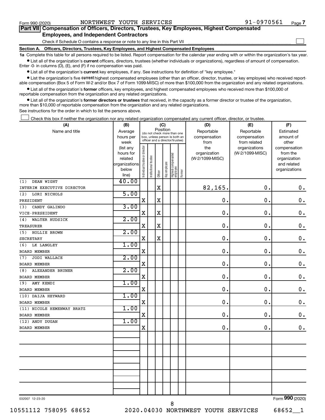$\Box$ 

| Part VII Compensation of Officers, Directors, Trustees, Key Employees, Highest Compensated |  |  |
|--------------------------------------------------------------------------------------------|--|--|
| <b>Employees, and Independent Contractors</b>                                              |  |  |

Check if Schedule O contains a response or note to any line in this Part VII

**Section A. Officers, Directors, Trustees, Key Employees, and Highest Compensated Employees**

**1a**  Complete this table for all persons required to be listed. Report compensation for the calendar year ending with or within the organization's tax year.  $\bullet$  List all of the organization's current officers, directors, trustees (whether individuals or organizations), regardless of amount of compensation.

Enter -0- in columns (D), (E), and (F) if no compensation was paid.

**•** List all of the organization's current key employees, if any. See instructions for definition of "key employee."

• List the organization's five *current* highest compensated employees (other than an officer, director, trustee, or key employee) who received reportable compensation (Box 5 of Form W-2 and/or Box 7 of Form 1099-MISC) of more than \$100,000 from the organization and any related organizations.

 $\bullet$  List all of the organization's former officers, key employees, and highest compensated employees who received more than \$100,000 of reportable compensation from the organization and any related organizations.

**•** List all of the organization's former directors or trustees that received, in the capacity as a former director or trustee of the organization, more than \$10,000 of reportable compensation from the organization and any related organizations.

See instructions for the order in which to list the persons above.

Check this box if neither the organization nor any related organization compensated any current officer, director, or trustee.  $\Box$ 

| Position<br>Name and title<br>Reportable<br>Reportable<br>Average<br>Estimated<br>(do not check more than one<br>compensation<br>compensation<br>hours per<br>box, unless person is both an<br>amount of<br>officer and a director/trustee)<br>week<br>from<br>from related<br>other<br>Individual trustee or director<br>the<br>organizations<br>(list any<br>compensation<br>(W-2/1099-MISC)<br>from the<br>hours for<br>organization<br>Highest compensated<br>employee<br>Institutional trustee<br>(W-2/1099-MISC)<br>related<br>organization<br>Key employee<br>organizations<br>and related<br>below<br>organizations<br>Former<br>Officer<br>line)<br>40.00<br>DEAN WIGHT<br>(1)<br>$\mathbf X$<br>82,165.<br>0.<br>$\mathbf 0$ .<br>INTERIM EXECUTIVE DIRECTOR<br>5.00<br>LORI NICHOLS<br>(2)<br>$\mathbf X$<br>$\mathbf X$<br>0.<br>$\mathbf 0$ .<br>$\mathbf 0$ .<br>PRESIDENT<br>3.00<br>CANDY GALINDO<br>(3)<br>$\mathbf 0$ .<br>X<br>$\mathbf X$<br>$\mathbf 0$ .<br>$\mathbf 0$ .<br>VICE-PRESEIDENT<br>2.00<br>WALTER HUDSICK<br>(4)<br>$\mathbf X$<br>$\mathbf 0$ .<br>$\mathbf 0$ .<br>$\mathbf X$<br>$\mathbf 0$ .<br>TREASURER<br>2.00<br>(5) HOLLIE BROWN<br>$\mathbf 0$ .<br>$\mathbf X$<br>$\mathbf X$<br>$\mathbf 0$ .<br>$\mathbf 0$ .<br><b>SECRETARY</b><br>1.00<br>LK LANGLEY<br>(6)<br>$\mathbf X$<br>0<br>$\mathbf 0$ .<br>$0$ .<br><b>BOARD MEMBER</b><br>2.00<br>JODI WALLACE<br>(7)<br>$\mathbf X$<br>$\mathbf 0$<br>0.<br>$\mathbf 0$ .<br><b>BOARD MEMBER</b><br>2.00<br>ALEXANDER BRUNER<br>(8)<br>$\mathbf X$<br>0.<br>$\mathbf 0$ .<br>$\mathbf 0$ .<br>1.00<br>AMY KENDI<br>(9)<br>$\mathbf X$<br>$\mathbf 0$<br>$\mathbf 0$ .<br>$\mathbf 0$ .<br><b>BOARD MEMBER</b><br>1.00<br>(10) DAIJA HEYWARD<br>$\mathbf X$<br>$\mathbf 0$<br>$\mathbf 0$ .<br>$\mathbf 0$ .<br><b>BOARD MEMBER</b><br>1.00<br>(11) NICOLE HEMENWAY BRATZ<br>$\mathbf X$<br>$\mathbf 0$<br>$\mathbf 0$ .<br>0.<br><b>BOARD MEMBER</b><br>1.00<br>(12) ANDY DUGAN<br>$\mathbf X$<br>$\mathbf 0$<br>$\mathbf 0$ .<br>$0$ .<br><b>BOARD MEMBER</b> | (A)                 | (B) | (C) |  |  |  |  |  | (D) | (E) | (F) |
|---------------------------------------------------------------------------------------------------------------------------------------------------------------------------------------------------------------------------------------------------------------------------------------------------------------------------------------------------------------------------------------------------------------------------------------------------------------------------------------------------------------------------------------------------------------------------------------------------------------------------------------------------------------------------------------------------------------------------------------------------------------------------------------------------------------------------------------------------------------------------------------------------------------------------------------------------------------------------------------------------------------------------------------------------------------------------------------------------------------------------------------------------------------------------------------------------------------------------------------------------------------------------------------------------------------------------------------------------------------------------------------------------------------------------------------------------------------------------------------------------------------------------------------------------------------------------------------------------------------------------------------------------------------------------------------------------------------------------------------------------------------------------------------------------------------------------------------------------------------------------------------------------------------------------------------------------------------------------------------------------------------------------------------------------------------|---------------------|-----|-----|--|--|--|--|--|-----|-----|-----|
|                                                                                                                                                                                                                                                                                                                                                                                                                                                                                                                                                                                                                                                                                                                                                                                                                                                                                                                                                                                                                                                                                                                                                                                                                                                                                                                                                                                                                                                                                                                                                                                                                                                                                                                                                                                                                                                                                                                                                                                                                                                               |                     |     |     |  |  |  |  |  |     |     |     |
|                                                                                                                                                                                                                                                                                                                                                                                                                                                                                                                                                                                                                                                                                                                                                                                                                                                                                                                                                                                                                                                                                                                                                                                                                                                                                                                                                                                                                                                                                                                                                                                                                                                                                                                                                                                                                                                                                                                                                                                                                                                               |                     |     |     |  |  |  |  |  |     |     |     |
|                                                                                                                                                                                                                                                                                                                                                                                                                                                                                                                                                                                                                                                                                                                                                                                                                                                                                                                                                                                                                                                                                                                                                                                                                                                                                                                                                                                                                                                                                                                                                                                                                                                                                                                                                                                                                                                                                                                                                                                                                                                               |                     |     |     |  |  |  |  |  |     |     |     |
|                                                                                                                                                                                                                                                                                                                                                                                                                                                                                                                                                                                                                                                                                                                                                                                                                                                                                                                                                                                                                                                                                                                                                                                                                                                                                                                                                                                                                                                                                                                                                                                                                                                                                                                                                                                                                                                                                                                                                                                                                                                               |                     |     |     |  |  |  |  |  |     |     |     |
|                                                                                                                                                                                                                                                                                                                                                                                                                                                                                                                                                                                                                                                                                                                                                                                                                                                                                                                                                                                                                                                                                                                                                                                                                                                                                                                                                                                                                                                                                                                                                                                                                                                                                                                                                                                                                                                                                                                                                                                                                                                               |                     |     |     |  |  |  |  |  |     |     |     |
|                                                                                                                                                                                                                                                                                                                                                                                                                                                                                                                                                                                                                                                                                                                                                                                                                                                                                                                                                                                                                                                                                                                                                                                                                                                                                                                                                                                                                                                                                                                                                                                                                                                                                                                                                                                                                                                                                                                                                                                                                                                               |                     |     |     |  |  |  |  |  |     |     |     |
|                                                                                                                                                                                                                                                                                                                                                                                                                                                                                                                                                                                                                                                                                                                                                                                                                                                                                                                                                                                                                                                                                                                                                                                                                                                                                                                                                                                                                                                                                                                                                                                                                                                                                                                                                                                                                                                                                                                                                                                                                                                               |                     |     |     |  |  |  |  |  |     |     |     |
|                                                                                                                                                                                                                                                                                                                                                                                                                                                                                                                                                                                                                                                                                                                                                                                                                                                                                                                                                                                                                                                                                                                                                                                                                                                                                                                                                                                                                                                                                                                                                                                                                                                                                                                                                                                                                                                                                                                                                                                                                                                               |                     |     |     |  |  |  |  |  |     |     |     |
|                                                                                                                                                                                                                                                                                                                                                                                                                                                                                                                                                                                                                                                                                                                                                                                                                                                                                                                                                                                                                                                                                                                                                                                                                                                                                                                                                                                                                                                                                                                                                                                                                                                                                                                                                                                                                                                                                                                                                                                                                                                               |                     |     |     |  |  |  |  |  |     |     |     |
|                                                                                                                                                                                                                                                                                                                                                                                                                                                                                                                                                                                                                                                                                                                                                                                                                                                                                                                                                                                                                                                                                                                                                                                                                                                                                                                                                                                                                                                                                                                                                                                                                                                                                                                                                                                                                                                                                                                                                                                                                                                               |                     |     |     |  |  |  |  |  |     |     |     |
|                                                                                                                                                                                                                                                                                                                                                                                                                                                                                                                                                                                                                                                                                                                                                                                                                                                                                                                                                                                                                                                                                                                                                                                                                                                                                                                                                                                                                                                                                                                                                                                                                                                                                                                                                                                                                                                                                                                                                                                                                                                               |                     |     |     |  |  |  |  |  |     |     |     |
|                                                                                                                                                                                                                                                                                                                                                                                                                                                                                                                                                                                                                                                                                                                                                                                                                                                                                                                                                                                                                                                                                                                                                                                                                                                                                                                                                                                                                                                                                                                                                                                                                                                                                                                                                                                                                                                                                                                                                                                                                                                               |                     |     |     |  |  |  |  |  |     |     |     |
|                                                                                                                                                                                                                                                                                                                                                                                                                                                                                                                                                                                                                                                                                                                                                                                                                                                                                                                                                                                                                                                                                                                                                                                                                                                                                                                                                                                                                                                                                                                                                                                                                                                                                                                                                                                                                                                                                                                                                                                                                                                               |                     |     |     |  |  |  |  |  |     |     |     |
|                                                                                                                                                                                                                                                                                                                                                                                                                                                                                                                                                                                                                                                                                                                                                                                                                                                                                                                                                                                                                                                                                                                                                                                                                                                                                                                                                                                                                                                                                                                                                                                                                                                                                                                                                                                                                                                                                                                                                                                                                                                               |                     |     |     |  |  |  |  |  |     |     |     |
|                                                                                                                                                                                                                                                                                                                                                                                                                                                                                                                                                                                                                                                                                                                                                                                                                                                                                                                                                                                                                                                                                                                                                                                                                                                                                                                                                                                                                                                                                                                                                                                                                                                                                                                                                                                                                                                                                                                                                                                                                                                               |                     |     |     |  |  |  |  |  |     |     |     |
|                                                                                                                                                                                                                                                                                                                                                                                                                                                                                                                                                                                                                                                                                                                                                                                                                                                                                                                                                                                                                                                                                                                                                                                                                                                                                                                                                                                                                                                                                                                                                                                                                                                                                                                                                                                                                                                                                                                                                                                                                                                               |                     |     |     |  |  |  |  |  |     |     |     |
|                                                                                                                                                                                                                                                                                                                                                                                                                                                                                                                                                                                                                                                                                                                                                                                                                                                                                                                                                                                                                                                                                                                                                                                                                                                                                                                                                                                                                                                                                                                                                                                                                                                                                                                                                                                                                                                                                                                                                                                                                                                               |                     |     |     |  |  |  |  |  |     |     |     |
|                                                                                                                                                                                                                                                                                                                                                                                                                                                                                                                                                                                                                                                                                                                                                                                                                                                                                                                                                                                                                                                                                                                                                                                                                                                                                                                                                                                                                                                                                                                                                                                                                                                                                                                                                                                                                                                                                                                                                                                                                                                               |                     |     |     |  |  |  |  |  |     |     |     |
|                                                                                                                                                                                                                                                                                                                                                                                                                                                                                                                                                                                                                                                                                                                                                                                                                                                                                                                                                                                                                                                                                                                                                                                                                                                                                                                                                                                                                                                                                                                                                                                                                                                                                                                                                                                                                                                                                                                                                                                                                                                               |                     |     |     |  |  |  |  |  |     |     |     |
|                                                                                                                                                                                                                                                                                                                                                                                                                                                                                                                                                                                                                                                                                                                                                                                                                                                                                                                                                                                                                                                                                                                                                                                                                                                                                                                                                                                                                                                                                                                                                                                                                                                                                                                                                                                                                                                                                                                                                                                                                                                               |                     |     |     |  |  |  |  |  |     |     |     |
|                                                                                                                                                                                                                                                                                                                                                                                                                                                                                                                                                                                                                                                                                                                                                                                                                                                                                                                                                                                                                                                                                                                                                                                                                                                                                                                                                                                                                                                                                                                                                                                                                                                                                                                                                                                                                                                                                                                                                                                                                                                               |                     |     |     |  |  |  |  |  |     |     |     |
|                                                                                                                                                                                                                                                                                                                                                                                                                                                                                                                                                                                                                                                                                                                                                                                                                                                                                                                                                                                                                                                                                                                                                                                                                                                                                                                                                                                                                                                                                                                                                                                                                                                                                                                                                                                                                                                                                                                                                                                                                                                               |                     |     |     |  |  |  |  |  |     |     |     |
|                                                                                                                                                                                                                                                                                                                                                                                                                                                                                                                                                                                                                                                                                                                                                                                                                                                                                                                                                                                                                                                                                                                                                                                                                                                                                                                                                                                                                                                                                                                                                                                                                                                                                                                                                                                                                                                                                                                                                                                                                                                               |                     |     |     |  |  |  |  |  |     |     |     |
|                                                                                                                                                                                                                                                                                                                                                                                                                                                                                                                                                                                                                                                                                                                                                                                                                                                                                                                                                                                                                                                                                                                                                                                                                                                                                                                                                                                                                                                                                                                                                                                                                                                                                                                                                                                                                                                                                                                                                                                                                                                               | <b>BOARD MEMBER</b> |     |     |  |  |  |  |  |     |     |     |
|                                                                                                                                                                                                                                                                                                                                                                                                                                                                                                                                                                                                                                                                                                                                                                                                                                                                                                                                                                                                                                                                                                                                                                                                                                                                                                                                                                                                                                                                                                                                                                                                                                                                                                                                                                                                                                                                                                                                                                                                                                                               |                     |     |     |  |  |  |  |  |     |     |     |
|                                                                                                                                                                                                                                                                                                                                                                                                                                                                                                                                                                                                                                                                                                                                                                                                                                                                                                                                                                                                                                                                                                                                                                                                                                                                                                                                                                                                                                                                                                                                                                                                                                                                                                                                                                                                                                                                                                                                                                                                                                                               |                     |     |     |  |  |  |  |  |     |     |     |
|                                                                                                                                                                                                                                                                                                                                                                                                                                                                                                                                                                                                                                                                                                                                                                                                                                                                                                                                                                                                                                                                                                                                                                                                                                                                                                                                                                                                                                                                                                                                                                                                                                                                                                                                                                                                                                                                                                                                                                                                                                                               |                     |     |     |  |  |  |  |  |     |     |     |
|                                                                                                                                                                                                                                                                                                                                                                                                                                                                                                                                                                                                                                                                                                                                                                                                                                                                                                                                                                                                                                                                                                                                                                                                                                                                                                                                                                                                                                                                                                                                                                                                                                                                                                                                                                                                                                                                                                                                                                                                                                                               |                     |     |     |  |  |  |  |  |     |     |     |
|                                                                                                                                                                                                                                                                                                                                                                                                                                                                                                                                                                                                                                                                                                                                                                                                                                                                                                                                                                                                                                                                                                                                                                                                                                                                                                                                                                                                                                                                                                                                                                                                                                                                                                                                                                                                                                                                                                                                                                                                                                                               |                     |     |     |  |  |  |  |  |     |     |     |
|                                                                                                                                                                                                                                                                                                                                                                                                                                                                                                                                                                                                                                                                                                                                                                                                                                                                                                                                                                                                                                                                                                                                                                                                                                                                                                                                                                                                                                                                                                                                                                                                                                                                                                                                                                                                                                                                                                                                                                                                                                                               |                     |     |     |  |  |  |  |  |     |     |     |
|                                                                                                                                                                                                                                                                                                                                                                                                                                                                                                                                                                                                                                                                                                                                                                                                                                                                                                                                                                                                                                                                                                                                                                                                                                                                                                                                                                                                                                                                                                                                                                                                                                                                                                                                                                                                                                                                                                                                                                                                                                                               |                     |     |     |  |  |  |  |  |     |     |     |
|                                                                                                                                                                                                                                                                                                                                                                                                                                                                                                                                                                                                                                                                                                                                                                                                                                                                                                                                                                                                                                                                                                                                                                                                                                                                                                                                                                                                                                                                                                                                                                                                                                                                                                                                                                                                                                                                                                                                                                                                                                                               |                     |     |     |  |  |  |  |  |     |     |     |
|                                                                                                                                                                                                                                                                                                                                                                                                                                                                                                                                                                                                                                                                                                                                                                                                                                                                                                                                                                                                                                                                                                                                                                                                                                                                                                                                                                                                                                                                                                                                                                                                                                                                                                                                                                                                                                                                                                                                                                                                                                                               |                     |     |     |  |  |  |  |  |     |     |     |
|                                                                                                                                                                                                                                                                                                                                                                                                                                                                                                                                                                                                                                                                                                                                                                                                                                                                                                                                                                                                                                                                                                                                                                                                                                                                                                                                                                                                                                                                                                                                                                                                                                                                                                                                                                                                                                                                                                                                                                                                                                                               |                     |     |     |  |  |  |  |  |     |     |     |
|                                                                                                                                                                                                                                                                                                                                                                                                                                                                                                                                                                                                                                                                                                                                                                                                                                                                                                                                                                                                                                                                                                                                                                                                                                                                                                                                                                                                                                                                                                                                                                                                                                                                                                                                                                                                                                                                                                                                                                                                                                                               |                     |     |     |  |  |  |  |  |     |     |     |
|                                                                                                                                                                                                                                                                                                                                                                                                                                                                                                                                                                                                                                                                                                                                                                                                                                                                                                                                                                                                                                                                                                                                                                                                                                                                                                                                                                                                                                                                                                                                                                                                                                                                                                                                                                                                                                                                                                                                                                                                                                                               |                     |     |     |  |  |  |  |  |     |     |     |
|                                                                                                                                                                                                                                                                                                                                                                                                                                                                                                                                                                                                                                                                                                                                                                                                                                                                                                                                                                                                                                                                                                                                                                                                                                                                                                                                                                                                                                                                                                                                                                                                                                                                                                                                                                                                                                                                                                                                                                                                                                                               |                     |     |     |  |  |  |  |  |     |     |     |
|                                                                                                                                                                                                                                                                                                                                                                                                                                                                                                                                                                                                                                                                                                                                                                                                                                                                                                                                                                                                                                                                                                                                                                                                                                                                                                                                                                                                                                                                                                                                                                                                                                                                                                                                                                                                                                                                                                                                                                                                                                                               |                     |     |     |  |  |  |  |  |     |     |     |
|                                                                                                                                                                                                                                                                                                                                                                                                                                                                                                                                                                                                                                                                                                                                                                                                                                                                                                                                                                                                                                                                                                                                                                                                                                                                                                                                                                                                                                                                                                                                                                                                                                                                                                                                                                                                                                                                                                                                                                                                                                                               |                     |     |     |  |  |  |  |  |     |     |     |
|                                                                                                                                                                                                                                                                                                                                                                                                                                                                                                                                                                                                                                                                                                                                                                                                                                                                                                                                                                                                                                                                                                                                                                                                                                                                                                                                                                                                                                                                                                                                                                                                                                                                                                                                                                                                                                                                                                                                                                                                                                                               |                     |     |     |  |  |  |  |  |     |     |     |
|                                                                                                                                                                                                                                                                                                                                                                                                                                                                                                                                                                                                                                                                                                                                                                                                                                                                                                                                                                                                                                                                                                                                                                                                                                                                                                                                                                                                                                                                                                                                                                                                                                                                                                                                                                                                                                                                                                                                                                                                                                                               |                     |     |     |  |  |  |  |  |     |     |     |
|                                                                                                                                                                                                                                                                                                                                                                                                                                                                                                                                                                                                                                                                                                                                                                                                                                                                                                                                                                                                                                                                                                                                                                                                                                                                                                                                                                                                                                                                                                                                                                                                                                                                                                                                                                                                                                                                                                                                                                                                                                                               |                     |     |     |  |  |  |  |  |     |     |     |

032007 12-23-20

Form (2020) **990**

8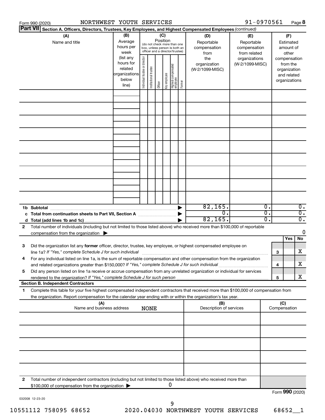|                 | NORTHWEST YOUTH SERVICES<br>Form 990 (2020)                                                                                                                                                                                                                                                                                                                      |                                                                         |                                |                       |          |              |                                                                                                         |        |                                                                | 91-0970561                                                       |          |     |                                                                               | Page 8                               |
|-----------------|------------------------------------------------------------------------------------------------------------------------------------------------------------------------------------------------------------------------------------------------------------------------------------------------------------------------------------------------------------------|-------------------------------------------------------------------------|--------------------------------|-----------------------|----------|--------------|---------------------------------------------------------------------------------------------------------|--------|----------------------------------------------------------------|------------------------------------------------------------------|----------|-----|-------------------------------------------------------------------------------|--------------------------------------|
| <b>Part VII</b> | Section A. Officers, Directors, Trustees, Key Employees, and Highest Compensated Employees (continued)                                                                                                                                                                                                                                                           |                                                                         |                                |                       |          |              |                                                                                                         |        |                                                                |                                                                  |          |     |                                                                               |                                      |
|                 | (A)<br>Name and title                                                                                                                                                                                                                                                                                                                                            | (B)<br>Average                                                          |                                |                       | Position | (C)          | (do not check more than one                                                                             |        | (D)<br>Reportable                                              | (E)<br>Reportable                                                |          |     | (F)<br>Estimated                                                              |                                      |
|                 |                                                                                                                                                                                                                                                                                                                                                                  | hours per<br>week<br>(list any<br>hours for<br>related<br>organizations | Individual trustee or director | Institutional trustee |          |              | box, unless person is both an<br>officer and a director/trustee)<br>  Highest compensated<br>  employee |        | compensation<br>from<br>the<br>organization<br>(W-2/1099-MISC) | compensation<br>from related<br>organizations<br>(W-2/1099-MISC) |          |     | amount of<br>other<br>compensation<br>from the<br>organization<br>and related |                                      |
|                 |                                                                                                                                                                                                                                                                                                                                                                  | below<br>line)                                                          |                                |                       | Officer  | Key employee |                                                                                                         | Former |                                                                |                                                                  |          |     | organizations                                                                 |                                      |
|                 |                                                                                                                                                                                                                                                                                                                                                                  |                                                                         |                                |                       |          |              |                                                                                                         |        |                                                                |                                                                  |          |     |                                                                               |                                      |
|                 |                                                                                                                                                                                                                                                                                                                                                                  |                                                                         |                                |                       |          |              |                                                                                                         |        |                                                                |                                                                  |          |     |                                                                               |                                      |
|                 |                                                                                                                                                                                                                                                                                                                                                                  |                                                                         |                                |                       |          |              |                                                                                                         |        |                                                                |                                                                  |          |     |                                                                               |                                      |
|                 |                                                                                                                                                                                                                                                                                                                                                                  |                                                                         |                                |                       |          |              |                                                                                                         |        |                                                                |                                                                  |          |     |                                                                               |                                      |
|                 |                                                                                                                                                                                                                                                                                                                                                                  |                                                                         |                                |                       |          |              |                                                                                                         |        |                                                                |                                                                  |          |     |                                                                               |                                      |
|                 |                                                                                                                                                                                                                                                                                                                                                                  |                                                                         |                                |                       |          |              |                                                                                                         |        |                                                                |                                                                  |          |     |                                                                               |                                      |
|                 | 1b Subtotal                                                                                                                                                                                                                                                                                                                                                      |                                                                         |                                |                       |          |              |                                                                                                         |        | 82, 165.                                                       |                                                                  | 0.       |     |                                                                               | $0$ .                                |
| 2               | c Total from continuation sheets to Part VII, Section A manufactured by<br>Total number of individuals (including but not limited to those listed above) who received more than \$100,000 of reportable                                                                                                                                                          |                                                                         |                                |                       |          |              |                                                                                                         |        | $\mathbf 0$ .<br>82,165.                                       |                                                                  | σ.<br>σ. |     |                                                                               | $\overline{0}$ .<br>$\overline{0}$ . |
|                 | compensation from the organization $\blacktriangleright$                                                                                                                                                                                                                                                                                                         |                                                                         |                                |                       |          |              |                                                                                                         |        |                                                                |                                                                  |          |     | Yes                                                                           | 0<br>No                              |
| 3               | Did the organization list any former officer, director, trustee, key employee, or highest compensated employee on<br>line 1a? If "Yes," complete Schedule J for such individual [11] manufacture manufacture in the set of the set o<br>For any individual listed on line 1a, is the sum of reportable compensation and other compensation from the organization |                                                                         |                                |                       |          |              |                                                                                                         |        |                                                                |                                                                  |          | 3   |                                                                               | х                                    |
| 5               | and related organizations greater than \$150,000? If "Yes," complete Schedule J for such individual<br>Did any person listed on line 1a receive or accrue compensation from any unrelated organization or individual for services                                                                                                                                |                                                                         |                                |                       |          |              |                                                                                                         |        |                                                                |                                                                  |          | 4   |                                                                               | х                                    |
|                 | rendered to the organization? If "Yes," complete Schedule J for such person.<br><b>Section B. Independent Contractors</b>                                                                                                                                                                                                                                        |                                                                         |                                |                       |          |              |                                                                                                         |        |                                                                |                                                                  |          | 5   |                                                                               | х                                    |
| 1.              | Complete this table for your five highest compensated independent contractors that received more than \$100,000 of compensation from<br>the organization. Report compensation for the calendar year ending with or within the organization's tax year.                                                                                                           |                                                                         |                                |                       |          |              |                                                                                                         |        |                                                                |                                                                  |          |     |                                                                               |                                      |
|                 | (A)<br>Name and business address                                                                                                                                                                                                                                                                                                                                 |                                                                         |                                | <b>NONE</b>           |          |              |                                                                                                         |        | (B)<br>Description of services                                 |                                                                  |          | (C) | Compensation                                                                  |                                      |
|                 |                                                                                                                                                                                                                                                                                                                                                                  |                                                                         |                                |                       |          |              |                                                                                                         |        |                                                                |                                                                  |          |     |                                                                               |                                      |
|                 |                                                                                                                                                                                                                                                                                                                                                                  |                                                                         |                                |                       |          |              |                                                                                                         |        |                                                                |                                                                  |          |     |                                                                               |                                      |
|                 |                                                                                                                                                                                                                                                                                                                                                                  |                                                                         |                                |                       |          |              |                                                                                                         |        |                                                                |                                                                  |          |     |                                                                               |                                      |
| 2               | Total number of independent contractors (including but not limited to those listed above) who received more than                                                                                                                                                                                                                                                 |                                                                         |                                |                       |          |              |                                                                                                         |        |                                                                |                                                                  |          |     |                                                                               |                                      |
|                 | \$100,000 of compensation from the organization                                                                                                                                                                                                                                                                                                                  |                                                                         |                                |                       |          |              | U                                                                                                       |        |                                                                |                                                                  |          |     | Form 990 (2020)                                                               |                                      |

032008 12-23-20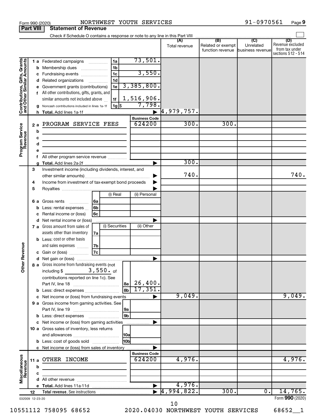|                                                           | <b>Part VIII</b> | <b>Statement of Revenue</b>                                                                                                                                                                                                                                               |                                                                             |                                                         |                              |                                                        |           |                                                                 |
|-----------------------------------------------------------|------------------|---------------------------------------------------------------------------------------------------------------------------------------------------------------------------------------------------------------------------------------------------------------------------|-----------------------------------------------------------------------------|---------------------------------------------------------|------------------------------|--------------------------------------------------------|-----------|-----------------------------------------------------------------|
|                                                           |                  |                                                                                                                                                                                                                                                                           |                                                                             |                                                         |                              |                                                        |           |                                                                 |
|                                                           |                  |                                                                                                                                                                                                                                                                           |                                                                             |                                                         | Total revenue                | Related or exempt<br>function revenue business revenue | Unrelated | (D)<br>Revenue excluded<br>from tax under<br>sections 512 - 514 |
| Contributions, Gifts, Grants<br>and Other Similar Amounts | b<br>с<br>d<br>f | 1 a Federated campaigns<br>Membership dues<br>Fundraising events<br>Related organizations<br>.<br>Government grants (contributions)<br>All other contributions, gifts, grants, and<br>similar amounts not included above<br>Noncash contributions included in lines 1a-1f | 1a<br>1 <sub>b</sub><br>1 <sub>c</sub><br>1 <sub>d</sub><br>1e<br>1f<br> 1g | 73,501.<br>3,550.<br>3,385,800.<br>1,516,906.<br>7,798. | $\left[4\, , 979 \, , 757$ . |                                                        |           |                                                                 |
|                                                           | h                |                                                                                                                                                                                                                                                                           |                                                                             | <b>Business Code</b>                                    |                              |                                                        |           |                                                                 |
|                                                           | 2a               | PROGRAM SERVICE FEES                                                                                                                                                                                                                                                      |                                                                             | 624200                                                  | 300.                         | 300.                                                   |           |                                                                 |
|                                                           | b                |                                                                                                                                                                                                                                                                           |                                                                             |                                                         |                              |                                                        |           |                                                                 |
| Program Service<br>Revenue                                | c                | the control of the control of the control of the control of the control of                                                                                                                                                                                                |                                                                             |                                                         |                              |                                                        |           |                                                                 |
|                                                           | d                | the control of the control of the control of the control of the control of                                                                                                                                                                                                |                                                                             |                                                         |                              |                                                        |           |                                                                 |
|                                                           | е                |                                                                                                                                                                                                                                                                           |                                                                             |                                                         |                              |                                                        |           |                                                                 |
|                                                           | f                |                                                                                                                                                                                                                                                                           |                                                                             |                                                         |                              |                                                        |           |                                                                 |
|                                                           |                  |                                                                                                                                                                                                                                                                           |                                                                             | $\blacktriangleright$                                   | 300.                         |                                                        |           |                                                                 |
|                                                           | 3<br>4           | Investment income (including dividends, interest, and<br>Income from investment of tax-exempt bond proceeds                                                                                                                                                               |                                                                             |                                                         | 740.                         |                                                        |           | 740.                                                            |
|                                                           | 5                |                                                                                                                                                                                                                                                                           |                                                                             |                                                         |                              |                                                        |           |                                                                 |
|                                                           |                  |                                                                                                                                                                                                                                                                           | (i) Real                                                                    | (ii) Personal                                           |                              |                                                        |           |                                                                 |
|                                                           | 6а               | Gross rents<br>  6a                                                                                                                                                                                                                                                       |                                                                             |                                                         |                              |                                                        |           |                                                                 |
|                                                           | b                | 6b<br>Less: rental expenses                                                                                                                                                                                                                                               |                                                                             |                                                         |                              |                                                        |           |                                                                 |
|                                                           | с                | 6c<br>Rental income or (loss)                                                                                                                                                                                                                                             |                                                                             |                                                         |                              |                                                        |           |                                                                 |
|                                                           |                  | d Net rental income or (loss)                                                                                                                                                                                                                                             |                                                                             |                                                         |                              |                                                        |           |                                                                 |
|                                                           |                  | 7 a Gross amount from sales of                                                                                                                                                                                                                                            | (i) Securities                                                              | (ii) Other                                              |                              |                                                        |           |                                                                 |
|                                                           |                  | assets other than inventory<br>7a                                                                                                                                                                                                                                         |                                                                             |                                                         |                              |                                                        |           |                                                                 |
|                                                           |                  | <b>b</b> Less: cost or other basis                                                                                                                                                                                                                                        |                                                                             |                                                         |                              |                                                        |           |                                                                 |
|                                                           |                  | and sales expenses<br>7b                                                                                                                                                                                                                                                  |                                                                             |                                                         |                              |                                                        |           |                                                                 |
| Revenue                                                   |                  | 7c<br>Gain or (loss)                                                                                                                                                                                                                                                      |                                                                             |                                                         |                              |                                                        |           |                                                                 |
|                                                           |                  |                                                                                                                                                                                                                                                                           |                                                                             |                                                         |                              |                                                        |           |                                                                 |
| ৯<br>$\tilde{\vec{b}}$                                    |                  | 8 a Gross income from fundraising events (not  <br>$3,550$ of<br>including \$<br>contributions reported on line 1c). See                                                                                                                                                  | 8a                                                                          | 26,400.                                                 |                              |                                                        |           |                                                                 |
|                                                           |                  | b Less: direct expenses                                                                                                                                                                                                                                                   | <b>8h</b>                                                                   | 17,351.                                                 |                              |                                                        |           |                                                                 |
|                                                           |                  | c Net income or (loss) from fundraising events                                                                                                                                                                                                                            |                                                                             | .                                                       | 9,049.                       |                                                        |           | 9,049.                                                          |
|                                                           |                  | 9 a Gross income from gaming activities. See                                                                                                                                                                                                                              |                                                                             |                                                         |                              |                                                        |           |                                                                 |
|                                                           |                  |                                                                                                                                                                                                                                                                           | 9a                                                                          |                                                         |                              |                                                        |           |                                                                 |
|                                                           |                  | <b>b</b> Less: direct expenses <b>manually</b>                                                                                                                                                                                                                            | 9 <sub>b</sub>                                                              |                                                         |                              |                                                        |           |                                                                 |
|                                                           |                  | c Net income or (loss) from gaming activities                                                                                                                                                                                                                             |                                                                             |                                                         |                              |                                                        |           |                                                                 |
|                                                           |                  | 10 a Gross sales of inventory, less returns                                                                                                                                                                                                                               |                                                                             |                                                         |                              |                                                        |           |                                                                 |
|                                                           |                  |                                                                                                                                                                                                                                                                           | 10a                                                                         |                                                         |                              |                                                        |           |                                                                 |
|                                                           |                  | <b>b</b> Less: cost of goods sold                                                                                                                                                                                                                                         | l10b                                                                        |                                                         |                              |                                                        |           |                                                                 |
|                                                           |                  | c Net income or (loss) from sales of inventory                                                                                                                                                                                                                            |                                                                             |                                                         |                              |                                                        |           |                                                                 |
|                                                           |                  |                                                                                                                                                                                                                                                                           |                                                                             | <b>Business Code</b>                                    |                              |                                                        |           |                                                                 |
| Miscellaneous<br>Revenue                                  | 11 a             | OTHER INCOME                                                                                                                                                                                                                                                              |                                                                             | 624200                                                  | 4,976.                       |                                                        |           | 4,976.                                                          |
|                                                           | b                |                                                                                                                                                                                                                                                                           |                                                                             |                                                         |                              |                                                        |           |                                                                 |
|                                                           | c                |                                                                                                                                                                                                                                                                           |                                                                             |                                                         |                              |                                                        |           |                                                                 |
|                                                           | d                |                                                                                                                                                                                                                                                                           |                                                                             |                                                         |                              |                                                        |           |                                                                 |
|                                                           |                  |                                                                                                                                                                                                                                                                           |                                                                             |                                                         | 4,976.                       |                                                        |           |                                                                 |
|                                                           | 12               |                                                                                                                                                                                                                                                                           |                                                                             |                                                         | 4,994,822.                   | 300.                                                   | 0.        | 14,765.                                                         |
|                                                           | 032009 12-23-20  |                                                                                                                                                                                                                                                                           |                                                                             |                                                         |                              |                                                        |           | Form 990 (2020)                                                 |

Form 990 (2020) NORTHWEST YOUTH SERVICES 91-0970561 Page

10

10551112 758095 68652 2020.04030 NORTHWEST YOUTH SERVICES 68652\_\_1

91-0970561 Page 9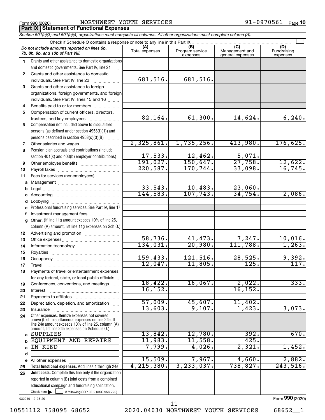Form 990 (2020) Page NORTHWEST YOUTH SERVICES 91-0970561 **Part IX Statement of Functional Expenses**

*Section 501(c)(3) and 501(c)(4) organizations must complete all columns. All other organizations must complete column (A).*

| Check if Schedule O contains a response or note to any line in this Part IX |                                                                                                                                                                                                            |                       |                                    |                                    |                                |  |  |  |  |
|-----------------------------------------------------------------------------|------------------------------------------------------------------------------------------------------------------------------------------------------------------------------------------------------------|-----------------------|------------------------------------|------------------------------------|--------------------------------|--|--|--|--|
|                                                                             | Do not include amounts reported on lines 6b,<br>7b, 8b, 9b, and 10b of Part VIII.                                                                                                                          | (A)<br>Total expenses | (B)<br>Program service<br>expenses | Management and<br>general expenses | (D)<br>Fundraising<br>expenses |  |  |  |  |
| 1                                                                           | Grants and other assistance to domestic organizations                                                                                                                                                      |                       |                                    |                                    |                                |  |  |  |  |
|                                                                             | and domestic governments. See Part IV, line 21                                                                                                                                                             |                       |                                    |                                    |                                |  |  |  |  |
| 2                                                                           | Grants and other assistance to domestic                                                                                                                                                                    |                       |                                    |                                    |                                |  |  |  |  |
|                                                                             | individuals. See Part IV, line 22                                                                                                                                                                          | 681,516.              | 681,516.                           |                                    |                                |  |  |  |  |
| 3                                                                           | Grants and other assistance to foreign                                                                                                                                                                     |                       |                                    |                                    |                                |  |  |  |  |
|                                                                             | organizations, foreign governments, and foreign                                                                                                                                                            |                       |                                    |                                    |                                |  |  |  |  |
|                                                                             | individuals. See Part IV, lines 15 and 16                                                                                                                                                                  |                       |                                    |                                    |                                |  |  |  |  |
| 4                                                                           | Benefits paid to or for members                                                                                                                                                                            |                       |                                    |                                    |                                |  |  |  |  |
| 5                                                                           | Compensation of current officers, directors,                                                                                                                                                               |                       |                                    |                                    |                                |  |  |  |  |
|                                                                             | trustees, and key employees                                                                                                                                                                                | 82,164.               | 61,300.                            | 14,624.                            | 6, 240.                        |  |  |  |  |
| 6                                                                           | Compensation not included above to disqualified                                                                                                                                                            |                       |                                    |                                    |                                |  |  |  |  |
|                                                                             | persons (as defined under section 4958(f)(1)) and                                                                                                                                                          |                       |                                    |                                    |                                |  |  |  |  |
|                                                                             | persons described in section 4958(c)(3)(B)                                                                                                                                                                 |                       |                                    |                                    |                                |  |  |  |  |
| 7                                                                           | Other salaries and wages                                                                                                                                                                                   | 2,325,861.            | 1,735,256.                         | 413,980.                           | 176,625.                       |  |  |  |  |
| 8                                                                           | Pension plan accruals and contributions (include                                                                                                                                                           |                       |                                    |                                    |                                |  |  |  |  |
|                                                                             | section 401(k) and 403(b) employer contributions)                                                                                                                                                          | 17,533.               |                                    |                                    |                                |  |  |  |  |
| 9                                                                           | Other employee benefits                                                                                                                                                                                    | 191,027.              | $\frac{12,462}{150,647}$ .         | $\frac{5,071}{27,758}$             | 12,622.                        |  |  |  |  |
| 10                                                                          |                                                                                                                                                                                                            | 220,587.              | 170,744.                           | 33,098.                            | 16, 745.                       |  |  |  |  |
| 11                                                                          | Fees for services (nonemployees):                                                                                                                                                                          |                       |                                    |                                    |                                |  |  |  |  |
| a                                                                           |                                                                                                                                                                                                            |                       |                                    |                                    |                                |  |  |  |  |
|                                                                             |                                                                                                                                                                                                            | 33,543.               | 10,483.                            | 23,060.                            |                                |  |  |  |  |
|                                                                             |                                                                                                                                                                                                            | 144,583.              | 107,743.                           | 34,754.                            | 2,086.                         |  |  |  |  |
|                                                                             |                                                                                                                                                                                                            |                       |                                    |                                    |                                |  |  |  |  |
|                                                                             | Professional fundraising services. See Part IV, line 17                                                                                                                                                    |                       |                                    |                                    |                                |  |  |  |  |
|                                                                             | Investment management fees                                                                                                                                                                                 |                       |                                    |                                    |                                |  |  |  |  |
| g                                                                           | Other. (If line 11g amount exceeds 10% of line 25,                                                                                                                                                         |                       |                                    |                                    |                                |  |  |  |  |
|                                                                             | column (A) amount, list line 11g expenses on Sch O.)                                                                                                                                                       |                       |                                    |                                    |                                |  |  |  |  |
| 12                                                                          |                                                                                                                                                                                                            |                       |                                    |                                    |                                |  |  |  |  |
| 13                                                                          |                                                                                                                                                                                                            | 58, 736.              | 41,473.                            | 7,247.                             | 10,016.                        |  |  |  |  |
| 14                                                                          |                                                                                                                                                                                                            | 134,031.              | 20,980.                            | 111,788.                           | 1,263.                         |  |  |  |  |
| 15                                                                          |                                                                                                                                                                                                            |                       |                                    |                                    |                                |  |  |  |  |
| 16                                                                          |                                                                                                                                                                                                            | 159, 433.             | 121,516.                           | 28,525.                            | 9,392.                         |  |  |  |  |
| 17                                                                          | Travel                                                                                                                                                                                                     | 12,047.               | 11,805.                            | $\overline{125}$                   | 117.                           |  |  |  |  |
| 18                                                                          | Payments of travel or entertainment expenses                                                                                                                                                               |                       |                                    |                                    |                                |  |  |  |  |
|                                                                             | for any federal, state, or local public officials                                                                                                                                                          |                       |                                    |                                    |                                |  |  |  |  |
| 19                                                                          | Conferences, conventions, and meetings                                                                                                                                                                     | 18,422.               | 16,067.                            | 2,022.                             | 333.                           |  |  |  |  |
| 20                                                                          | Interest                                                                                                                                                                                                   | 16, 152.              |                                    | 16, 152.                           |                                |  |  |  |  |
| 21                                                                          |                                                                                                                                                                                                            |                       |                                    |                                    |                                |  |  |  |  |
| 22                                                                          | Depreciation, depletion, and amortization                                                                                                                                                                  | 57,009.               | 45,607.                            | 11,402.                            |                                |  |  |  |  |
| 23                                                                          | Insurance                                                                                                                                                                                                  | 13,603.               | 9,107.                             | 1,423.                             | 3,073.                         |  |  |  |  |
| 24                                                                          | Other expenses. Itemize expenses not covered<br>above (List miscellaneous expenses on line 24e. If<br>line 24e amount exceeds 10% of line 25, column (A)<br>amount, list line 24e expenses on Schedule O.) |                       |                                    |                                    |                                |  |  |  |  |
| a                                                                           | <b>SUPPLIES</b>                                                                                                                                                                                            | 13,842.               | 12,780.                            | 392.                               | 670.                           |  |  |  |  |
|                                                                             | EQUIPMENT AND REPAIRS                                                                                                                                                                                      | 11,983.               | 11,558.                            | 425.                               |                                |  |  |  |  |
| C                                                                           | IN-KIND                                                                                                                                                                                                    | 7,799.                | 4,026.                             | 2,321.                             | 1,452.                         |  |  |  |  |
| d                                                                           |                                                                                                                                                                                                            |                       |                                    |                                    |                                |  |  |  |  |
| е                                                                           | All other expenses                                                                                                                                                                                         | 15,509.               | 7,967.                             | 4,660.                             | 2,882.                         |  |  |  |  |
| 25                                                                          | Total functional expenses. Add lines 1 through 24e                                                                                                                                                         | 4, 215, 380.          | 3, 233, 037.                       | 738,827.                           | 243,516.                       |  |  |  |  |
| 26                                                                          | Joint costs. Complete this line only if the organization                                                                                                                                                   |                       |                                    |                                    |                                |  |  |  |  |
|                                                                             | reported in column (B) joint costs from a combined                                                                                                                                                         |                       |                                    |                                    |                                |  |  |  |  |
|                                                                             | educational campaign and fundraising solicitation.                                                                                                                                                         |                       |                                    |                                    |                                |  |  |  |  |

032010 12-23-20

Check here

Form (2020) **990**

Check here  $\begin{array}{c} \begin{array}{|c} \hline \end{array} \end{array}$  if following SOP 98-2 (ASC 958-720)

10551112 758095 68652 2020.04030 NORTHWEST YOUTH SERVICES 68652\_\_1

11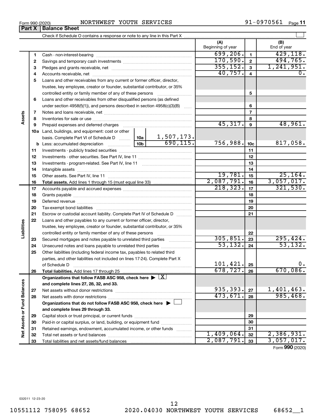$\overline{\phantom{a}}$ 

Check if Schedule O contains a response or note to any line in this Part X

Form 990 (2020) Page NORTHWEST YOUTH SERVICES 91-0970561 **Part X** | Balance Sheet

|                             |              | Crieck in Scriedule O contains a response or note to any line in this rail $\wedge$                                                                                                                                           |                          |                  |                    |
|-----------------------------|--------------|-------------------------------------------------------------------------------------------------------------------------------------------------------------------------------------------------------------------------------|--------------------------|------------------|--------------------|
|                             |              |                                                                                                                                                                                                                               | (A)<br>Beginning of year |                  | (B)<br>End of year |
|                             | 1            |                                                                                                                                                                                                                               | 699,206.                 | $\mathbf{1}$     | 429, 118.          |
|                             | $\mathbf{2}$ |                                                                                                                                                                                                                               | 170,590.                 | $\mathbf{2}$     | 494,765.           |
|                             | з            |                                                                                                                                                                                                                               | 355, 152.                | $\mathbf{3}$     | 1, 241, 951.       |
|                             | 4            |                                                                                                                                                                                                                               | 40, 757.                 | 4                | 0.                 |
|                             | 5            | Loans and other receivables from any current or former officer, director,                                                                                                                                                     |                          |                  |                    |
|                             |              | trustee, key employee, creator or founder, substantial contributor, or 35%                                                                                                                                                    |                          |                  |                    |
|                             |              | controlled entity or family member of any of these persons                                                                                                                                                                    |                          | 5                |                    |
|                             | 6            | Loans and other receivables from other disqualified persons (as defined                                                                                                                                                       |                          |                  |                    |
|                             |              | under section $4958(f)(1)$ , and persons described in section $4958(c)(3)(B)$                                                                                                                                                 |                          | 6                |                    |
|                             | 7            | <b>Carlos</b>                                                                                                                                                                                                                 |                          | $\overline{7}$   |                    |
| Assets                      | 8            |                                                                                                                                                                                                                               |                          | 8                |                    |
|                             | 9            | Prepaid expenses and deferred charges [11] [11] Prepaid expenses and deferred charges [11] [11] Martin Marian Marian Marian Marian Marian Marian Marian Marian Marian Marian Marian Marian Marian Marian Marian Marian Marian | 45,317.                  | $\boldsymbol{9}$ | 48,961.            |
|                             |              | <b>10a</b> Land, buildings, and equipment: cost or other                                                                                                                                                                      |                          |                  |                    |
|                             |              | Land, buildings, and equipment. Cost of Other Corner (10a 1, 507, 173.)<br>basis. Complete Part VI of Schedule D  10a 1690, 115.                                                                                              |                          |                  |                    |
|                             |              | <b>b</b> Less: accumulated depreciation <i>minimum</i>                                                                                                                                                                        | 756,988.                 | 10 <sub>c</sub>  | 817,058.           |
|                             | 11           |                                                                                                                                                                                                                               |                          | 11               |                    |
|                             | 12           |                                                                                                                                                                                                                               |                          | 12               |                    |
|                             | 13           |                                                                                                                                                                                                                               |                          | 13               |                    |
|                             | 14           |                                                                                                                                                                                                                               |                          | 14               |                    |
|                             | 15           |                                                                                                                                                                                                                               | 19,781.                  | 15               | 25, 164.           |
|                             | 16           |                                                                                                                                                                                                                               | 2,087,791.               | 16               | 3,057,017.         |
|                             | 17           |                                                                                                                                                                                                                               | 218, 323.                | 17               | 321,530.           |
|                             | 18           |                                                                                                                                                                                                                               |                          | 18               |                    |
|                             | 19           |                                                                                                                                                                                                                               |                          | 19               |                    |
|                             | 20           |                                                                                                                                                                                                                               |                          | 20               |                    |
|                             | 21           | Escrow or custodial account liability. Complete Part IV of Schedule D                                                                                                                                                         |                          | 21               |                    |
|                             | 22           | Loans and other payables to any current or former officer, director,                                                                                                                                                          |                          |                  |                    |
| Liabilities                 |              | trustee, key employee, creator or founder, substantial contributor, or 35%                                                                                                                                                    |                          |                  |                    |
|                             |              | controlled entity or family member of any of these persons                                                                                                                                                                    |                          | 22               |                    |
|                             | 23           | Secured mortgages and notes payable to unrelated third parties                                                                                                                                                                | 305,851.                 | 23               | 295, 424.          |
|                             | 24           |                                                                                                                                                                                                                               | 53, 132.                 | 24               | 53,132.            |
|                             | 25           | Other liabilities (including federal income tax, payables to related third                                                                                                                                                    |                          |                  |                    |
|                             |              | parties, and other liabilities not included on lines 17-24). Complete Part X                                                                                                                                                  |                          |                  |                    |
|                             |              | of Schedule D                                                                                                                                                                                                                 | 101,421.                 | 25               | υ.                 |
|                             | 26           |                                                                                                                                                                                                                               | 678,727.                 | 26               | 670,086.           |
|                             |              | Organizations that follow FASB ASC 958, check here $\blacktriangleright \lfloor \underline{X} \rfloor$                                                                                                                        |                          |                  |                    |
|                             |              | and complete lines 27, 28, 32, and 33.                                                                                                                                                                                        |                          |                  |                    |
|                             | 27           |                                                                                                                                                                                                                               | 935,393.                 | 27               | 1,401,463.         |
|                             | 28           |                                                                                                                                                                                                                               | 473,671.                 | 28               | 985,468.           |
|                             |              | Organizations that do not follow FASB ASC 958, check here $\blacktriangleright$                                                                                                                                               |                          |                  |                    |
|                             |              | and complete lines 29 through 33.                                                                                                                                                                                             |                          |                  |                    |
| Net Assets or Fund Balances | 29           |                                                                                                                                                                                                                               |                          | 29               |                    |
|                             | 30           | Paid-in or capital surplus, or land, building, or equipment fund                                                                                                                                                              |                          | 30               |                    |
|                             | 31           | Retained earnings, endowment, accumulated income, or other funds                                                                                                                                                              |                          | 31               |                    |
|                             | 32           |                                                                                                                                                                                                                               | 1,409,064.               | 32               | 2,386,931.         |
|                             | 33           |                                                                                                                                                                                                                               | 2,087,791.               | 33               | 3,057,017.         |

 $\overline{\phantom{0}}$ 

Form (2020) **990**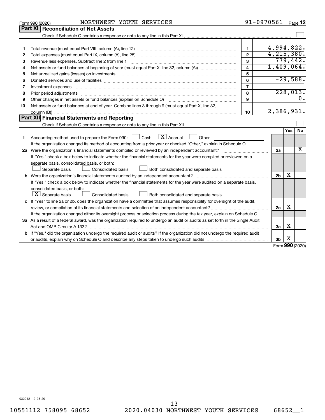|    | NORTHWEST YOUTH SERVICES<br>Form 990 (2020)                                                                                     |                         | 91-0970561     |     | Page 12          |
|----|---------------------------------------------------------------------------------------------------------------------------------|-------------------------|----------------|-----|------------------|
|    | Part XI<br><b>Reconciliation of Net Assets</b>                                                                                  |                         |                |     |                  |
|    |                                                                                                                                 |                         |                |     |                  |
|    |                                                                                                                                 |                         |                |     |                  |
| 1  |                                                                                                                                 | 1.                      | 4,994,822.     |     |                  |
| 2  |                                                                                                                                 | $\overline{2}$          | 4, 215, 380.   |     |                  |
| 3  | Revenue less expenses. Subtract line 2 from line 1                                                                              | 3                       |                |     | 779,442.         |
| 4  |                                                                                                                                 | $\overline{\mathbf{4}}$ | 1,409,064.     |     |                  |
| 5  |                                                                                                                                 | 5                       |                |     |                  |
| 6  |                                                                                                                                 | 6                       |                |     | $-29,588.$       |
| 7  | Investment expenses www.communication.com/www.communication.com/www.communication.com/www.com                                   | $\overline{7}$          |                |     |                  |
| 8  | Prior period adjustments www.communication.communication.communication.com/                                                     | 8                       |                |     | 228,013.         |
| 9  | Other changes in net assets or fund balances (explain on Schedule O)                                                            | 9                       |                |     | $\overline{0}$ . |
| 10 | Net assets or fund balances at end of year. Combine lines 3 through 9 (must equal Part X, line 32,                              |                         |                |     |                  |
|    |                                                                                                                                 | 10                      | 2,386,931.     |     |                  |
|    | Part XII Financial Statements and Reporting                                                                                     |                         |                |     |                  |
|    |                                                                                                                                 |                         |                |     |                  |
|    |                                                                                                                                 |                         |                | Yes | <b>No</b>        |
| 1  | Accounting method used to prepare the Form 990: $\Box$ Cash $\Box X$ Accrual<br>$\Box$ Other                                    |                         |                |     |                  |
|    | If the organization changed its method of accounting from a prior year or checked "Other," explain in Schedule O.               |                         |                |     |                  |
|    |                                                                                                                                 |                         | 2a             |     | х                |
|    | If "Yes," check a box below to indicate whether the financial statements for the year were compiled or reviewed on a            |                         |                |     |                  |
|    | separate basis, consolidated basis, or both:                                                                                    |                         |                |     |                  |
|    | Both consolidated and separate basis<br>Separate basis<br>Consolidated basis                                                    |                         |                |     |                  |
|    | <b>b</b> Were the organization's financial statements audited by an independent accountant?                                     |                         | 2 <sub>b</sub> | х   |                  |
|    | If "Yes," check a box below to indicate whether the financial statements for the year were audited on a separate basis,         |                         |                |     |                  |
|    | consolidated basis, or both:                                                                                                    |                         |                |     |                  |
|    | $\lfloor \underline{X} \rfloor$ Separate basis<br><b>Consolidated basis</b><br>Both consolidated and separate basis             |                         |                |     |                  |
|    | c If "Yes" to line 2a or 2b, does the organization have a committee that assumes responsibility for oversight of the audit,     |                         |                |     |                  |
|    |                                                                                                                                 |                         | 2c             | х   |                  |
|    | If the organization changed either its oversight process or selection process during the tax year, explain on Schedule O.       |                         |                |     |                  |
|    | 3a As a result of a federal award, was the organization required to undergo an audit or audits as set forth in the Single Audit |                         |                |     |                  |
|    |                                                                                                                                 |                         | За             | х   |                  |
|    | b If "Yes," did the organization undergo the required audit or audits? If the organization did not undergo the required audit   |                         |                |     |                  |
|    |                                                                                                                                 |                         | 3 <sub>b</sub> | х   |                  |

Form (2020) **990**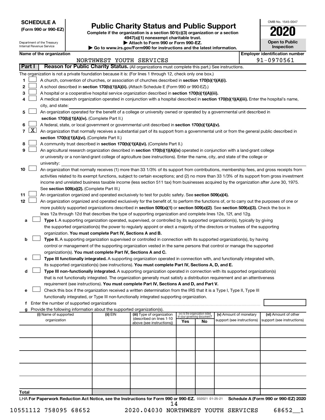**SCHEDULE A**

Department of the Treasury

# Form 990 or 990-EZ) **Public Charity Status and Public Support**<br>
Complete if the organization is a section 501(c)(3) organization or a section<br> **2020**

**4947(a)(1) nonexempt charitable trust.**

**| Attach to Form 990 or Form 990-EZ.** 

| OMB No. 1545-0047                   |
|-------------------------------------|
| U2                                  |
| <b>Open to Public</b><br>Inspection |
| entification num                    |

|       |        | opartmont or tho mododi<br>Internal Revenue Service |                                                                        | ► Go to www.irs.gov/Form990 for instructions and the latest information.                                                                                                                                      |     |                                                                |                            |            | Inspection                            |
|-------|--------|-----------------------------------------------------|------------------------------------------------------------------------|---------------------------------------------------------------------------------------------------------------------------------------------------------------------------------------------------------------|-----|----------------------------------------------------------------|----------------------------|------------|---------------------------------------|
|       |        | Name of the organization                            |                                                                        |                                                                                                                                                                                                               |     |                                                                |                            |            | <b>Employer identification number</b> |
|       |        |                                                     |                                                                        | NORTHWEST YOUTH SERVICES                                                                                                                                                                                      |     |                                                                |                            | 91-0970561 |                                       |
|       | Part I |                                                     |                                                                        | Reason for Public Charity Status. (All organizations must complete this part.) See instructions.                                                                                                              |     |                                                                |                            |            |                                       |
|       |        |                                                     |                                                                        | The organization is not a private foundation because it is: (For lines 1 through 12, check only one box.)                                                                                                     |     |                                                                |                            |            |                                       |
| 1.    |        |                                                     |                                                                        | A church, convention of churches, or association of churches described in section 170(b)(1)(A)(i).                                                                                                            |     |                                                                |                            |            |                                       |
| 2     |        |                                                     |                                                                        | A school described in section 170(b)(1)(A)(ii). (Attach Schedule E (Form 990 or 990-EZ).)                                                                                                                     |     |                                                                |                            |            |                                       |
| 3     |        |                                                     |                                                                        | A hospital or a cooperative hospital service organization described in section 170(b)(1)(A)(iii).                                                                                                             |     |                                                                |                            |            |                                       |
| 4     |        |                                                     |                                                                        | A medical research organization operated in conjunction with a hospital described in section 170(b)(1)(A)(iii). Enter the hospital's name,                                                                    |     |                                                                |                            |            |                                       |
|       |        | city, and state:                                    |                                                                        |                                                                                                                                                                                                               |     |                                                                |                            |            |                                       |
| 5     |        |                                                     |                                                                        | An organization operated for the benefit of a college or university owned or operated by a governmental unit described in                                                                                     |     |                                                                |                            |            |                                       |
|       |        |                                                     | section 170(b)(1)(A)(iv). (Complete Part II.)                          |                                                                                                                                                                                                               |     |                                                                |                            |            |                                       |
| 6     | 7   X  |                                                     |                                                                        | A federal, state, or local government or governmental unit described in section 170(b)(1)(A)(v).                                                                                                              |     |                                                                |                            |            |                                       |
|       |        |                                                     |                                                                        | An organization that normally receives a substantial part of its support from a governmental unit or from the general public described in                                                                     |     |                                                                |                            |            |                                       |
| 8     |        |                                                     | section 170(b)(1)(A)(vi). (Complete Part II.)                          |                                                                                                                                                                                                               |     |                                                                |                            |            |                                       |
| 9     |        |                                                     |                                                                        | A community trust described in section 170(b)(1)(A)(vi). (Complete Part II.)<br>An agricultural research organization described in section 170(b)(1)(A)(ix) operated in conjunction with a land-grant college |     |                                                                |                            |            |                                       |
|       |        |                                                     |                                                                        | or university or a non-land-grant college of agriculture (see instructions). Enter the name, city, and state of the college or                                                                                |     |                                                                |                            |            |                                       |
|       |        | university:                                         |                                                                        |                                                                                                                                                                                                               |     |                                                                |                            |            |                                       |
| 10    |        |                                                     |                                                                        | An organization that normally receives (1) more than 33 1/3% of its support from contributions, membership fees, and gross receipts from                                                                      |     |                                                                |                            |            |                                       |
|       |        |                                                     |                                                                        | activities related to its exempt functions, subject to certain exceptions; and (2) no more than 33 1/3% of its support from gross investment                                                                  |     |                                                                |                            |            |                                       |
|       |        |                                                     |                                                                        | income and unrelated business taxable income (less section 511 tax) from businesses acquired by the organization after June 30, 1975.                                                                         |     |                                                                |                            |            |                                       |
|       |        |                                                     | See section 509(a)(2). (Complete Part III.)                            |                                                                                                                                                                                                               |     |                                                                |                            |            |                                       |
| 11    |        |                                                     |                                                                        | An organization organized and operated exclusively to test for public safety. See section 509(a)(4).                                                                                                          |     |                                                                |                            |            |                                       |
| 12    |        |                                                     |                                                                        | An organization organized and operated exclusively for the benefit of, to perform the functions of, or to carry out the purposes of one or                                                                    |     |                                                                |                            |            |                                       |
|       |        |                                                     |                                                                        | more publicly supported organizations described in section 509(a)(1) or section 509(a)(2). See section 509(a)(3). Check the box in                                                                            |     |                                                                |                            |            |                                       |
|       |        |                                                     |                                                                        | lines 12a through 12d that describes the type of supporting organization and complete lines 12e, 12f, and 12g.                                                                                                |     |                                                                |                            |            |                                       |
| а     |        |                                                     |                                                                        | Type I. A supporting organization operated, supervised, or controlled by its supported organization(s), typically by giving                                                                                   |     |                                                                |                            |            |                                       |
|       |        |                                                     |                                                                        | the supported organization(s) the power to regularly appoint or elect a majority of the directors or trustees of the supporting                                                                               |     |                                                                |                            |            |                                       |
|       |        |                                                     | organization. You must complete Part IV, Sections A and B.             |                                                                                                                                                                                                               |     |                                                                |                            |            |                                       |
| b     |        |                                                     |                                                                        | Type II. A supporting organization supervised or controlled in connection with its supported organization(s), by having                                                                                       |     |                                                                |                            |            |                                       |
|       |        |                                                     |                                                                        | control or management of the supporting organization vested in the same persons that control or manage the supported                                                                                          |     |                                                                |                            |            |                                       |
| c     |        |                                                     |                                                                        | organization(s). You must complete Part IV, Sections A and C.<br>Type III functionally integrated. A supporting organization operated in connection with, and functionally integrated with,                   |     |                                                                |                            |            |                                       |
|       |        |                                                     |                                                                        | its supported organization(s) (see instructions). You must complete Part IV, Sections A, D, and E.                                                                                                            |     |                                                                |                            |            |                                       |
| d     |        |                                                     |                                                                        | Type III non-functionally integrated. A supporting organization operated in connection with its supported organization(s)                                                                                     |     |                                                                |                            |            |                                       |
|       |        |                                                     |                                                                        | that is not functionally integrated. The organization generally must satisfy a distribution requirement and an attentiveness                                                                                  |     |                                                                |                            |            |                                       |
|       |        |                                                     |                                                                        | requirement (see instructions). You must complete Part IV, Sections A and D, and Part V.                                                                                                                      |     |                                                                |                            |            |                                       |
| е     |        |                                                     |                                                                        | Check this box if the organization received a written determination from the IRS that it is a Type I, Type II, Type III                                                                                       |     |                                                                |                            |            |                                       |
|       |        |                                                     |                                                                        | functionally integrated, or Type III non-functionally integrated supporting organization.                                                                                                                     |     |                                                                |                            |            |                                       |
|       |        | f Enter the number of supported organizations       |                                                                        |                                                                                                                                                                                                               |     |                                                                |                            |            |                                       |
| g     |        |                                                     | Provide the following information about the supported organization(s). |                                                                                                                                                                                                               |     |                                                                |                            |            |                                       |
|       |        | (i) Name of supported                               | (ii) EIN                                                               | (iii) Type of organization<br>(described on lines 1-10                                                                                                                                                        |     | (iv) Is the organization listed<br>in your governing document? | (v) Amount of monetary     |            | (vi) Amount of other                  |
|       |        | organization                                        |                                                                        | above (see instructions))                                                                                                                                                                                     | Yes | No                                                             | support (see instructions) |            | support (see instructions)            |
|       |        |                                                     |                                                                        |                                                                                                                                                                                                               |     |                                                                |                            |            |                                       |
|       |        |                                                     |                                                                        |                                                                                                                                                                                                               |     |                                                                |                            |            |                                       |
|       |        |                                                     |                                                                        |                                                                                                                                                                                                               |     |                                                                |                            |            |                                       |
|       |        |                                                     |                                                                        |                                                                                                                                                                                                               |     |                                                                |                            |            |                                       |
|       |        |                                                     |                                                                        |                                                                                                                                                                                                               |     |                                                                |                            |            |                                       |
|       |        |                                                     |                                                                        |                                                                                                                                                                                                               |     |                                                                |                            |            |                                       |
|       |        |                                                     |                                                                        |                                                                                                                                                                                                               |     |                                                                |                            |            |                                       |
|       |        |                                                     |                                                                        |                                                                                                                                                                                                               |     |                                                                |                            |            |                                       |
|       |        |                                                     |                                                                        |                                                                                                                                                                                                               |     |                                                                |                            |            |                                       |
| Total |        |                                                     |                                                                        |                                                                                                                                                                                                               |     |                                                                |                            |            |                                       |

LHA For Paperwork Reduction Act Notice, see the Instructions for Form 990 or 990-EZ. 032021 01-25-21 Schedule A (Form 990 or 990-EZ) 2020 14

10551112 758095 68652 2020.04030 NORTHWEST YOUTH SERVICES 68652\_\_1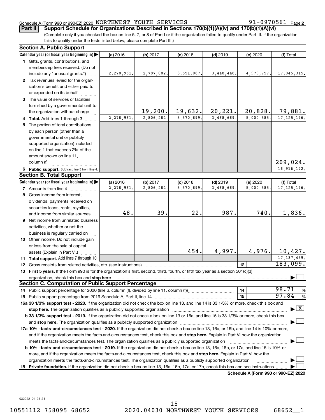## Schedule A (Form 990 or 990-EZ) 2020 Page NORTHWEST YOUTH SERVICES 91-0970561

## **Part II Support Schedule for Organizations Described in Sections 170(b)(1)(A)(iv) and 170(b)(1)(A)(vi)**

(Complete only if you checked the box on line 5, 7, or 8 of Part I or if the organization failed to qualify under Part III. If the organization fails to qualify under the tests listed below, please complete Part III.)

|    | <b>Section A. Public Support</b>                                                                                                                                                                                                                   |            |            |            |              |                                      |                                          |  |  |  |
|----|----------------------------------------------------------------------------------------------------------------------------------------------------------------------------------------------------------------------------------------------------|------------|------------|------------|--------------|--------------------------------------|------------------------------------------|--|--|--|
|    | Calendar year (or fiscal year beginning in)                                                                                                                                                                                                        | (a) 2016   | (b) 2017   | $(c)$ 2018 | $(d)$ 2019   | (e) 2020                             | (f) Total                                |  |  |  |
|    | 1 Gifts, grants, contributions, and                                                                                                                                                                                                                |            |            |            |              |                                      |                                          |  |  |  |
|    | membership fees received. (Do not                                                                                                                                                                                                                  |            |            |            |              |                                      |                                          |  |  |  |
|    | include any "unusual grants.")                                                                                                                                                                                                                     | 2,278,961. | 2,787,082. | 3,551,067. | 3, 448, 448. | 4,979,757.                           | 17,045,315.                              |  |  |  |
|    | 2 Tax revenues levied for the organ-                                                                                                                                                                                                               |            |            |            |              |                                      |                                          |  |  |  |
|    | ization's benefit and either paid to                                                                                                                                                                                                               |            |            |            |              |                                      |                                          |  |  |  |
|    | or expended on its behalf                                                                                                                                                                                                                          |            |            |            |              |                                      |                                          |  |  |  |
|    | 3 The value of services or facilities                                                                                                                                                                                                              |            |            |            |              |                                      |                                          |  |  |  |
|    | furnished by a governmental unit to                                                                                                                                                                                                                |            |            |            |              |                                      |                                          |  |  |  |
|    | the organization without charge                                                                                                                                                                                                                    |            | 19,200.    | 19,632.    | 20,221.      | 20,828.                              | 79,881.                                  |  |  |  |
|    | 4 Total. Add lines 1 through 3                                                                                                                                                                                                                     | 2,278,961. | 2,806,282. | 3,570,699  | 3,468,669.   | 5,000,585.                           | 17, 125, 196.                            |  |  |  |
|    | 5 The portion of total contributions                                                                                                                                                                                                               |            |            |            |              |                                      |                                          |  |  |  |
|    | by each person (other than a                                                                                                                                                                                                                       |            |            |            |              |                                      |                                          |  |  |  |
|    | governmental unit or publicly                                                                                                                                                                                                                      |            |            |            |              |                                      |                                          |  |  |  |
|    | supported organization) included                                                                                                                                                                                                                   |            |            |            |              |                                      |                                          |  |  |  |
|    | on line 1 that exceeds 2% of the                                                                                                                                                                                                                   |            |            |            |              |                                      |                                          |  |  |  |
|    | amount shown on line 11,                                                                                                                                                                                                                           |            |            |            |              |                                      |                                          |  |  |  |
|    | column (f)                                                                                                                                                                                                                                         |            |            |            |              |                                      | 209,024.                                 |  |  |  |
|    | 6 Public support. Subtract line 5 from line 4.                                                                                                                                                                                                     |            |            |            |              |                                      | 16, 916, 172.                            |  |  |  |
|    | <b>Section B. Total Support</b>                                                                                                                                                                                                                    |            |            |            |              |                                      |                                          |  |  |  |
|    | Calendar year (or fiscal year beginning in)                                                                                                                                                                                                        | (a) 2016   | (b) 2017   | $(c)$ 2018 | $(d)$ 2019   | (e) 2020                             | (f) Total                                |  |  |  |
|    | <b>7</b> Amounts from line 4                                                                                                                                                                                                                       | 2,278,961  | 2,806,282  | 3,570,699  | 3,468,669    | 5,000,585                            | 17, 125, 196.                            |  |  |  |
|    | 8 Gross income from interest,                                                                                                                                                                                                                      |            |            |            |              |                                      |                                          |  |  |  |
|    | dividends, payments received on                                                                                                                                                                                                                    |            |            |            |              |                                      |                                          |  |  |  |
|    | securities loans, rents, royalties,                                                                                                                                                                                                                |            |            |            |              |                                      |                                          |  |  |  |
|    | and income from similar sources                                                                                                                                                                                                                    | 48.        | 39.        | 22.        | 987.         | 740.                                 | 1,836.                                   |  |  |  |
|    | 9 Net income from unrelated business                                                                                                                                                                                                               |            |            |            |              |                                      |                                          |  |  |  |
|    | activities, whether or not the                                                                                                                                                                                                                     |            |            |            |              |                                      |                                          |  |  |  |
|    | business is regularly carried on                                                                                                                                                                                                                   |            |            |            |              |                                      |                                          |  |  |  |
|    | 10 Other income. Do not include gain                                                                                                                                                                                                               |            |            |            |              |                                      |                                          |  |  |  |
|    | or loss from the sale of capital                                                                                                                                                                                                                   |            |            |            |              |                                      |                                          |  |  |  |
|    | assets (Explain in Part VI.)                                                                                                                                                                                                                       |            |            | 454.       | 4,997.       | 4,976.                               | 10,427.                                  |  |  |  |
|    | 11 Total support. Add lines 7 through 10                                                                                                                                                                                                           |            |            |            |              |                                      | 17, 137, 459.                            |  |  |  |
|    | <b>12</b> Gross receipts from related activities, etc. (see instructions)                                                                                                                                                                          |            |            |            |              | 12                                   | 183,099.                                 |  |  |  |
|    | 13 First 5 years. If the Form 990 is for the organization's first, second, third, fourth, or fifth tax year as a section 501(c)(3)                                                                                                                 |            |            |            |              |                                      |                                          |  |  |  |
|    | <b>Section C. Computation of Public Support Percentage</b>                                                                                                                                                                                         |            |            |            |              |                                      |                                          |  |  |  |
|    |                                                                                                                                                                                                                                                    |            |            |            |              |                                      | 98.71                                    |  |  |  |
|    |                                                                                                                                                                                                                                                    |            |            |            |              | 14<br>15                             | %<br>97.84                               |  |  |  |
|    |                                                                                                                                                                                                                                                    |            |            |            |              |                                      | $\%$                                     |  |  |  |
|    | 16a 33 1/3% support test - 2020. If the organization did not check the box on line 13, and line 14 is 33 1/3% or more, check this box and                                                                                                          |            |            |            |              |                                      | $\blacktriangleright$ $\boxed{\text{X}}$ |  |  |  |
|    | stop here. The organization qualifies as a publicly supported organization manufactured content and the organization of the state of the state of the state of the state of the state of the state of the state of the state o                     |            |            |            |              |                                      |                                          |  |  |  |
|    | b 33 1/3% support test - 2019. If the organization did not check a box on line 13 or 16a, and line 15 is 33 1/3% or more, check this box                                                                                                           |            |            |            |              |                                      |                                          |  |  |  |
|    |                                                                                                                                                                                                                                                    |            |            |            |              |                                      |                                          |  |  |  |
|    | 17a 10% -facts-and-circumstances test - 2020. If the organization did not check a box on line 13, 16a, or 16b, and line 14 is 10% or more,                                                                                                         |            |            |            |              |                                      |                                          |  |  |  |
|    | and if the organization meets the facts-and-circumstances test, check this box and stop here. Explain in Part VI how the organization                                                                                                              |            |            |            |              |                                      |                                          |  |  |  |
|    | meets the facts-and-circumstances test. The organization qualifies as a publicly supported organization<br>b 10% -facts-and-circumstances test - 2019. If the organization did not check a box on line 13, 16a, 16b, or 17a, and line 15 is 10% or |            |            |            |              |                                      |                                          |  |  |  |
|    |                                                                                                                                                                                                                                                    |            |            |            |              |                                      |                                          |  |  |  |
|    | more, and if the organization meets the facts-and-circumstances test, check this box and stop here. Explain in Part VI how the                                                                                                                     |            |            |            |              |                                      |                                          |  |  |  |
|    | organization meets the facts-and-circumstances test. The organization qualifies as a publicly supported organization                                                                                                                               |            |            |            |              |                                      |                                          |  |  |  |
| 18 | Private foundation. If the organization did not check a box on line 13, 16a, 16b, 17a, or 17b, check this box and see instructions                                                                                                                 |            |            |            |              | Schedule A (Form 990 or 990-F7) 2020 |                                          |  |  |  |

**Schedule A (Form 990 or 990-EZ) 2020**

032022 01-25-21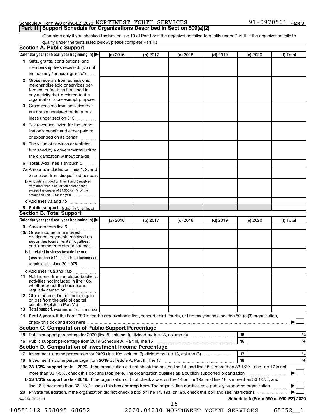## Schedule A (Form 990 or 990-EZ) 2020 Page NORTHWEST YOUTH SERVICES 91-0970561

**Part III Support Schedule for Organizations Described in Section 509(a)(2)** 

(Complete only if you checked the box on line 10 of Part I or if the organization failed to qualify under Part II. If the organization fails to qualify under the tests listed below, please complete Part II.)

|    | Calendar year (or fiscal year beginning in)                                                                                                                                                                                    | (a) 2016 | (b) 2017                            | $(c)$ 2018 | $(d)$ 2019 |    | (e) 2020 | (f) Total                            |   |
|----|--------------------------------------------------------------------------------------------------------------------------------------------------------------------------------------------------------------------------------|----------|-------------------------------------|------------|------------|----|----------|--------------------------------------|---|
|    | 1 Gifts, grants, contributions, and                                                                                                                                                                                            |          |                                     |            |            |    |          |                                      |   |
|    | membership fees received. (Do not                                                                                                                                                                                              |          |                                     |            |            |    |          |                                      |   |
|    | include any "unusual grants.")                                                                                                                                                                                                 |          |                                     |            |            |    |          |                                      |   |
|    | 2 Gross receipts from admissions,<br>merchandise sold or services per-<br>formed, or facilities furnished in<br>any activity that is related to the                                                                            |          |                                     |            |            |    |          |                                      |   |
|    | organization's tax-exempt purpose                                                                                                                                                                                              |          |                                     |            |            |    |          |                                      |   |
| 3. | Gross receipts from activities that                                                                                                                                                                                            |          |                                     |            |            |    |          |                                      |   |
|    | are not an unrelated trade or bus-                                                                                                                                                                                             |          |                                     |            |            |    |          |                                      |   |
|    | iness under section 513                                                                                                                                                                                                        |          |                                     |            |            |    |          |                                      |   |
| 4  | Tax revenues levied for the organ-                                                                                                                                                                                             |          |                                     |            |            |    |          |                                      |   |
|    | ization's benefit and either paid to<br>or expended on its behalf<br>.                                                                                                                                                         |          |                                     |            |            |    |          |                                      |   |
| 5. | The value of services or facilities                                                                                                                                                                                            |          |                                     |            |            |    |          |                                      |   |
|    | furnished by a governmental unit to<br>the organization without charge                                                                                                                                                         |          |                                     |            |            |    |          |                                      |   |
|    |                                                                                                                                                                                                                                |          |                                     |            |            |    |          |                                      |   |
| 6  | Total. Add lines 1 through 5<br>7a Amounts included on lines 1, 2, and                                                                                                                                                         |          |                                     |            |            |    |          |                                      |   |
|    |                                                                                                                                                                                                                                |          |                                     |            |            |    |          |                                      |   |
|    | 3 received from disqualified persons<br><b>b</b> Amounts included on lines 2 and 3 received                                                                                                                                    |          |                                     |            |            |    |          |                                      |   |
|    | from other than disqualified persons that<br>exceed the greater of \$5,000 or 1% of the<br>amount on line 13 for the year                                                                                                      |          |                                     |            |            |    |          |                                      |   |
|    | c Add lines 7a and 7b                                                                                                                                                                                                          |          |                                     |            |            |    |          |                                      |   |
|    | 8 Public support. (Subtract line 7c from line 6.)                                                                                                                                                                              |          |                                     |            |            |    |          |                                      |   |
|    | <b>Section B. Total Support</b>                                                                                                                                                                                                |          |                                     |            |            |    |          |                                      |   |
|    | Calendar year (or fiscal year beginning in)                                                                                                                                                                                    | (a) 2016 | (b) 2017                            | $(c)$ 2018 | $(d)$ 2019 |    | (e) 2020 | (f) Total                            |   |
|    | 9 Amounts from line 6                                                                                                                                                                                                          |          |                                     |            |            |    |          |                                      |   |
|    | <b>10a</b> Gross income from interest,<br>dividends, payments received on<br>securities loans, rents, royalties,<br>and income from similar sources                                                                            |          |                                     |            |            |    |          |                                      |   |
|    | <b>b</b> Unrelated business taxable income                                                                                                                                                                                     |          |                                     |            |            |    |          |                                      |   |
|    | (less section 511 taxes) from businesses<br>acquired after June 30, 1975                                                                                                                                                       |          |                                     |            |            |    |          |                                      |   |
|    | c Add lines 10a and 10b                                                                                                                                                                                                        |          |                                     |            |            |    |          |                                      |   |
| 11 | Net income from unrelated business<br>activities not included in line 10b.<br>whether or not the business is<br>regularly carried on                                                                                           |          |                                     |            |            |    |          |                                      |   |
|    | <b>12</b> Other income. Do not include gain<br>or loss from the sale of capital                                                                                                                                                |          |                                     |            |            |    |          |                                      |   |
|    | assets (Explain in Part VI.)<br><b>13</b> Total support. (Add lines 9, 10c, 11, and 12.)                                                                                                                                       |          |                                     |            |            |    |          |                                      |   |
|    | 14 First 5 years. If the Form 990 is for the organization's first, second, third, fourth, or fifth tax year as a section 501(c)(3) organization,                                                                               |          |                                     |            |            |    |          |                                      |   |
|    | check this box and stop here measurements and contain the state of the state of the state of the state of the state of the state of the state of the state of the state of the state of the state of the state of the state of |          |                                     |            |            |    |          |                                      |   |
|    | <b>Section C. Computation of Public Support Percentage</b>                                                                                                                                                                     |          |                                     |            |            |    |          |                                      |   |
|    |                                                                                                                                                                                                                                |          |                                     |            |            | 15 |          |                                      | % |
|    |                                                                                                                                                                                                                                |          |                                     |            |            | 16 |          |                                      | % |
|    | Section D. Computation of Investment Income Percentage                                                                                                                                                                         |          |                                     |            |            |    |          |                                      |   |
|    |                                                                                                                                                                                                                                |          |                                     |            |            | 17 |          |                                      | % |
|    |                                                                                                                                                                                                                                |          |                                     |            |            | 18 |          |                                      |   |
|    |                                                                                                                                                                                                                                |          |                                     |            |            |    |          |                                      | % |
|    | 19a 33 1/3% support tests - 2020. If the organization did not check the box on line 14, and line 15 is more than 33 1/3%, and line 17 is not                                                                                   |          |                                     |            |            |    |          |                                      |   |
|    | more than 33 1/3%, check this box and stop here. The organization qualifies as a publicly supported organization                                                                                                               |          |                                     |            |            |    |          |                                      |   |
|    | <b>b 33 1/3% support tests - 2019.</b> If the organization did not check a box on line 14 or line 19a, and line 16 is more than 33 1/3%, and                                                                                   |          |                                     |            |            |    |          |                                      |   |
|    | line 18 is not more than 33 1/3%, check this box and stop here. The organization qualifies as a publicly supported organization                                                                                                |          |                                     |            |            |    |          |                                      |   |
|    |                                                                                                                                                                                                                                |          |                                     |            |            |    |          |                                      |   |
|    | 032023 01-25-21                                                                                                                                                                                                                |          |                                     |            |            |    |          | Schedule A (Form 990 or 990-EZ) 2020 |   |
|    |                                                                                                                                                                                                                                |          |                                     | 16         |            |    |          |                                      |   |
|    | 10551112 758095 68652                                                                                                                                                                                                          |          | 2020.04030 NORTHWEST YOUTH SERVICES |            |            |    |          | 68652 1                              |   |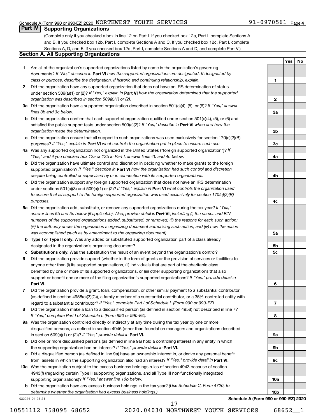## Schedule A (Form 990 or 990-EZ) 2020 Page NORTHWEST YOUTH SERVICES 91-0970561

**1**

**2**

**3a**

**3b**

**3c**

**4a**

**4b**

**Yes No**

## **Part IV Supporting Organizations**

(Complete only if you checked a box in line 12 on Part I. If you checked box 12a, Part I, complete Sections A and B. If you checked box 12b, Part I, complete Sections A and C. If you checked box 12c, Part I, complete Sections A, D, and E. If you checked box 12d, Part I, complete Sections A and D, and complete Part V.)

## **Section A. All Supporting Organizations**

- **1** Are all of the organization's supported organizations listed by name in the organization's governing documents? If "No," describe in Part VI how the supported organizations are designated. If designated by *class or purpose, describe the designation. If historic and continuing relationship, explain.*
- **2** Did the organization have any supported organization that does not have an IRS determination of status under section 509(a)(1) or (2)? If "Yes," explain in Part **VI** how the organization determined that the supported *organization was described in section 509(a)(1) or (2).*
- **3a** Did the organization have a supported organization described in section 501(c)(4), (5), or (6)? If "Yes," answer *lines 3b and 3c below.*
- **b** Did the organization confirm that each supported organization qualified under section 501(c)(4), (5), or (6) and satisfied the public support tests under section 509(a)(2)? If "Yes," describe in Part VI when and how the *organization made the determination.*
- **c** Did the organization ensure that all support to such organizations was used exclusively for section 170(c)(2)(B) purposes? If "Yes," explain in Part VI what controls the organization put in place to ensure such use.
- **4 a** *If* Was any supported organization not organized in the United States ("foreign supported organization")? *"Yes," and if you checked box 12a or 12b in Part I, answer lines 4b and 4c below.*
- **b** Did the organization have ultimate control and discretion in deciding whether to make grants to the foreign supported organization? If "Yes," describe in Part VI how the organization had such control and discretion *despite being controlled or supervised by or in connection with its supported organizations.*
- **c** Did the organization support any foreign supported organization that does not have an IRS determination under sections 501(c)(3) and 509(a)(1) or (2)? If "Yes," explain in Part VI what controls the organization used *to ensure that all support to the foreign supported organization was used exclusively for section 170(c)(2)(B) purposes.*
- **5a** Did the organization add, substitute, or remove any supported organizations during the tax year? If "Yes," answer lines 5b and 5c below (if applicable). Also, provide detail in **Part VI,** including (i) the names and EIN *numbers of the supported organizations added, substituted, or removed; (ii) the reasons for each such action; (iii) the authority under the organization's organizing document authorizing such action; and (iv) how the action was accomplished (such as by amendment to the organizing document).*
- **b** Type I or Type II only. Was any added or substituted supported organization part of a class already designated in the organization's organizing document?
- **c Substitutions only.**  Was the substitution the result of an event beyond the organization's control?
- **6** Did the organization provide support (whether in the form of grants or the provision of services or facilities) to **Part VI.** support or benefit one or more of the filing organization's supported organizations? If "Yes," provide detail in anyone other than (i) its supported organizations, (ii) individuals that are part of the charitable class benefited by one or more of its supported organizations, or (iii) other supporting organizations that also
- **7** Did the organization provide a grant, loan, compensation, or other similar payment to a substantial contributor regard to a substantial contributor? If "Yes," complete Part I of Schedule L (Form 990 or 990-EZ). (as defined in section 4958(c)(3)(C)), a family member of a substantial contributor, or a 35% controlled entity with
- **8** Did the organization make a loan to a disqualified person (as defined in section 4958) not described in line 7? *If "Yes," complete Part I of Schedule L (Form 990 or 990-EZ).*
- **9 a** Was the organization controlled directly or indirectly at any time during the tax year by one or more in section 509(a)(1) or (2))? If "Yes," provide detail in **Part VI.** disqualified persons, as defined in section 4946 (other than foundation managers and organizations described
- **b** Did one or more disqualified persons (as defined in line 9a) hold a controlling interest in any entity in which the supporting organization had an interest? If "Yes," provide detail in Part VI.
- **c** Did a disqualified person (as defined in line 9a) have an ownership interest in, or derive any personal benefit from, assets in which the supporting organization also had an interest? If "Yes," provide detail in Part VI.
- **10 a** Was the organization subject to the excess business holdings rules of section 4943 because of section supporting organizations)? If "Yes," answer line 10b below. 4943(f) (regarding certain Type II supporting organizations, and all Type III non-functionally integrated
	- **b** Did the organization have any excess business holdings in the tax year? (Use Schedule C, Form 4720, to *determine whether the organization had excess business holdings.)*

032024 01-25-21

**4c 5a 5b 5c 6 7 8 9a 9b 9c 10a 10b Schedule A (Form 990 or 990-EZ) 2020**

17

10551112 758095 68652 2020.04030 NORTHWEST YOUTH SERVICES 68652\_\_1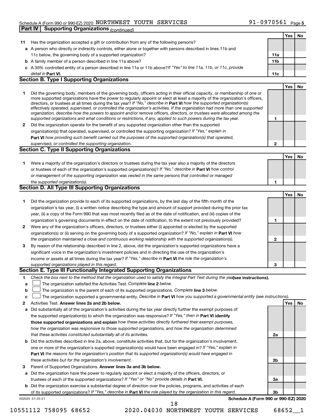## Schedule A (Form 990 or 990-EZ) 2020 Page NORTHWEST YOUTH SERVICES 91-0970561 **Part IV Supporting Organizations** *(continued)*

|              |                                                                                                                                                                                                                                                          |                 | Yes | No |
|--------------|----------------------------------------------------------------------------------------------------------------------------------------------------------------------------------------------------------------------------------------------------------|-----------------|-----|----|
| 11           | Has the organization accepted a gift or contribution from any of the following persons?                                                                                                                                                                  |                 |     |    |
|              | a A person who directly or indirectly controls, either alone or together with persons described in lines 11b and                                                                                                                                         |                 |     |    |
|              | 11c below, the governing body of a supported organization?                                                                                                                                                                                               | 11a             |     |    |
|              | <b>b</b> A family member of a person described in line 11a above?                                                                                                                                                                                        | 11 <sub>b</sub> |     |    |
|              | c A 35% controlled entity of a person described in line 11a or 11b above?If "Yes" to line 11a, 11b, or 11c, provide                                                                                                                                      |                 |     |    |
|              | detail in <b>Part VI.</b>                                                                                                                                                                                                                                | 11c             |     |    |
|              | <b>Section B. Type I Supporting Organizations</b>                                                                                                                                                                                                        |                 |     |    |
|              |                                                                                                                                                                                                                                                          |                 | Yes | No |
| 1            | Did the governing body, members of the governing body, officers acting in their official capacity, or membership of one or                                                                                                                               |                 |     |    |
|              | more supported organizations have the power to regularly appoint or elect at least a majority of the organization's officers,<br>directors, or trustees at all times during the tax year? If "No," describe in Part VI how the supported organization(s) |                 |     |    |
|              | effectively operated, supervised, or controlled the organization's activities. If the organization had more than one supported                                                                                                                           |                 |     |    |
|              | organization, describe how the powers to appoint and/or remove officers, directors, or trustees were allocated among the                                                                                                                                 |                 |     |    |
|              | supported organizations and what conditions or restrictions, if any, applied to such powers during the tax year.                                                                                                                                         | 1               |     |    |
| $\mathbf{2}$ | Did the organization operate for the benefit of any supported organization other than the supported                                                                                                                                                      |                 |     |    |
|              | organization(s) that operated, supervised, or controlled the supporting organization? If "Yes," explain in                                                                                                                                               |                 |     |    |
|              | Part VI how providing such benefit carried out the purposes of the supported organization(s) that operated,                                                                                                                                              |                 |     |    |
|              | supervised, or controlled the supporting organization.<br><b>Section C. Type II Supporting Organizations</b>                                                                                                                                             | $\mathbf{2}$    |     |    |
|              |                                                                                                                                                                                                                                                          |                 |     |    |
|              |                                                                                                                                                                                                                                                          |                 | Yes | No |
| 1.           | Were a majority of the organization's directors or trustees during the tax year also a majority of the directors<br>or trustees of each of the organization's supported organization(s)? If "No," describe in Part VI how control                        |                 |     |    |
|              | or management of the supporting organization was vested in the same persons that controlled or managed                                                                                                                                                   |                 |     |    |
|              | the supported organization(s).                                                                                                                                                                                                                           | 1               |     |    |
|              | Section D. All Type III Supporting Organizations                                                                                                                                                                                                         |                 |     |    |
|              |                                                                                                                                                                                                                                                          |                 | Yes | No |
| 1            | Did the organization provide to each of its supported organizations, by the last day of the fifth month of the                                                                                                                                           |                 |     |    |
|              | organization's tax year, (i) a written notice describing the type and amount of support provided during the prior tax                                                                                                                                    |                 |     |    |
|              | year, (ii) a copy of the Form 990 that was most recently filed as of the date of notification, and (iii) copies of the                                                                                                                                   |                 |     |    |
|              | organization's governing documents in effect on the date of notification, to the extent not previously provided?                                                                                                                                         | 1               |     |    |
| 2            | Were any of the organization's officers, directors, or trustees either (i) appointed or elected by the supported                                                                                                                                         |                 |     |    |
|              | organization(s) or (ii) serving on the governing body of a supported organization? If "No," explain in Part VI how                                                                                                                                       |                 |     |    |
|              | the organization maintained a close and continuous working relationship with the supported organization(s).                                                                                                                                              | 2               |     |    |
| 3            | By reason of the relationship described in line 2, above, did the organization's supported organizations have a                                                                                                                                          |                 |     |    |
|              | significant voice in the organization's investment policies and in directing the use of the organization's                                                                                                                                               |                 |     |    |
|              | income or assets at all times during the tax year? If "Yes," describe in Part VI the role the organization's                                                                                                                                             |                 |     |    |
|              | supported organizations played in this regard.                                                                                                                                                                                                           | 3               |     |    |
|              | Section E. Type III Functionally Integrated Supporting Organizations                                                                                                                                                                                     |                 |     |    |
| 1            | Check the box next to the method that the organization used to satisfy the Integral Part Test during the yealsee instructions).                                                                                                                          |                 |     |    |
| а            | The organization satisfied the Activities Test. Complete line 2 below.                                                                                                                                                                                   |                 |     |    |
| b            | The organization is the parent of each of its supported organizations. Complete line 3 below.                                                                                                                                                            |                 |     |    |
| c            | The organization supported a governmental entity. Describe in Part VI how you supported a governmental entity (see instructions).                                                                                                                        |                 |     |    |
| 2            | Activities Test. Answer lines 2a and 2b below.                                                                                                                                                                                                           |                 | Yes | No |
| а            | Did substantially all of the organization's activities during the tax year directly further the exempt purposes of                                                                                                                                       |                 |     |    |
|              | the supported organization(s) to which the organization was responsive? If "Yes," then in Part VI identify                                                                                                                                               |                 |     |    |
|              | those supported organizations and explain how these activities directly furthered their exempt purposes,<br>how the organization was responsive to those supported organizations, and how the organization determined                                    |                 |     |    |
|              | that these activities constituted substantially all of its activities.                                                                                                                                                                                   | 2a              |     |    |
|              | Did the activities described in line 2a, above, constitute activities that, but for the organization's involvement,                                                                                                                                      |                 |     |    |
| b            | one or more of the organization's supported organization(s) would have been engaged in? If "Yes," explain in                                                                                                                                             |                 |     |    |
|              | Part VI the reasons for the organization's position that its supported organization(s) would have engaged in                                                                                                                                             |                 |     |    |
|              | these activities but for the organization's involvement.                                                                                                                                                                                                 | 2b              |     |    |
| з            | Parent of Supported Organizations. Answer lines 3a and 3b below.                                                                                                                                                                                         |                 |     |    |
| а            | Did the organization have the power to regularly appoint or elect a majority of the officers, directors, or                                                                                                                                              |                 |     |    |
|              | trustees of each of the supported organizations? If "Yes" or "No" provide details in Part VI.                                                                                                                                                            | За              |     |    |
|              | <b>b</b> Did the organization exercise a substantial degree of direction over the policies, programs, and activities of each                                                                                                                             |                 |     |    |
|              | of its supported organizations? If "Yes," describe in Part VI the role played by the organization in this regard.                                                                                                                                        | Зb              |     |    |
|              | Schedule A (Form 990 or 990-EZ) 2020<br>032025 01-25-21                                                                                                                                                                                                  |                 |     |    |
|              | 18                                                                                                                                                                                                                                                       |                 |     |    |

<sup>10551112 758095 68652 2020.04030</sup> NORTHWEST YOUTH SERVICES 68652\_\_1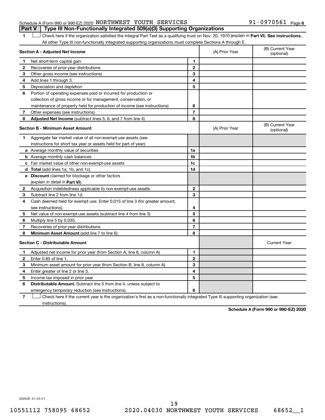## Schedule A (Form 990 or 990-EZ) 2020 Page NORTHWEST YOUTH SERVICES 91-0970561 **Part V Type III Non-Functionally Integrated 509(a)(3) Supporting Organizations**

1 **Letter See instructions.** Check here if the organization satisfied the Integral Part Test as a qualifying trust on Nov. 20, 1970 (*explain in* Part **VI**). See instructions. All other Type III non-functionally integrated supporting organizations must complete Sections A through E.

|   | Section A - Adjusted Net Income                                             |                | (A) Prior Year | (B) Current Year<br>(optional) |
|---|-----------------------------------------------------------------------------|----------------|----------------|--------------------------------|
| 1 | Net short-term capital gain                                                 | 1              |                |                                |
| 2 | Recoveries of prior-year distributions                                      | $\mathbf{2}$   |                |                                |
| 3 | Other gross income (see instructions)                                       | 3              |                |                                |
| 4 | Add lines 1 through 3.                                                      | 4              |                |                                |
| 5 | Depreciation and depletion                                                  | 5              |                |                                |
| 6 | Portion of operating expenses paid or incurred for production or            |                |                |                                |
|   | collection of gross income or for management, conservation, or              |                |                |                                |
|   | maintenance of property held for production of income (see instructions)    | 6              |                |                                |
| 7 | Other expenses (see instructions)                                           | $\overline{7}$ |                |                                |
| 8 | Adjusted Net Income (subtract lines 5, 6, and 7 from line 4)                | 8              |                |                                |
|   | <b>Section B - Minimum Asset Amount</b>                                     |                | (A) Prior Year | (B) Current Year<br>(optional) |
| 1 | Aggregate fair market value of all non-exempt-use assets (see               |                |                |                                |
|   | instructions for short tax year or assets held for part of year):           |                |                |                                |
|   | a Average monthly value of securities                                       | 1a             |                |                                |
|   | <b>b</b> Average monthly cash balances                                      | 1 <sub>b</sub> |                |                                |
|   | c Fair market value of other non-exempt-use assets                          | 1c             |                |                                |
|   | d Total (add lines 1a, 1b, and 1c)                                          | 1d             |                |                                |
|   | e Discount claimed for blockage or other factors                            |                |                |                                |
|   | (explain in detail in <b>Part VI</b> ):                                     |                |                |                                |
| 2 | Acquisition indebtedness applicable to non-exempt-use assets                | $\mathbf{2}$   |                |                                |
| 3 | Subtract line 2 from line 1d.                                               | 3              |                |                                |
| 4 | Cash deemed held for exempt use. Enter 0.015 of line 3 (for greater amount, |                |                |                                |
|   | see instructions).                                                          | 4              |                |                                |
| 5 | Net value of non-exempt-use assets (subtract line 4 from line 3)            | 5              |                |                                |
| 6 | Multiply line 5 by 0.035.                                                   | 6              |                |                                |
| 7 | Recoveries of prior-year distributions                                      | $\overline{7}$ |                |                                |
| 8 | <b>Minimum Asset Amount (add line 7 to line 6)</b>                          | 8              |                |                                |
|   | <b>Section C - Distributable Amount</b>                                     |                |                | <b>Current Year</b>            |
| 1 | Adjusted net income for prior year (from Section A, line 8, column A)       | 1              |                |                                |
| 2 | Enter 0.85 of line 1.                                                       | $\mathbf{2}$   |                |                                |
| 3 | Minimum asset amount for prior year (from Section B, line 8, column A)      | 3              |                |                                |
| 4 | Enter greater of line 2 or line 3.                                          | 4              |                |                                |
| 5 | Income tax imposed in prior year                                            | 5              |                |                                |
| 6 | <b>Distributable Amount.</b> Subtract line 5 from line 4, unless subject to |                |                |                                |
|   | emergency temporary reduction (see instructions).                           | 6              |                |                                |
|   |                                                                             |                |                |                                |

**7** Check here if the current year is the organization's first as a non-functionally integrated Type III supporting organization (see † instructions).

**Schedule A (Form 990 or 990-EZ) 2020**

032026 01-25-21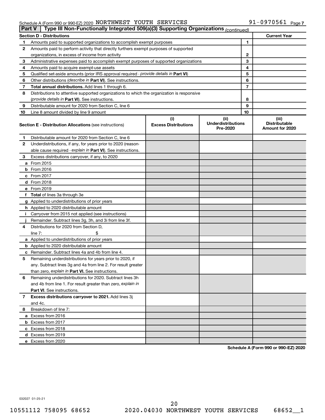#### Schedule A (Form 990 or 990-EZ) 2020 Page NORTHWEST YOUTH SERVICES 31-0970561

|    | Type III Non-Functionally Integrated 509(a)(3) Supporting Organizations (continued)<br>Part V |                                    |                                               |                                                  |  |
|----|-----------------------------------------------------------------------------------------------|------------------------------------|-----------------------------------------------|--------------------------------------------------|--|
|    | <b>Section D - Distributions</b>                                                              |                                    |                                               | <b>Current Year</b>                              |  |
| 1  | Amounts paid to supported organizations to accomplish exempt purposes                         |                                    | 1                                             |                                                  |  |
| 2  | Amounts paid to perform activity that directly furthers exempt purposes of supported          |                                    |                                               |                                                  |  |
|    | organizations, in excess of income from activity                                              |                                    | 2                                             |                                                  |  |
| 3  | Administrative expenses paid to accomplish exempt purposes of supported organizations         |                                    | 3                                             |                                                  |  |
| 4  | Amounts paid to acquire exempt-use assets                                                     |                                    | 4                                             |                                                  |  |
| 5  | Qualified set-aside amounts (prior IRS approval required - provide details in Part VI)        |                                    | 5                                             |                                                  |  |
| 6  | Other distributions ( <i>describe in Part VI</i> ). See instructions.                         |                                    | 6                                             |                                                  |  |
| 7  | Total annual distributions. Add lines 1 through 6.                                            |                                    | 7                                             |                                                  |  |
| 8  | Distributions to attentive supported organizations to which the organization is responsive    |                                    |                                               |                                                  |  |
|    | ( <i>provide details in Part VI</i> ). See instructions.                                      |                                    | 8                                             |                                                  |  |
| 9  | Distributable amount for 2020 from Section C, line 6                                          |                                    | 9                                             |                                                  |  |
| 10 | Line 8 amount divided by line 9 amount                                                        |                                    | 10                                            |                                                  |  |
|    | <b>Section E - Distribution Allocations (see instructions)</b>                                | (i)<br><b>Excess Distributions</b> | (ii)<br><b>Underdistributions</b><br>Pre-2020 | (iii)<br><b>Distributable</b><br>Amount for 2020 |  |
| 1  | Distributable amount for 2020 from Section C, line 6                                          |                                    |                                               |                                                  |  |
| 2  | Underdistributions, if any, for years prior to 2020 (reason-                                  |                                    |                                               |                                                  |  |
|    | able cause required - explain in Part VI). See instructions.                                  |                                    |                                               |                                                  |  |
| 3  | Excess distributions carryover, if any, to 2020                                               |                                    |                                               |                                                  |  |
|    | a From 2015                                                                                   |                                    |                                               |                                                  |  |
|    | $b$ From 2016                                                                                 |                                    |                                               |                                                  |  |
|    | c From 2017                                                                                   |                                    |                                               |                                                  |  |
|    | <b>d</b> From 2018                                                                            |                                    |                                               |                                                  |  |
|    | e From 2019                                                                                   |                                    |                                               |                                                  |  |
|    | f Total of lines 3a through 3e                                                                |                                    |                                               |                                                  |  |
|    | g Applied to underdistributions of prior years                                                |                                    |                                               |                                                  |  |
|    | h Applied to 2020 distributable amount                                                        |                                    |                                               |                                                  |  |
| Ť. | Carryover from 2015 not applied (see instructions)                                            |                                    |                                               |                                                  |  |
|    | Remainder. Subtract lines 3g, 3h, and 3i from line 3f.                                        |                                    |                                               |                                                  |  |
| 4  | Distributions for 2020 from Section D,                                                        |                                    |                                               |                                                  |  |
|    | line $7:$                                                                                     |                                    |                                               |                                                  |  |
|    | a Applied to underdistributions of prior years                                                |                                    |                                               |                                                  |  |
|    | <b>b</b> Applied to 2020 distributable amount                                                 |                                    |                                               |                                                  |  |
|    | c Remainder. Subtract lines 4a and 4b from line 4.                                            |                                    |                                               |                                                  |  |
| 5  | Remaining underdistributions for years prior to 2020, if                                      |                                    |                                               |                                                  |  |
|    | any. Subtract lines 3g and 4a from line 2. For result greater                                 |                                    |                                               |                                                  |  |
|    | than zero, explain in Part VI. See instructions.                                              |                                    |                                               |                                                  |  |
| 6  | Remaining underdistributions for 2020. Subtract lines 3h                                      |                                    |                                               |                                                  |  |
|    | and 4b from line 1. For result greater than zero, explain in                                  |                                    |                                               |                                                  |  |
|    | <b>Part VI.</b> See instructions.                                                             |                                    |                                               |                                                  |  |
| 7  | Excess distributions carryover to 2021. Add lines 3j                                          |                                    |                                               |                                                  |  |
|    | and 4c.                                                                                       |                                    |                                               |                                                  |  |
| 8  | Breakdown of line 7:                                                                          |                                    |                                               |                                                  |  |
|    | a Excess from 2016                                                                            |                                    |                                               |                                                  |  |
|    | <b>b</b> Excess from 2017                                                                     |                                    |                                               |                                                  |  |
|    | c Excess from 2018                                                                            |                                    |                                               |                                                  |  |
|    | d Excess from 2019                                                                            |                                    |                                               |                                                  |  |
|    | e Excess from 2020                                                                            |                                    |                                               |                                                  |  |

**Schedule A (Form 990 or 990-EZ) 2020**

032027 01-25-21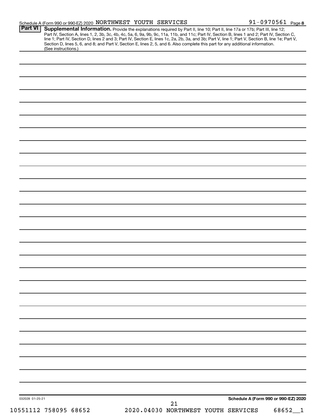|                       |                                        |  |                                                                     | 91-0970561 Page 8                                                                                                                                                                                                                                                                                                                                                                                                                                                                                                                                                                                                                                   |
|-----------------------|----------------------------------------|--|---------------------------------------------------------------------|-----------------------------------------------------------------------------------------------------------------------------------------------------------------------------------------------------------------------------------------------------------------------------------------------------------------------------------------------------------------------------------------------------------------------------------------------------------------------------------------------------------------------------------------------------------------------------------------------------------------------------------------------------|
|                       |                                        |  |                                                                     |                                                                                                                                                                                                                                                                                                                                                                                                                                                                                                                                                                                                                                                     |
|                       |                                        |  |                                                                     |                                                                                                                                                                                                                                                                                                                                                                                                                                                                                                                                                                                                                                                     |
|                       |                                        |  |                                                                     |                                                                                                                                                                                                                                                                                                                                                                                                                                                                                                                                                                                                                                                     |
|                       |                                        |  |                                                                     |                                                                                                                                                                                                                                                                                                                                                                                                                                                                                                                                                                                                                                                     |
|                       |                                        |  |                                                                     |                                                                                                                                                                                                                                                                                                                                                                                                                                                                                                                                                                                                                                                     |
|                       |                                        |  |                                                                     |                                                                                                                                                                                                                                                                                                                                                                                                                                                                                                                                                                                                                                                     |
|                       |                                        |  |                                                                     |                                                                                                                                                                                                                                                                                                                                                                                                                                                                                                                                                                                                                                                     |
|                       |                                        |  |                                                                     |                                                                                                                                                                                                                                                                                                                                                                                                                                                                                                                                                                                                                                                     |
|                       |                                        |  |                                                                     |                                                                                                                                                                                                                                                                                                                                                                                                                                                                                                                                                                                                                                                     |
|                       |                                        |  |                                                                     |                                                                                                                                                                                                                                                                                                                                                                                                                                                                                                                                                                                                                                                     |
|                       |                                        |  |                                                                     |                                                                                                                                                                                                                                                                                                                                                                                                                                                                                                                                                                                                                                                     |
|                       |                                        |  |                                                                     |                                                                                                                                                                                                                                                                                                                                                                                                                                                                                                                                                                                                                                                     |
|                       |                                        |  |                                                                     |                                                                                                                                                                                                                                                                                                                                                                                                                                                                                                                                                                                                                                                     |
|                       |                                        |  |                                                                     |                                                                                                                                                                                                                                                                                                                                                                                                                                                                                                                                                                                                                                                     |
|                       |                                        |  |                                                                     |                                                                                                                                                                                                                                                                                                                                                                                                                                                                                                                                                                                                                                                     |
|                       |                                        |  |                                                                     |                                                                                                                                                                                                                                                                                                                                                                                                                                                                                                                                                                                                                                                     |
|                       |                                        |  |                                                                     |                                                                                                                                                                                                                                                                                                                                                                                                                                                                                                                                                                                                                                                     |
|                       |                                        |  |                                                                     |                                                                                                                                                                                                                                                                                                                                                                                                                                                                                                                                                                                                                                                     |
|                       |                                        |  |                                                                     |                                                                                                                                                                                                                                                                                                                                                                                                                                                                                                                                                                                                                                                     |
|                       |                                        |  |                                                                     |                                                                                                                                                                                                                                                                                                                                                                                                                                                                                                                                                                                                                                                     |
|                       |                                        |  |                                                                     |                                                                                                                                                                                                                                                                                                                                                                                                                                                                                                                                                                                                                                                     |
|                       |                                        |  |                                                                     |                                                                                                                                                                                                                                                                                                                                                                                                                                                                                                                                                                                                                                                     |
|                       |                                        |  |                                                                     |                                                                                                                                                                                                                                                                                                                                                                                                                                                                                                                                                                                                                                                     |
|                       |                                        |  |                                                                     |                                                                                                                                                                                                                                                                                                                                                                                                                                                                                                                                                                                                                                                     |
|                       |                                        |  |                                                                     |                                                                                                                                                                                                                                                                                                                                                                                                                                                                                                                                                                                                                                                     |
|                       |                                        |  |                                                                     |                                                                                                                                                                                                                                                                                                                                                                                                                                                                                                                                                                                                                                                     |
|                       |                                        |  |                                                                     |                                                                                                                                                                                                                                                                                                                                                                                                                                                                                                                                                                                                                                                     |
|                       |                                        |  |                                                                     |                                                                                                                                                                                                                                                                                                                                                                                                                                                                                                                                                                                                                                                     |
|                       |                                        |  |                                                                     |                                                                                                                                                                                                                                                                                                                                                                                                                                                                                                                                                                                                                                                     |
|                       |                                        |  |                                                                     |                                                                                                                                                                                                                                                                                                                                                                                                                                                                                                                                                                                                                                                     |
|                       |                                        |  |                                                                     |                                                                                                                                                                                                                                                                                                                                                                                                                                                                                                                                                                                                                                                     |
|                       |                                        |  |                                                                     |                                                                                                                                                                                                                                                                                                                                                                                                                                                                                                                                                                                                                                                     |
|                       |                                        |  |                                                                     |                                                                                                                                                                                                                                                                                                                                                                                                                                                                                                                                                                                                                                                     |
|                       |                                        |  |                                                                     |                                                                                                                                                                                                                                                                                                                                                                                                                                                                                                                                                                                                                                                     |
| 10551112 758095 68652 |                                        |  |                                                                     | 68652<br>$\mathbf{\perp}$                                                                                                                                                                                                                                                                                                                                                                                                                                                                                                                                                                                                                           |
|                       | (See instructions.)<br>032028 01-25-21 |  | Schedule A (Form 990 or 990-EZ) 2020 NORTHWEST YOUTH SERVICES<br>21 | Supplemental Information. Provide the explanations required by Part II, line 10; Part II, line 17a or 17b; Part III, line 12;<br>Part IV, Section A, lines 1, 2, 3b, 3c, 4b, 4c, 5a, 6, 9a, 9b, 9c, 11a, 11b, and 11c; Part IV, Section B, lines 1 and 2; Part IV, Section C,<br>line 1; Part IV, Section D, lines 2 and 3; Part IV, Section E, lines 1c, 2a, 2b, 3a, and 3b; Part V, line 1; Part V, Section B, line 1e; Part V,<br>Section D, lines 5, 6, and 8; and Part V, Section E, lines 2, 5, and 6. Also complete this part for any additional information.<br>Schedule A (Form 990 or 990-EZ) 2020<br>2020.04030 NORTHWEST YOUTH SERVICES |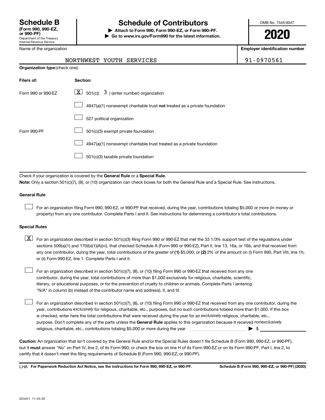Department of the Treasury Internal Revenue Service

## **Schedule B Schedule of Contributors**

**or 990-PF) | Attach to Form 990, Form 990-EZ, or Form 990-PF. | Go to www.irs.gov/Form990 for the latest information.** OMB No. 1545-0047

**2020**

**Employer identification number**

| $1 - 0970561$ |  |  |  |  |
|---------------|--|--|--|--|
|               |  |  |  |  |

| Name of the organization |
|--------------------------|
|--------------------------|

**Organization type** (check one):

## NORTHWEST YOUTH SERVICES POOLS AND MORTHWEST

| Filers of:         | Section:                                                                  |
|--------------------|---------------------------------------------------------------------------|
| Form 990 or 990-FZ | $\lfloor x \rfloor$ 501(c)( 3) (enter number) organization                |
|                    | 4947(a)(1) nonexempt charitable trust not treated as a private foundation |
|                    | 527 political organization                                                |
| Form 990-PF        | 501(c)(3) exempt private foundation                                       |
|                    | 4947(a)(1) nonexempt charitable trust treated as a private foundation     |
|                    | 501(c)(3) taxable private foundation                                      |

Check if your organization is covered by the General Rule or a Special Rule.

**Note:**  Only a section 501(c)(7), (8), or (10) organization can check boxes for both the General Rule and a Special Rule. See instructions.

### **General Rule**

 $\Box$ 

 $\Box$ 

For an organization filing Form 990, 990-EZ, or 990-PF that received, during the year, contributions totaling \$5,000 or more (in money or property) from any one contributor. Complete Parts I and II. See instructions for determining a contributor's total contributions.

### **Special Rules**

- any one contributor, during the year, total contributions of the greater of (1) \$5,000; or (2) 2% of the amount on (i) Form 990, Part VIII, line 1h;  $\boxed{\text{X}}$  For an organization described in section 501(c)(3) filing Form 990 or 990-EZ that met the 33 1/3% support test of the regulations under sections 509(a)(1) and 170(b)(1)(A)(vi), that checked Schedule A (Form 990 or 990-EZ), Part II, line 13, 16a, or 16b, and that received from or (ii) Form 990-EZ, line 1. Complete Parts I and II.
- For an organization described in section 501(c)(7), (8), or (10) filing Form 990 or 990-EZ that received from any one contributor, during the year, total contributions of more than \$1,000 exclusively for religious, charitable, scientific, literary, or educational purposes, or for the prevention of cruelty to children or animals. Complete Parts I (entering "N/A" in column (b) instead of the contributor name and address), II, and III.  $\Box$

purpose. Don't complete any of the parts unless the General Rule applies to this organization because it received nonexclusively year, contributions exclusively for religious, charitable, etc., purposes, but no such contributions totaled more than \$1,000. If this box is checked, enter here the total contributions that were received during the year for an exclusively religious, charitable, etc., For an organization described in section 501(c)(7), (8), or (10) filing Form 990 or 990-EZ that received from any one contributor, during the religious, charitable, etc., contributions totaling \$5,000 or more during the year  $~\ldots\ldots\ldots\ldots\ldots\ldots\ldots\ldots\blacktriangleright~$ \$

**Caution:**  An organization that isn't covered by the General Rule and/or the Special Rules doesn't file Schedule B (Form 990, 990-EZ, or 990-PF),  **must** but it answer "No" on Part IV, line 2, of its Form 990; or check the box on line H of its Form 990-EZ or on its Form 990-PF, Part I, line 2, to certify that it doesn't meet the filing requirements of Schedule B (Form 990, 990-EZ, or 990-PF).

**For Paperwork Reduction Act Notice, see the instructions for Form 990, 990-EZ, or 990-PF. Schedule B (Form 990, 990-EZ, or 990-PF) (2020)** LHA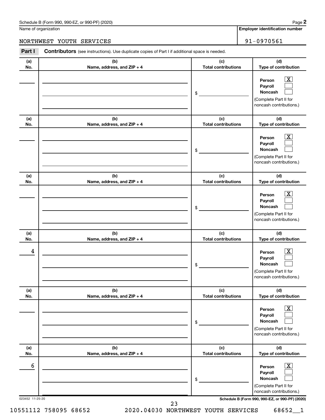## Schedule B (Form 990, 990-EZ, or 990-PF) (2020)

Name of organization

**Employer identification number**

NORTHWEST YOUTH SERVICES 31-0970561

| (b)<br>Name, address, and ZIP + 4 | (c)<br><b>Total contributions</b>                                                                         | (d)<br>Type of contribution                                                                                                               |
|-----------------------------------|-----------------------------------------------------------------------------------------------------------|-------------------------------------------------------------------------------------------------------------------------------------------|
|                                   |                                                                                                           |                                                                                                                                           |
|                                   |                                                                                                           |                                                                                                                                           |
|                                   | \$                                                                                                        | $\overline{\mathbf{X}}$<br>Person<br>Payroll<br><b>Noncash</b><br>(Complete Part II for<br>noncash contributions.)                        |
| (b)                               | (c)                                                                                                       | (d)                                                                                                                                       |
|                                   |                                                                                                           | Type of contribution                                                                                                                      |
|                                   | \$                                                                                                        | $\overline{\mathbf{x}}$<br>Person<br>Payroll<br><b>Noncash</b><br>(Complete Part II for<br>noncash contributions.)                        |
| (b)                               | (c)                                                                                                       | (d)<br>Type of contribution                                                                                                               |
|                                   | \$                                                                                                        | $\overline{\textbf{X}}$<br>Person<br>Payroll<br><b>Noncash</b><br>(Complete Part II for<br>noncash contributions.)                        |
| (b)<br>Name, address, and ZIP + 4 | (c)<br><b>Total contributions</b>                                                                         | (d)<br>Type of contribution                                                                                                               |
|                                   | \$                                                                                                        | $\overline{\text{X}}$<br>Person<br>Payroll<br><b>Noncash</b><br>(Complete Part II for<br>noncash contributions.)                          |
| (b)<br>Name, address, and ZIP + 4 | (c)<br><b>Total contributions</b>                                                                         | (d)<br>Type of contribution                                                                                                               |
|                                   | \$                                                                                                        | $\overline{\textbf{x}}$<br>Person<br>Payroll<br>Noncash<br>(Complete Part II for<br>noncash contributions.)                               |
| (b)                               | (c)                                                                                                       | (d)<br>Type of contribution                                                                                                               |
|                                   | \$                                                                                                        | $\overline{\textbf{X}}$<br>Person<br>Payroll<br>Noncash<br>(Complete Part II for<br>noncash contributions.)                               |
|                                   | Name, address, and ZIP + 4<br>Name, address, and ZIP + 4<br>Name, address, and ZIP + 4<br>023452 11-25-20 | <b>Total contributions</b><br><b>Total contributions</b><br><b>Total contributions</b><br>Schedule B (Form 990, 990-EZ, or 990-PF) (2020) |

23

10551112 758095 68652 2020.04030 NORTHWEST YOUTH SERVICES 68652\_\_1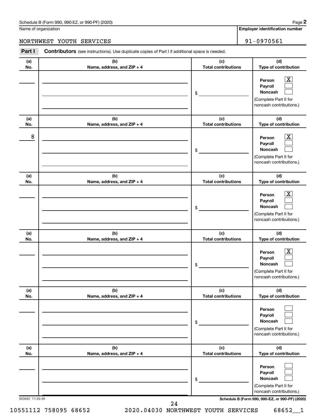## Schedule B (Form 990, 990-EZ, or 990-PF) (2020)

Name of organization

**Employer identification number**

NORTHWEST YOUTH SERVICES | 91-0970561

| Part I          | <b>Contributors</b> (see instructions). Use duplicate copies of Part I if additional space is needed. |                                   |                                                                                                          |
|-----------------|-------------------------------------------------------------------------------------------------------|-----------------------------------|----------------------------------------------------------------------------------------------------------|
| (a)<br>No.      | (b)<br>Name, address, and ZIP + 4                                                                     | (c)<br><b>Total contributions</b> | (d)<br>Type of contribution                                                                              |
|                 |                                                                                                       | \$                                | $\boxed{\textbf{X}}$<br>Person<br>Payroll<br>Noncash<br>(Complete Part II for<br>noncash contributions.) |
| (a)<br>No.      | (b)<br>Name, address, and ZIP + 4                                                                     | (c)<br><b>Total contributions</b> | (d)<br>Type of contribution                                                                              |
| 8               |                                                                                                       | \$                                | $\boxed{\textbf{X}}$<br>Person<br>Payroll<br>Noncash<br>(Complete Part II for<br>noncash contributions.) |
| (a)<br>No.      | (b)<br>Name, address, and ZIP + 4                                                                     | (c)<br><b>Total contributions</b> | (d)<br>Type of contribution                                                                              |
|                 |                                                                                                       | \$                                | $\boxed{\textbf{X}}$<br>Person<br>Payroll<br>Noncash<br>(Complete Part II for<br>noncash contributions.) |
| (a)<br>No.      | (b)<br>Name, address, and ZIP + 4                                                                     | (c)<br><b>Total contributions</b> | (d)<br>Type of contribution                                                                              |
|                 |                                                                                                       | \$                                | $\boxed{\mathbf{X}}$<br>Person<br>Payroll<br>Noncash<br>(Complete Part II for<br>noncash contributions.) |
| (a)<br>No.      | (b)<br>Name, address, and ZIP + 4                                                                     | (c)<br><b>Total contributions</b> | (d)<br>Type of contribution                                                                              |
|                 |                                                                                                       | \$                                | Person<br>Payroll<br>Noncash<br>(Complete Part II for<br>noncash contributions.)                         |
| (a)<br>No.      | (b)<br>Name, address, and ZIP + 4                                                                     | (c)<br><b>Total contributions</b> | (d)<br>Type of contribution                                                                              |
|                 |                                                                                                       | \$                                | Person<br>Payroll<br>Noncash<br>(Complete Part II for<br>noncash contributions.)                         |
| 023452 11-25-20 |                                                                                                       |                                   | Schedule B (Form 990, 990-EZ, or 990-PF) (2020)                                                          |

24

10551112 758095 68652 2020.04030 NORTHWEST YOUTH SERVICES 68652\_\_1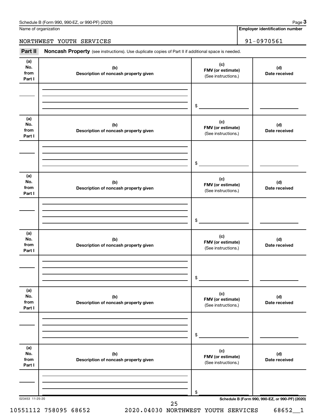Name of organization

**3**

**Employer identification number**

NORTHWEST YOUTH SERVICES | 91-0970561

Part II Noncash Property (see instructions). Use duplicate copies of Part II if additional space is needed.

| (b)<br>Description of noncash property given | (c)<br>FMV (or estimate)<br>(See instructions.) | (d)<br>Date received |
|----------------------------------------------|-------------------------------------------------|----------------------|
|                                              |                                                 |                      |
|                                              |                                                 |                      |
| (b)<br>Description of noncash property given | (c)<br>FMV (or estimate)<br>(See instructions.) | (d)<br>Date received |
|                                              | $\frac{1}{2}$                                   |                      |
| (b)<br>Description of noncash property given | (c)<br>FMV (or estimate)<br>(See instructions.) | (d)<br>Date received |
|                                              | $\frac{1}{2}$                                   |                      |
| (b)<br>Description of noncash property given | (c)<br>FMV (or estimate)<br>(See instructions.) | (d)<br>Date received |
|                                              | $$\circ$$                                       |                      |
| (b)<br>Description of noncash property given | (c)<br>FMV (or estimate)<br>(See instructions.) | (d)<br>Date received |
|                                              | \$                                              |                      |
| (b)<br>Description of noncash property given | (c)<br>FMV (or estimate)<br>(See instructions.) | (d)<br>Date received |
|                                              |                                                 |                      |
|                                              |                                                 | $\frac{1}{2}$        |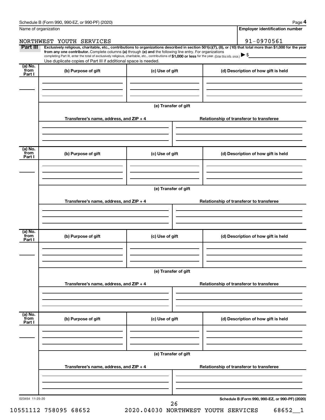**4**

|                           | Name of organization                                                                                                                                                                                                                                                                                                                                               |                      | <b>Employer identification number</b>                                                                                                                          |  |  |  |
|---------------------------|--------------------------------------------------------------------------------------------------------------------------------------------------------------------------------------------------------------------------------------------------------------------------------------------------------------------------------------------------------------------|----------------------|----------------------------------------------------------------------------------------------------------------------------------------------------------------|--|--|--|
|                           | NORTHWEST YOUTH SERVICES                                                                                                                                                                                                                                                                                                                                           |                      | 91-0970561                                                                                                                                                     |  |  |  |
| Part III                  | from any one contributor. Complete columns (a) through (e) and the following line entry. For organizations<br>completing Part III, enter the total of exclusively religious, charitable, etc., contributions of \$1,000 or less for the year. (Enter this info. once.) $\blacktriangleright$ \$<br>Use duplicate copies of Part III if additional space is needed. |                      | Exclusively religious, charitable, etc., contributions to organizations described in section 501(c)(7), (8), or (10) that total more than \$1,000 for the year |  |  |  |
| (a) No.<br>from<br>Part I | (b) Purpose of gift                                                                                                                                                                                                                                                                                                                                                | (c) Use of gift      | (d) Description of how gift is held                                                                                                                            |  |  |  |
|                           |                                                                                                                                                                                                                                                                                                                                                                    |                      |                                                                                                                                                                |  |  |  |
|                           |                                                                                                                                                                                                                                                                                                                                                                    | (e) Transfer of gift |                                                                                                                                                                |  |  |  |
|                           | Transferee's name, address, and ZIP + 4                                                                                                                                                                                                                                                                                                                            |                      | Relationship of transferor to transferee                                                                                                                       |  |  |  |
| (a) No.<br>from           | (b) Purpose of gift                                                                                                                                                                                                                                                                                                                                                | (c) Use of gift      | (d) Description of how gift is held                                                                                                                            |  |  |  |
| Part I                    |                                                                                                                                                                                                                                                                                                                                                                    |                      |                                                                                                                                                                |  |  |  |
|                           |                                                                                                                                                                                                                                                                                                                                                                    | (e) Transfer of gift |                                                                                                                                                                |  |  |  |
|                           | Transferee's name, address, and ZIP + 4                                                                                                                                                                                                                                                                                                                            |                      | Relationship of transferor to transferee                                                                                                                       |  |  |  |
| (a) No.                   |                                                                                                                                                                                                                                                                                                                                                                    |                      |                                                                                                                                                                |  |  |  |
| from<br>Part I            | (b) Purpose of gift                                                                                                                                                                                                                                                                                                                                                | (c) Use of gift      | (d) Description of how gift is held                                                                                                                            |  |  |  |
|                           |                                                                                                                                                                                                                                                                                                                                                                    |                      |                                                                                                                                                                |  |  |  |
|                           | Transferee's name, address, and ZIP + 4                                                                                                                                                                                                                                                                                                                            | (e) Transfer of gift | Relationship of transferor to transferee                                                                                                                       |  |  |  |
|                           |                                                                                                                                                                                                                                                                                                                                                                    |                      |                                                                                                                                                                |  |  |  |
| (a) No.<br>from<br>Part I | (b) Purpose of gift                                                                                                                                                                                                                                                                                                                                                | (c) Use of gift      | (d) Description of how gift is held                                                                                                                            |  |  |  |
|                           |                                                                                                                                                                                                                                                                                                                                                                    |                      |                                                                                                                                                                |  |  |  |
|                           | (e) Transfer of gift                                                                                                                                                                                                                                                                                                                                               |                      |                                                                                                                                                                |  |  |  |
|                           | Transferee's name, address, and ZIP + 4                                                                                                                                                                                                                                                                                                                            |                      | Relationship of transferor to transferee                                                                                                                       |  |  |  |
|                           |                                                                                                                                                                                                                                                                                                                                                                    |                      |                                                                                                                                                                |  |  |  |
| 023454 11-25-20           |                                                                                                                                                                                                                                                                                                                                                                    | 26                   | Schedule B (Form 990, 990-EZ, or 990-PF) (2020)                                                                                                                |  |  |  |

10551112 758095 68652 2020.04030 NORTHWEST YOUTH SERVICES 68652\_\_1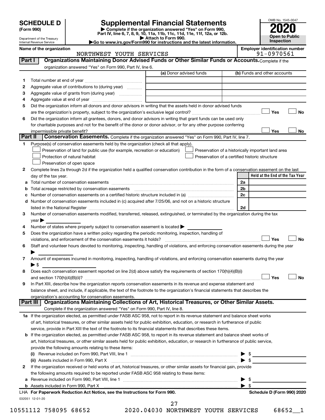| <b>SCHEDULE D</b> |  |
|-------------------|--|
|-------------------|--|

| (Form 990) |  |
|------------|--|
|------------|--|

# **SCHEDULE D Supplemental Financial Statements**<br> **Form 990 2020**<br> **Part IV** line 6.7.8.9.10, 11a, 11b, 11d, 11d, 11d, 11d, 11d, 12a, 0r, 12b

**(Form 990) | Complete if the organization answered "Yes" on Form 990, Part IV, line 6, 7, 8, 9, 10, 11a, 11b, 11c, 11d, 11e, 11f, 12a, or 12b.**

**| Attach to Form 990. |Go to www.irs.gov/Form990 for instructions and the latest information.**



Department of the Treasury Internal Revenue Service **Name of the organization Employer identification number**

| NORTHWEST YOUTH SERVICES | 91-0970561 |
|--------------------------|------------|
|--------------------------|------------|

| Part I       | Organizations Maintaining Donor Advised Funds or Other Similar Funds or Accounts. Complete if the<br>organization answered "Yes" on Form 990, Part IV, line 6.            |                         |                         |                                                    |
|--------------|---------------------------------------------------------------------------------------------------------------------------------------------------------------------------|-------------------------|-------------------------|----------------------------------------------------|
|              |                                                                                                                                                                           | (a) Donor advised funds |                         | (b) Funds and other accounts                       |
| 1.           |                                                                                                                                                                           |                         |                         |                                                    |
| 2            | Aggregate value of contributions to (during year)                                                                                                                         |                         |                         |                                                    |
| З            | Aggregate value of grants from (during year)                                                                                                                              |                         |                         |                                                    |
| 4            |                                                                                                                                                                           |                         |                         |                                                    |
| 5            | Did the organization inform all donors and donor advisors in writing that the assets held in donor advised funds                                                          |                         |                         |                                                    |
|              |                                                                                                                                                                           |                         |                         | Yes<br>No                                          |
| 6            | Did the organization inform all grantees, donors, and donor advisors in writing that grant funds can be used only                                                         |                         |                         |                                                    |
|              | for charitable purposes and not for the benefit of the donor or donor advisor, or for any other purpose conferring                                                        |                         |                         |                                                    |
|              |                                                                                                                                                                           |                         |                         | Yes<br>No                                          |
| Part II      | Conservation Easements. Complete if the organization answered "Yes" on Form 990, Part IV, line 7.                                                                         |                         |                         |                                                    |
| 1.           | Purpose(s) of conservation easements held by the organization (check all that apply).                                                                                     |                         |                         |                                                    |
|              | Preservation of land for public use (for example, recreation or education)                                                                                                |                         |                         | Preservation of a historically important land area |
|              | Protection of natural habitat                                                                                                                                             |                         |                         | Preservation of a certified historic structure     |
|              | Preservation of open space                                                                                                                                                |                         |                         |                                                    |
| $\mathbf{2}$ | Complete lines 2a through 2d if the organization held a qualified conservation contribution in the form of a conservation easement on the last                            |                         |                         |                                                    |
|              | day of the tax year.                                                                                                                                                      |                         |                         | Held at the End of the Tax Year                    |
| а            |                                                                                                                                                                           |                         | 2a                      |                                                    |
| b            |                                                                                                                                                                           |                         | 2b                      |                                                    |
| с            |                                                                                                                                                                           |                         | 2c                      |                                                    |
| d            | Number of conservation easements included in (c) acquired after 7/25/06, and not on a historic structure                                                                  |                         |                         |                                                    |
|              |                                                                                                                                                                           |                         | 2d                      |                                                    |
| 3            | Number of conservation easements modified, transferred, released, extinguished, or terminated by the organization during the tax                                          |                         |                         |                                                    |
|              | $year \triangleright$                                                                                                                                                     |                         |                         |                                                    |
| 4            | Number of states where property subject to conservation easement is located >                                                                                             |                         |                         |                                                    |
| 5            | Does the organization have a written policy regarding the periodic monitoring, inspection, handling of                                                                    |                         |                         |                                                    |
|              | violations, and enforcement of the conservation easements it holds?                                                                                                       |                         |                         | Yes<br><b>No</b>                                   |
| 6            | Staff and volunteer hours devoted to monitoring, inspecting, handling of violations, and enforcing conservation easements during the year                                 |                         |                         |                                                    |
|              |                                                                                                                                                                           |                         |                         |                                                    |
| 7            | Amount of expenses incurred in monitoring, inspecting, handling of violations, and enforcing conservation easements during the year                                       |                         |                         |                                                    |
|              | $\blacktriangleright$ s                                                                                                                                                   |                         |                         |                                                    |
| 8            | Does each conservation easement reported on line 2(d) above satisfy the requirements of section 170(h)(4)(B)(i)                                                           |                         |                         |                                                    |
|              |                                                                                                                                                                           |                         |                         | Yes<br>No                                          |
| 9            | In Part XIII, describe how the organization reports conservation easements in its revenue and expense statement and                                                       |                         |                         |                                                    |
|              | balance sheet, and include, if applicable, the text of the footnote to the organization's financial statements that describes the                                         |                         |                         |                                                    |
|              | organization's accounting for conservation easements.                                                                                                                     |                         |                         |                                                    |
| Part III     | Organizations Maintaining Collections of Art, Historical Treasures, or Other Similar Assets.<br>Complete if the organization answered "Yes" on Form 990, Part IV, line 8. |                         |                         |                                                    |
|              |                                                                                                                                                                           |                         |                         |                                                    |
|              | 1a If the organization elected, as permitted under FASB ASC 958, not to report in its revenue statement and balance sheet works                                           |                         |                         |                                                    |
|              | of art, historical treasures, or other similar assets held for public exhibition, education, or research in furtherance of public                                         |                         |                         |                                                    |
|              | service, provide in Part XIII the text of the footnote to its financial statements that describes these items.                                                            |                         |                         |                                                    |
| b            | If the organization elected, as permitted under FASB ASC 958, to report in its revenue statement and balance sheet works of                                               |                         |                         |                                                    |
|              | art, historical treasures, or other similar assets held for public exhibition, education, or research in furtherance of public service,                                   |                         |                         |                                                    |
|              | provide the following amounts relating to these items:                                                                                                                    |                         |                         |                                                    |
|              |                                                                                                                                                                           |                         |                         |                                                    |
|              | (ii) Assets included in Form 990, Part X                                                                                                                                  |                         |                         | $\bullet$ \$                                       |
| 2            | If the organization received or held works of art, historical treasures, or other similar assets for financial gain, provide                                              |                         |                         |                                                    |
|              | the following amounts required to be reported under FASB ASC 958 relating to these items:                                                                                 |                         |                         |                                                    |
|              |                                                                                                                                                                           |                         |                         | -\$                                                |
|              |                                                                                                                                                                           |                         | $\blacktriangleright$ s |                                                    |
|              | LHA For Paperwork Reduction Act Notice, see the Instructions for Form 990.                                                                                                |                         |                         | Schedule D (Form 990) 2020                         |
|              | 032051 12-01-20                                                                                                                                                           | 27                      |                         |                                                    |

10551112 758095 68652 2020.04030 NORTHWEST YOUTH SERVICES 68652\_\_1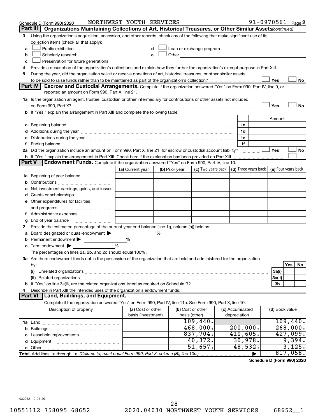|    | Schedule D (Form 990) 2020                                                                                                                                                                                                     | NORTHWEST YOUTH SERVICES |   |                |                                                                             |                 | $91 - 0970561$ Page 2 |                |          |     |
|----|--------------------------------------------------------------------------------------------------------------------------------------------------------------------------------------------------------------------------------|--------------------------|---|----------------|-----------------------------------------------------------------------------|-----------------|-----------------------|----------------|----------|-----|
|    | Part III<br>Organizations Maintaining Collections of Art, Historical Treasures, or Other Similar Assets (continued)                                                                                                            |                          |   |                |                                                                             |                 |                       |                |          |     |
| 3  | Using the organization's acquisition, accession, and other records, check any of the following that make significant use of its                                                                                                |                          |   |                |                                                                             |                 |                       |                |          |     |
|    | collection items (check all that apply):                                                                                                                                                                                       |                          |   |                |                                                                             |                 |                       |                |          |     |
| a  | Public exhibition                                                                                                                                                                                                              |                          |   |                | Loan or exchange program                                                    |                 |                       |                |          |     |
| b  | Scholarly research                                                                                                                                                                                                             |                          |   | Other          |                                                                             |                 |                       |                |          |     |
| c  | Preservation for future generations                                                                                                                                                                                            |                          |   |                |                                                                             |                 |                       |                |          |     |
| 4  | Provide a description of the organization's collections and explain how they further the organization's exempt purpose in Part XIII.                                                                                           |                          |   |                |                                                                             |                 |                       |                |          |     |
| 5  | During the year, did the organization solicit or receive donations of art, historical treasures, or other similar assets                                                                                                       |                          |   |                |                                                                             |                 |                       |                |          |     |
|    |                                                                                                                                                                                                                                |                          |   |                |                                                                             |                 |                       | Yes            |          | No  |
|    | Part IV<br><b>Escrow and Custodial Arrangements.</b> Complete if the organization answered "Yes" on Form 990, Part IV, line 9, or                                                                                              |                          |   |                |                                                                             |                 |                       |                |          |     |
|    | reported an amount on Form 990, Part X, line 21.                                                                                                                                                                               |                          |   |                |                                                                             |                 |                       |                |          |     |
|    | 1a Is the organization an agent, trustee, custodian or other intermediary for contributions or other assets not included                                                                                                       |                          |   |                |                                                                             |                 |                       |                |          |     |
|    | on Form 990, Part X? [11] matter contracts and contracts and contracts are contracted and contracts are contracted and contract and contract of the contract of the contract of the contract of the contract of the contract o |                          |   |                |                                                                             |                 |                       | Yes            |          | No  |
|    | b If "Yes," explain the arrangement in Part XIII and complete the following table:                                                                                                                                             |                          |   |                |                                                                             |                 |                       |                |          |     |
|    |                                                                                                                                                                                                                                |                          |   |                |                                                                             |                 |                       | Amount         |          |     |
| c  | Beginning balance measurements and contain the contract of the contract of the contract of the contract of the                                                                                                                 |                          |   |                |                                                                             | 1c              |                       |                |          |     |
|    |                                                                                                                                                                                                                                |                          |   |                |                                                                             | 1d              |                       |                |          |     |
|    | e Distributions during the year measurement contained and all the control of the set of the set of the set of the set of the set of the set of the set of the set of the set of the set of the set of the set of the set of th |                          |   |                |                                                                             | 1е              |                       |                |          |     |
|    |                                                                                                                                                                                                                                |                          |   |                |                                                                             | 1f              |                       |                |          |     |
|    | 2a Did the organization include an amount on Form 990, Part X, line 21, for escrow or custodial account liability?                                                                                                             |                          |   |                |                                                                             |                 |                       | Yes            |          | No  |
|    | Endowment Funds. Complete if the organization answered "Yes" on Form 990, Part IV, line 10.<br><b>Part V</b>                                                                                                                   |                          |   |                |                                                                             |                 |                       |                |          |     |
|    |                                                                                                                                                                                                                                | (a) Current year         |   | (b) Prior year | (c) Two years back $\vert$ (d) Three years back $\vert$ (e) Four years back |                 |                       |                |          |     |
|    |                                                                                                                                                                                                                                |                          |   |                |                                                                             |                 |                       |                |          |     |
| ٦а | Beginning of year balance                                                                                                                                                                                                      |                          |   |                |                                                                             |                 |                       |                |          |     |
| b  | Net investment earnings, gains, and losses                                                                                                                                                                                     |                          |   |                |                                                                             |                 |                       |                |          |     |
|    | Grants or scholarships                                                                                                                                                                                                         |                          |   |                |                                                                             |                 |                       |                |          |     |
| d  | e Other expenditures for facilities                                                                                                                                                                                            |                          |   |                |                                                                             |                 |                       |                |          |     |
|    |                                                                                                                                                                                                                                |                          |   |                |                                                                             |                 |                       |                |          |     |
|    |                                                                                                                                                                                                                                |                          |   |                |                                                                             |                 |                       |                |          |     |
| g  |                                                                                                                                                                                                                                |                          |   |                |                                                                             |                 |                       |                |          |     |
| 2  | Provide the estimated percentage of the current year end balance (line 1g, column (a)) held as:                                                                                                                                |                          |   |                |                                                                             |                 |                       |                |          |     |
| а  | Board designated or quasi-endowment                                                                                                                                                                                            |                          | % |                |                                                                             |                 |                       |                |          |     |
|    | Permanent endowment                                                                                                                                                                                                            | %                        |   |                |                                                                             |                 |                       |                |          |     |
| с  | Term endowment $\blacktriangleright$                                                                                                                                                                                           | %                        |   |                |                                                                             |                 |                       |                |          |     |
|    | The percentages on lines 2a, 2b, and 2c should equal 100%.                                                                                                                                                                     |                          |   |                |                                                                             |                 |                       |                |          |     |
|    | 3a Are there endowment funds not in the possession of the organization that are held and administered for the organization                                                                                                     |                          |   |                |                                                                             |                 |                       |                |          |     |
|    | by:                                                                                                                                                                                                                            |                          |   |                |                                                                             |                 |                       |                | Yes      | No. |
|    | (i)                                                                                                                                                                                                                            |                          |   |                |                                                                             |                 |                       | 3a(i)          |          |     |
|    |                                                                                                                                                                                                                                |                          |   |                |                                                                             |                 |                       | 3a(ii)         |          |     |
|    |                                                                                                                                                                                                                                |                          |   |                |                                                                             |                 |                       | 3b             |          |     |
|    | Describe in Part XIII the intended uses of the organization's endowment funds.                                                                                                                                                 |                          |   |                |                                                                             |                 |                       |                |          |     |
|    | Land, Buildings, and Equipment.<br><b>Part VI</b>                                                                                                                                                                              |                          |   |                |                                                                             |                 |                       |                |          |     |
|    | Complete if the organization answered "Yes" on Form 990, Part IV, line 11a. See Form 990, Part X, line 10.                                                                                                                     |                          |   |                |                                                                             |                 |                       |                |          |     |
|    | Description of property                                                                                                                                                                                                        | (a) Cost or other        |   |                | (b) Cost or other                                                           | (c) Accumulated |                       | (d) Book value |          |     |
|    |                                                                                                                                                                                                                                | basis (investment)       |   |                | basis (other)                                                               | depreciation    |                       |                |          |     |
|    |                                                                                                                                                                                                                                |                          |   |                | 109,440.                                                                    |                 |                       |                | 109,440. |     |
| b  |                                                                                                                                                                                                                                |                          |   |                | 468,000.                                                                    | 200,000.        |                       |                | 268,000. |     |
|    | c Leasehold improvements                                                                                                                                                                                                       |                          |   |                | 837,704.                                                                    | 410,605.        |                       |                | 427,099. |     |
|    |                                                                                                                                                                                                                                |                          |   |                | 40,372.                                                                     | 30,978.         |                       |                | 9,394.   |     |
|    |                                                                                                                                                                                                                                |                          |   |                | 51,657.                                                                     | 48,532.         |                       |                | 3,125.   |     |
|    | Total. Add lines 1a through 1e. (Column (d) must equal Form 990, Part X, column (B), line 10c.)                                                                                                                                |                          |   |                |                                                                             |                 |                       |                | 817,058. |     |

**Schedule D (Form 990) 2020**

032052 12-01-20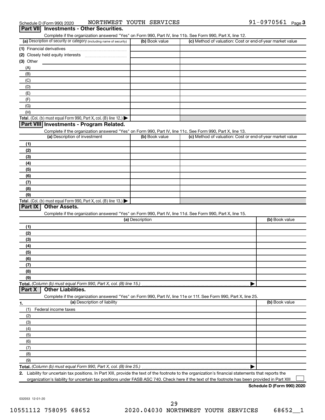Complete if the organization answered "Yes" on Form 990, Part IV, line 11b. See Form 990, Part X, line 12.

| (a) Description of security or category (including name of security)                                                                        | (b) Book value  | (c) Method of valuation: Cost or end-of-year market value |                |
|---------------------------------------------------------------------------------------------------------------------------------------------|-----------------|-----------------------------------------------------------|----------------|
| (1) Financial derivatives                                                                                                                   |                 |                                                           |                |
|                                                                                                                                             |                 |                                                           |                |
| (3) Other                                                                                                                                   |                 |                                                           |                |
| (A)                                                                                                                                         |                 |                                                           |                |
|                                                                                                                                             |                 |                                                           |                |
| (B)                                                                                                                                         |                 |                                                           |                |
| (C)                                                                                                                                         |                 |                                                           |                |
| (D)                                                                                                                                         |                 |                                                           |                |
| (E)                                                                                                                                         |                 |                                                           |                |
| (F)                                                                                                                                         |                 |                                                           |                |
| (G)                                                                                                                                         |                 |                                                           |                |
| (H)                                                                                                                                         |                 |                                                           |                |
| Total. (Col. (b) must equal Form 990, Part X, col. (B) line 12.) $\blacktriangleright$                                                      |                 |                                                           |                |
| Part VIII Investments - Program Related.                                                                                                    |                 |                                                           |                |
|                                                                                                                                             |                 |                                                           |                |
| Complete if the organization answered "Yes" on Form 990, Part IV, line 11c. See Form 990, Part X, line 13.<br>(a) Description of investment | (b) Book value  | (c) Method of valuation: Cost or end-of-year market value |                |
|                                                                                                                                             |                 |                                                           |                |
| (1)                                                                                                                                         |                 |                                                           |                |
| (2)                                                                                                                                         |                 |                                                           |                |
| (3)                                                                                                                                         |                 |                                                           |                |
| (4)                                                                                                                                         |                 |                                                           |                |
| (5)                                                                                                                                         |                 |                                                           |                |
| (6)                                                                                                                                         |                 |                                                           |                |
| (7)                                                                                                                                         |                 |                                                           |                |
|                                                                                                                                             |                 |                                                           |                |
| (8)                                                                                                                                         |                 |                                                           |                |
| (9)                                                                                                                                         |                 |                                                           |                |
|                                                                                                                                             |                 |                                                           |                |
| Total. (Col. (b) must equal Form 990, Part X, col. (B) line 13.) $\blacktriangleright$                                                      |                 |                                                           |                |
| Part IX<br><b>Other Assets.</b>                                                                                                             |                 |                                                           |                |
| Complete if the organization answered "Yes" on Form 990, Part IV, line 11d. See Form 990, Part X, line 15.                                  |                 |                                                           |                |
|                                                                                                                                             | (a) Description |                                                           | (b) Book value |
| (1)                                                                                                                                         |                 |                                                           |                |
|                                                                                                                                             |                 |                                                           |                |
| (2)                                                                                                                                         |                 |                                                           |                |
| (3)                                                                                                                                         |                 |                                                           |                |
| (4)                                                                                                                                         |                 |                                                           |                |
| (5)                                                                                                                                         |                 |                                                           |                |
| (6)                                                                                                                                         |                 |                                                           |                |
| (7)                                                                                                                                         |                 |                                                           |                |
| (8)                                                                                                                                         |                 |                                                           |                |
| (9)                                                                                                                                         |                 |                                                           |                |
|                                                                                                                                             |                 |                                                           |                |
| <b>Other Liabilities.</b><br>Part X                                                                                                         |                 |                                                           |                |
|                                                                                                                                             |                 |                                                           |                |
| Complete if the organization answered "Yes" on Form 990, Part IV, line 11e or 11f. See Form 990, Part X, line 25.                           |                 |                                                           |                |
| (a) Description of liability<br>1.                                                                                                          |                 |                                                           | (b) Book value |
| (1)<br>Federal income taxes                                                                                                                 |                 |                                                           |                |
| (2)                                                                                                                                         |                 |                                                           |                |
| (3)                                                                                                                                         |                 |                                                           |                |
| (4)                                                                                                                                         |                 |                                                           |                |
| (5)                                                                                                                                         |                 |                                                           |                |
| (6)                                                                                                                                         |                 |                                                           |                |
|                                                                                                                                             |                 |                                                           |                |
| (7)                                                                                                                                         |                 |                                                           |                |
| (8)<br>(9)                                                                                                                                  |                 |                                                           |                |

**2.** Liability for uncertain tax positions. In Part XIII, provide the text of the footnote to the organization's financial statements that reports the organization's liability for uncertain tax positions under FASB ASC 740. Check here if the text of the footnote has been provided in Part XIII  $\perp$ 

**Schedule D (Form 990) 2020**

032053 12-01-20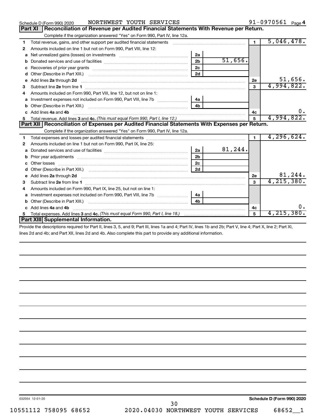|   | NORTHWEST YOUTH SERVICES<br>Schedule D (Form 990) 2020                                                                  |                |         |                | 91-0970561 Page 4 |
|---|-------------------------------------------------------------------------------------------------------------------------|----------------|---------|----------------|-------------------|
|   | Reconciliation of Revenue per Audited Financial Statements With Revenue per Return.<br>Part XI                          |                |         |                |                   |
|   | Complete if the organization answered "Yes" on Form 990, Part IV, line 12a.                                             |                |         |                |                   |
| 1 | Total revenue, gains, and other support per audited financial statements [[[[[[[[[[[[[[[[[[[[[[[]]]]]]]]]]]]]           |                |         | $\blacksquare$ | 5,046,478.        |
| 2 | Amounts included on line 1 but not on Form 990, Part VIII, line 12:                                                     |                |         |                |                   |
| a |                                                                                                                         | 2a             |         |                |                   |
| b |                                                                                                                         | 2 <sub>b</sub> | 51,656. |                |                   |
| с |                                                                                                                         | 2c             |         |                |                   |
| d |                                                                                                                         | 2d             |         |                |                   |
| e | Add lines 2a through 2d                                                                                                 |                |         | 2e             | 51,656.           |
| 3 |                                                                                                                         |                |         | 3              | 4,994,822.        |
|   | Amounts included on Form 990, Part VIII, line 12, but not on line 1:                                                    |                |         |                |                   |
| a |                                                                                                                         | 4a             |         |                |                   |
| b |                                                                                                                         | 4 <sub>h</sub> |         |                |                   |
| c | Add lines 4a and 4b                                                                                                     |                |         | 4c             |                   |
| 5 |                                                                                                                         |                |         | $\overline{5}$ | 4,994,822.        |
|   | Part XII   Reconciliation of Expenses per Audited Financial Statements With Expenses per Return.                        |                |         |                |                   |
|   | Complete if the organization answered "Yes" on Form 990, Part IV, line 12a.                                             |                |         |                |                   |
| 1 |                                                                                                                         |                |         | $\mathbf{1}$   | 4, 296, 624.      |
| 2 | Amounts included on line 1 but not on Form 990, Part IX, line 25:                                                       |                |         |                |                   |
| a |                                                                                                                         | 2a             | 81,244. |                |                   |
| b |                                                                                                                         | 2 <sub>b</sub> |         |                |                   |
|   |                                                                                                                         | 2 <sub>c</sub> |         |                |                   |
| d |                                                                                                                         | 2d             |         |                |                   |
| е | Add lines 2a through 2d <b>continuum contract and all and all and all and all and all and all and all and all and a</b> |                |         | 2e             | 81, 244.          |
| 3 |                                                                                                                         |                |         | 3              | 4, 215, 380.      |
| 4 | Amounts included on Form 990, Part IX, line 25, but not on line 1:                                                      |                |         |                |                   |
| a | Investment expenses not included on Form 990, Part VIII, line 7b [100] [100] [100] [100] [100] [100] [100] [10          | 4a             |         |                |                   |
| b |                                                                                                                         | 4 <sub>b</sub> |         |                |                   |
|   | Add lines 4a and 4b                                                                                                     |                |         | 4с             | 0.                |
| 5 |                                                                                                                         |                |         | 5              | 4, 215, 380.      |
|   |                                                                                                                         |                |         |                |                   |
|   | Part XIII Supplemental Information.<br><b>THE RUBBLE OF LODGE LIFE AND LOUD LOUD LIFE ADDED.</b>                        |                |         |                |                   |

Provide the descriptions required for Part II, lines 3, 5, and 9; Part III, lines 1a and 4; Part IV, lines 1b and 2b; Part V, line 4; Part X, line 2; Part XI, lines 2d and 4b; and Part XII, lines 2d and 4b. Also complete this part to provide any additional information.

032054 12-01-20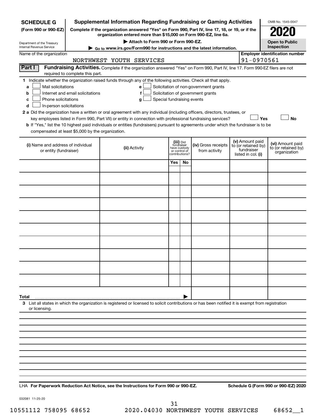| <b>SCHEDULE G</b>                                                                                                                             |                                                                                                                                                                                                                                                   |                                                                                                                                                                                                                                                                                                                                                                                                                                                                                                                                                    |                         |                                                 |                                                                            |  |                                                                            | OMB No. 1545-0047                                       |
|-----------------------------------------------------------------------------------------------------------------------------------------------|---------------------------------------------------------------------------------------------------------------------------------------------------------------------------------------------------------------------------------------------------|----------------------------------------------------------------------------------------------------------------------------------------------------------------------------------------------------------------------------------------------------------------------------------------------------------------------------------------------------------------------------------------------------------------------------------------------------------------------------------------------------------------------------------------------------|-------------------------|-------------------------------------------------|----------------------------------------------------------------------------|--|----------------------------------------------------------------------------|---------------------------------------------------------|
| (Form 990 or 990-EZ)                                                                                                                          | <b>Supplemental Information Regarding Fundraising or Gaming Activities</b><br>Complete if the organization answered "Yes" on Form 990, Part IV, line 17, 18, or 19, or if the<br>organization entered more than \$15,000 on Form 990-EZ, line 6a. |                                                                                                                                                                                                                                                                                                                                                                                                                                                                                                                                                    |                         |                                                 |                                                                            |  |                                                                            |                                                         |
| Department of the Treasury                                                                                                                    | Attach to Form 990 or Form 990-EZ.                                                                                                                                                                                                                |                                                                                                                                                                                                                                                                                                                                                                                                                                                                                                                                                    |                         |                                                 |                                                                            |  |                                                                            | <b>Open to Public</b>                                   |
| Internal Revenue Service                                                                                                                      | Go to www.irs.gov/Form990 for instructions and the latest information.                                                                                                                                                                            |                                                                                                                                                                                                                                                                                                                                                                                                                                                                                                                                                    |                         |                                                 |                                                                            |  |                                                                            | Inspection                                              |
| Name of the organization                                                                                                                      |                                                                                                                                                                                                                                                   | NORTHWEST YOUTH SERVICES                                                                                                                                                                                                                                                                                                                                                                                                                                                                                                                           |                         |                                                 |                                                                            |  | 91-0970561                                                                 | <b>Employer identification number</b>                   |
| Part I                                                                                                                                        |                                                                                                                                                                                                                                                   | Fundraising Activities. Complete if the organization answered "Yes" on Form 990, Part IV, line 17. Form 990-EZ filers are not                                                                                                                                                                                                                                                                                                                                                                                                                      |                         |                                                 |                                                                            |  |                                                                            |                                                         |
| Mail solicitations<br>a<br>b<br>Phone solicitations<br>с<br>In-person solicitations<br>d<br>compensated at least \$5,000 by the organization. | required to complete this part.<br>Internet and email solicitations                                                                                                                                                                               | 1 Indicate whether the organization raised funds through any of the following activities. Check all that apply.<br>е<br>f<br>Special fundraising events<br>g<br>2 a Did the organization have a written or oral agreement with any individual (including officers, directors, trustees, or<br>key employees listed in Form 990, Part VII) or entity in connection with professional fundraising services?<br>b If "Yes," list the 10 highest paid individuals or entities (fundraisers) pursuant to agreements under which the fundraiser is to be |                         |                                                 | Solicitation of non-government grants<br>Solicitation of government grants |  | Yes                                                                        | <b>No</b>                                               |
| (i) Name and address of individual<br>or entity (fundraiser)                                                                                  |                                                                                                                                                                                                                                                   | (ii) Activity                                                                                                                                                                                                                                                                                                                                                                                                                                                                                                                                      | (iii) Did<br>fundraiser | have custody<br>or control of<br>contributions? | (iv) Gross receipts<br>from activity                                       |  | (v) Amount paid<br>to (or retained by)<br>fundraiser<br>listed in col. (i) | (vi) Amount paid<br>to (or retained by)<br>organization |
|                                                                                                                                               |                                                                                                                                                                                                                                                   |                                                                                                                                                                                                                                                                                                                                                                                                                                                                                                                                                    | Yes                     | No                                              |                                                                            |  |                                                                            |                                                         |
|                                                                                                                                               |                                                                                                                                                                                                                                                   |                                                                                                                                                                                                                                                                                                                                                                                                                                                                                                                                                    |                         |                                                 |                                                                            |  |                                                                            |                                                         |
|                                                                                                                                               |                                                                                                                                                                                                                                                   |                                                                                                                                                                                                                                                                                                                                                                                                                                                                                                                                                    |                         |                                                 |                                                                            |  |                                                                            |                                                         |
|                                                                                                                                               |                                                                                                                                                                                                                                                   |                                                                                                                                                                                                                                                                                                                                                                                                                                                                                                                                                    |                         |                                                 |                                                                            |  |                                                                            |                                                         |
|                                                                                                                                               |                                                                                                                                                                                                                                                   |                                                                                                                                                                                                                                                                                                                                                                                                                                                                                                                                                    |                         |                                                 |                                                                            |  |                                                                            |                                                         |
|                                                                                                                                               |                                                                                                                                                                                                                                                   |                                                                                                                                                                                                                                                                                                                                                                                                                                                                                                                                                    |                         |                                                 |                                                                            |  |                                                                            |                                                         |
|                                                                                                                                               |                                                                                                                                                                                                                                                   |                                                                                                                                                                                                                                                                                                                                                                                                                                                                                                                                                    |                         |                                                 |                                                                            |  |                                                                            |                                                         |
|                                                                                                                                               |                                                                                                                                                                                                                                                   |                                                                                                                                                                                                                                                                                                                                                                                                                                                                                                                                                    |                         |                                                 |                                                                            |  |                                                                            |                                                         |
|                                                                                                                                               |                                                                                                                                                                                                                                                   |                                                                                                                                                                                                                                                                                                                                                                                                                                                                                                                                                    |                         |                                                 |                                                                            |  |                                                                            |                                                         |
| Total                                                                                                                                         |                                                                                                                                                                                                                                                   |                                                                                                                                                                                                                                                                                                                                                                                                                                                                                                                                                    |                         |                                                 |                                                                            |  |                                                                            |                                                         |
| or licensing.                                                                                                                                 |                                                                                                                                                                                                                                                   | 3 List all states in which the organization is registered or licensed to solicit contributions or has been notified it is exempt from registration                                                                                                                                                                                                                                                                                                                                                                                                 |                         |                                                 |                                                                            |  |                                                                            |                                                         |
|                                                                                                                                               |                                                                                                                                                                                                                                                   |                                                                                                                                                                                                                                                                                                                                                                                                                                                                                                                                                    |                         |                                                 |                                                                            |  |                                                                            |                                                         |
|                                                                                                                                               |                                                                                                                                                                                                                                                   |                                                                                                                                                                                                                                                                                                                                                                                                                                                                                                                                                    |                         |                                                 |                                                                            |  |                                                                            |                                                         |
|                                                                                                                                               |                                                                                                                                                                                                                                                   |                                                                                                                                                                                                                                                                                                                                                                                                                                                                                                                                                    |                         |                                                 |                                                                            |  |                                                                            |                                                         |
|                                                                                                                                               |                                                                                                                                                                                                                                                   |                                                                                                                                                                                                                                                                                                                                                                                                                                                                                                                                                    |                         |                                                 |                                                                            |  |                                                                            |                                                         |
|                                                                                                                                               |                                                                                                                                                                                                                                                   |                                                                                                                                                                                                                                                                                                                                                                                                                                                                                                                                                    |                         |                                                 |                                                                            |  |                                                                            |                                                         |
|                                                                                                                                               |                                                                                                                                                                                                                                                   |                                                                                                                                                                                                                                                                                                                                                                                                                                                                                                                                                    |                         |                                                 |                                                                            |  |                                                                            |                                                         |
|                                                                                                                                               |                                                                                                                                                                                                                                                   |                                                                                                                                                                                                                                                                                                                                                                                                                                                                                                                                                    |                         |                                                 |                                                                            |  |                                                                            |                                                         |
|                                                                                                                                               |                                                                                                                                                                                                                                                   |                                                                                                                                                                                                                                                                                                                                                                                                                                                                                                                                                    |                         |                                                 |                                                                            |  |                                                                            |                                                         |

**For Paperwork Reduction Act Notice, see the Instructions for Form 990 or 990-EZ. Schedule G (Form 990 or 990-EZ) 2020** LHA

032081 11-25-20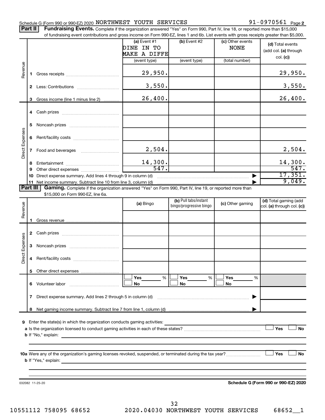## Schedule G (Form 990 or 990-EZ) 2020  ${\tt NORTHWEST}$   ${\tt YOUTH}$   ${\tt SERVICES}$   ${\tt SENVICES}$  91 - 0970561  ${\tt Page}$

91-0970561 Page 2

| Part II Fundraising Events. Complete if the organization answered "Yes" on Form 990, Part IV, line 18, or reported more than \$15,000     |                |                |                  |         |  |  |  |
|-------------------------------------------------------------------------------------------------------------------------------------------|----------------|----------------|------------------|---------|--|--|--|
| of fundraising event contributions and gross income on Form 990-EZ, lines 1 and 6b. List events with gross receipts greater than \$5,000. |                |                |                  |         |  |  |  |
|                                                                                                                                           | (a) Event $#1$ | (b) Event $#2$ | (c) Other events | $I = I$ |  |  |  |

|                 |          |                                                                                                                         | $(a)$ Event #1<br>DINE IN TO        | (b) Event #2                                                                                                                                                                                                                                                                                                                                                                     | (c) Other events<br><b>NONE</b> | (d) Total events<br>(add col. (a) through           |
|-----------------|----------|-------------------------------------------------------------------------------------------------------------------------|-------------------------------------|----------------------------------------------------------------------------------------------------------------------------------------------------------------------------------------------------------------------------------------------------------------------------------------------------------------------------------------------------------------------------------|---------------------------------|-----------------------------------------------------|
|                 |          |                                                                                                                         | <b>MAKE A DIFFE</b><br>(event type) | (event type)                                                                                                                                                                                                                                                                                                                                                                     | (total number)                  | col. (c)                                            |
|                 |          |                                                                                                                         |                                     |                                                                                                                                                                                                                                                                                                                                                                                  |                                 |                                                     |
| Revenue         | 1.       |                                                                                                                         | 29,950.                             |                                                                                                                                                                                                                                                                                                                                                                                  |                                 | 29,950.                                             |
|                 |          |                                                                                                                         | 3,550.                              |                                                                                                                                                                                                                                                                                                                                                                                  |                                 | 3,550.                                              |
|                 | 3        | Gross income (line 1 minus line 2)                                                                                      | 26,400.                             |                                                                                                                                                                                                                                                                                                                                                                                  |                                 | 26,400.                                             |
|                 |          |                                                                                                                         |                                     |                                                                                                                                                                                                                                                                                                                                                                                  |                                 |                                                     |
|                 | 5        |                                                                                                                         |                                     |                                                                                                                                                                                                                                                                                                                                                                                  |                                 |                                                     |
|                 | 6        |                                                                                                                         |                                     |                                                                                                                                                                                                                                                                                                                                                                                  |                                 |                                                     |
| Direct Expenses | 7        |                                                                                                                         | 2,504.                              |                                                                                                                                                                                                                                                                                                                                                                                  |                                 | 2,504.                                              |
|                 | 8        |                                                                                                                         |                                     |                                                                                                                                                                                                                                                                                                                                                                                  |                                 | 14,300.                                             |
|                 | 9        |                                                                                                                         | $\frac{14,300}{547}$                |                                                                                                                                                                                                                                                                                                                                                                                  |                                 | 547.                                                |
|                 | 10       | Direct expense summary. Add lines 4 through 9 in column (d)                                                             |                                     | $\begin{picture}(20,10) \put(0,0){\vector(1,0){10}} \put(1,0){\vector(1,0){10}} \put(1,0){\vector(1,0){10}} \put(1,0){\vector(1,0){10}} \put(1,0){\vector(1,0){10}} \put(1,0){\vector(1,0){10}} \put(1,0){\vector(1,0){10}} \put(1,0){\vector(1,0){10}} \put(1,0){\vector(1,0){10}} \put(1,0){\vector(1,0){10}} \put(1,0){\vector(1,0){10}} \put(1,0){\vector(1,0){10}} \put(1,$ |                                 | 17,351.                                             |
|                 |          | 11 Net income summary. Subtract line 10 from line 3, column (d)                                                         |                                     |                                                                                                                                                                                                                                                                                                                                                                                  |                                 | 9,049.                                              |
|                 | Part III | Gaming. Complete if the organization answered "Yes" on Form 990, Part IV, line 19, or reported more than                |                                     |                                                                                                                                                                                                                                                                                                                                                                                  |                                 |                                                     |
|                 |          | \$15,000 on Form 990-EZ, line 6a.                                                                                       |                                     |                                                                                                                                                                                                                                                                                                                                                                                  |                                 |                                                     |
| Revenue         |          |                                                                                                                         | (a) Bingo                           | (b) Pull tabs/instant<br>bingo/progressive bingo                                                                                                                                                                                                                                                                                                                                 | (c) Other gaming                | (d) Total gaming (add<br>col. (a) through col. (c)) |
|                 | 1.       |                                                                                                                         |                                     |                                                                                                                                                                                                                                                                                                                                                                                  |                                 |                                                     |
|                 |          |                                                                                                                         |                                     |                                                                                                                                                                                                                                                                                                                                                                                  |                                 |                                                     |
|                 |          |                                                                                                                         |                                     |                                                                                                                                                                                                                                                                                                                                                                                  |                                 |                                                     |
| Direct Expenses | 3        |                                                                                                                         |                                     |                                                                                                                                                                                                                                                                                                                                                                                  |                                 |                                                     |
|                 | 4        |                                                                                                                         |                                     |                                                                                                                                                                                                                                                                                                                                                                                  |                                 |                                                     |
|                 | 5        |                                                                                                                         |                                     |                                                                                                                                                                                                                                                                                                                                                                                  |                                 |                                                     |
|                 |          |                                                                                                                         | $\sqrt{1 + 2}$<br>$\frac{1}{\%}$    | %<br>Yes                                                                                                                                                                                                                                                                                                                                                                         | $\Box$ Yes<br>%                 |                                                     |
|                 | 6        |                                                                                                                         | No                                  | No                                                                                                                                                                                                                                                                                                                                                                               | No                              |                                                     |
|                 | 7        | Direct expense summary. Add lines 2 through 5 in column (d)                                                             |                                     |                                                                                                                                                                                                                                                                                                                                                                                  |                                 |                                                     |
|                 | 8        |                                                                                                                         |                                     |                                                                                                                                                                                                                                                                                                                                                                                  |                                 |                                                     |
|                 |          |                                                                                                                         |                                     |                                                                                                                                                                                                                                                                                                                                                                                  |                                 |                                                     |
| 9               |          | Enter the state(s) in which the organization conducts gaming activities:                                                |                                     |                                                                                                                                                                                                                                                                                                                                                                                  |                                 |                                                     |
|                 |          |                                                                                                                         |                                     |                                                                                                                                                                                                                                                                                                                                                                                  |                                 | Yes<br>No                                           |
|                 |          | <b>b</b> If "No," explain:<br>the control of the control of the control of the control of the control of the control of |                                     |                                                                                                                                                                                                                                                                                                                                                                                  |                                 |                                                     |
|                 |          |                                                                                                                         |                                     |                                                                                                                                                                                                                                                                                                                                                                                  |                                 |                                                     |
|                 |          |                                                                                                                         |                                     |                                                                                                                                                                                                                                                                                                                                                                                  |                                 |                                                     |
|                 |          |                                                                                                                         |                                     |                                                                                                                                                                                                                                                                                                                                                                                  |                                 | No<br>Yes                                           |
|                 |          | <b>b</b> If "Yes," explain:                                                                                             |                                     |                                                                                                                                                                                                                                                                                                                                                                                  |                                 |                                                     |
|                 |          |                                                                                                                         |                                     |                                                                                                                                                                                                                                                                                                                                                                                  |                                 |                                                     |
|                 |          |                                                                                                                         |                                     |                                                                                                                                                                                                                                                                                                                                                                                  |                                 |                                                     |
|                 |          |                                                                                                                         |                                     |                                                                                                                                                                                                                                                                                                                                                                                  |                                 | Schedule G (Form 990 or 990-EZ) 2020                |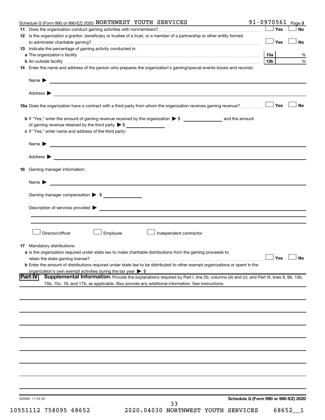|    | Schedule G (Form 990 or 990-EZ) 2020 NORTHWEST YOUTH SERVICES                                                                                                                                                                  |                 | 91-0970561 $_{Page 3}$               |
|----|--------------------------------------------------------------------------------------------------------------------------------------------------------------------------------------------------------------------------------|-----------------|--------------------------------------|
|    |                                                                                                                                                                                                                                | Yes             | <b>No</b>                            |
|    | 12 Is the organization a grantor, beneficiary or trustee of a trust, or a member of a partnership or other entity formed                                                                                                       | Yes             | <b>No</b>                            |
|    | 13 Indicate the percentage of gaming activity conducted in:                                                                                                                                                                    |                 |                                      |
|    |                                                                                                                                                                                                                                | 13a             | %                                    |
|    | <b>b</b> An outside facility <i>www.communicality www.communicality.communicality www.communicality www.communicality.communicality www.communicality.com</i>                                                                  | 13 <sub>b</sub> | %                                    |
|    | 14 Enter the name and address of the person who prepares the organization's gaming/special events books and records:                                                                                                           |                 |                                      |
|    | Name $\blacktriangleright$<br><u> 1989 - Johann Barn, fransk politik formuler (d. 1989)</u>                                                                                                                                    |                 |                                      |
|    |                                                                                                                                                                                                                                |                 |                                      |
|    |                                                                                                                                                                                                                                |                 | <b>No</b>                            |
|    |                                                                                                                                                                                                                                |                 |                                      |
|    | c If "Yes," enter name and address of the third party:                                                                                                                                                                         |                 |                                      |
|    |                                                                                                                                                                                                                                |                 |                                      |
|    | <u>and the control of the control of the control of the control of the control of the control of</u><br>Name $\blacktriangleright$                                                                                             |                 |                                      |
|    |                                                                                                                                                                                                                                |                 |                                      |
| 16 | Gaming manager information:                                                                                                                                                                                                    |                 |                                      |
|    | <u> 1989 - Johann Barbara, martin amerikan basal dan berasal dan berasal dalam basal dan berasal dan berasal dan</u><br>Name $\blacktriangleright$                                                                             |                 |                                      |
|    | Gaming manager compensation > \$                                                                                                                                                                                               |                 |                                      |
|    | Description of services provided states and the control of the control of the control of services provided states and the control of the control of the control of the control of the control of the control of the control of |                 |                                      |
|    |                                                                                                                                                                                                                                |                 |                                      |
|    |                                                                                                                                                                                                                                |                 |                                      |
|    | Director/officer<br>Employee<br>Independent contractor                                                                                                                                                                         |                 |                                      |
|    | <b>17</b> Mandatory distributions:                                                                                                                                                                                             |                 |                                      |
|    | a Is the organization required under state law to make charitable distributions from the gaming proceeds to                                                                                                                    |                 |                                      |
|    | retain the state gaming license?<br><b>b</b> Enter the amount of distributions required under state law to be distributed to other exempt organizations or spent in the                                                        |                 | $\Box$ Yes $\Box$ No                 |
|    | organization's own exempt activities during the tax year $\triangleright$ \$                                                                                                                                                   |                 |                                      |
|    | <b>Part IV</b><br>Supplemental Information. Provide the explanations required by Part I, line 2b, columns (iii) and (v); and Part III, lines 9, 9b, 10b,                                                                       |                 |                                      |
|    | 15b, 15c, 16, and 17b, as applicable. Also provide any additional information. See instructions.                                                                                                                               |                 |                                      |
|    |                                                                                                                                                                                                                                |                 |                                      |
|    |                                                                                                                                                                                                                                |                 |                                      |
|    |                                                                                                                                                                                                                                |                 |                                      |
|    |                                                                                                                                                                                                                                |                 |                                      |
|    |                                                                                                                                                                                                                                |                 |                                      |
|    |                                                                                                                                                                                                                                |                 |                                      |
|    |                                                                                                                                                                                                                                |                 |                                      |
|    |                                                                                                                                                                                                                                |                 |                                      |
|    |                                                                                                                                                                                                                                |                 |                                      |
|    |                                                                                                                                                                                                                                |                 | Schedule G (Form 990 or 990-EZ) 2020 |
|    | 032083 11-25-20<br>33                                                                                                                                                                                                          |                 |                                      |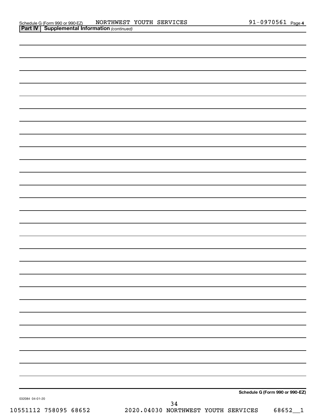| . .             | $\cdot$ |                                 |
|-----------------|---------|---------------------------------|
|                 |         |                                 |
|                 |         |                                 |
|                 |         |                                 |
|                 |         |                                 |
|                 |         |                                 |
|                 |         |                                 |
|                 |         |                                 |
|                 |         |                                 |
|                 |         |                                 |
|                 |         |                                 |
|                 |         |                                 |
|                 |         |                                 |
|                 |         |                                 |
|                 |         |                                 |
|                 |         |                                 |
|                 |         |                                 |
|                 |         |                                 |
|                 |         |                                 |
|                 |         |                                 |
|                 |         |                                 |
|                 |         |                                 |
|                 |         |                                 |
|                 |         |                                 |
|                 |         |                                 |
|                 |         |                                 |
|                 |         |                                 |
|                 |         |                                 |
|                 |         |                                 |
|                 |         |                                 |
|                 |         |                                 |
|                 |         |                                 |
|                 |         |                                 |
|                 |         |                                 |
|                 |         |                                 |
|                 |         |                                 |
|                 |         |                                 |
|                 |         |                                 |
|                 |         |                                 |
|                 |         |                                 |
|                 |         | Schedule G (Form 990 or 990-EZ) |
| 032084 04-01-20 |         |                                 |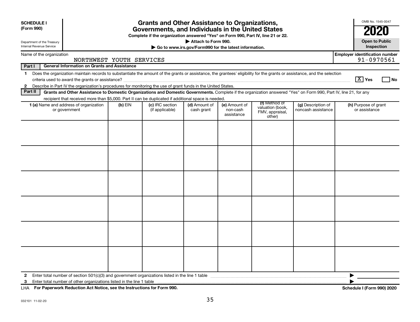| <b>SCHEDULE I</b><br>(Form 990) |                                                                                                                                                                                                                                                     |           | <b>Grants and Other Assistance to Organizations,</b><br>Governments, and Individuals in the United States |                             |                                         |                                                                |                                          |                              | OMB No. 1545-0047                                   |
|---------------------------------|-----------------------------------------------------------------------------------------------------------------------------------------------------------------------------------------------------------------------------------------------------|-----------|-----------------------------------------------------------------------------------------------------------|-----------------------------|-----------------------------------------|----------------------------------------------------------------|------------------------------------------|------------------------------|-----------------------------------------------------|
|                                 | Complete if the organization answered "Yes" on Form 990, Part IV, line 21 or 22.<br>Attach to Form 990.<br><b>Open to Public</b><br>Department of the Treasury<br>Internal Revenue Service<br>Go to www.irs.gov/Form990 for the latest information. |           |                                                                                                           |                             |                                         |                                                                |                                          |                              |                                                     |
|                                 | Name of the organization<br>NORTHWEST YOUTH SERVICES                                                                                                                                                                                                |           |                                                                                                           |                             |                                         |                                                                |                                          |                              | <b>Employer identification number</b><br>91-0970561 |
| Part I                          | <b>General Information on Grants and Assistance</b>                                                                                                                                                                                                 |           |                                                                                                           |                             |                                         |                                                                |                                          |                              |                                                     |
| $\mathbf 1$                     | Does the organization maintain records to substantiate the amount of the grants or assistance, the grantees' eligibility for the grants or assistance, and the selection                                                                            |           |                                                                                                           |                             |                                         |                                                                |                                          | $\lceil \text{X} \rceil$ Yes | l No                                                |
| Part II                         | 2 Describe in Part IV the organization's procedures for monitoring the use of grant funds in the United States.                                                                                                                                     |           |                                                                                                           |                             |                                         |                                                                |                                          |                              |                                                     |
|                                 | Grants and Other Assistance to Domestic Organizations and Domestic Governments. Complete if the organization answered "Yes" on Form 990, Part IV, line 21, for any                                                                                  |           |                                                                                                           |                             |                                         |                                                                |                                          |                              |                                                     |
|                                 | recipient that received more than \$5,000. Part II can be duplicated if additional space is needed.<br>1 (a) Name and address of organization<br>or government                                                                                      | $(b)$ EIN | (c) IRC section<br>(if applicable)                                                                        | (d) Amount of<br>cash grant | (e) Amount of<br>non-cash<br>assistance | (f) Method of<br>valuation (book,<br>FMV, appraisal,<br>other) | (g) Description of<br>noncash assistance |                              | (h) Purpose of grant<br>or assistance               |
|                                 |                                                                                                                                                                                                                                                     |           |                                                                                                           |                             |                                         |                                                                |                                          |                              |                                                     |
| 2<br>3                          |                                                                                                                                                                                                                                                     |           |                                                                                                           |                             |                                         |                                                                |                                          |                              |                                                     |

**For Paperwork Reduction Act Notice, see the Instructions for Form 990. Schedule I (Form 990) 2020** LHA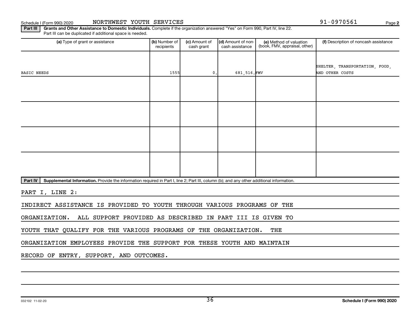Schedule I (Form 990) 2020

91-0970561

**2**

Part III | Grants and Other Assistance to Domestic Individuals. Complete if the organization answered "Yes" on Form 990, Part IV, line 22. Part III can be duplicated if additional space is needed.

| (a) Type of grant or assistance | (b) Number of<br>recipients | (c) Amount of<br>cash grant | (d) Amount of non-<br>cash assistance | (e) Method of valuation<br>(book, FMV, appraisal, other) | (f) Description of noncash assistance |
|---------------------------------|-----------------------------|-----------------------------|---------------------------------------|----------------------------------------------------------|---------------------------------------|
|                                 |                             |                             |                                       |                                                          |                                       |
|                                 |                             |                             |                                       |                                                          | SHELTER, TRANSPORTATION, FOOD,        |
| <b>BASIC NEEDS</b>              | 1555                        | 0.                          | 681,516.FMV                           |                                                          | AND OTHER COSTS                       |
|                                 |                             |                             |                                       |                                                          |                                       |
|                                 |                             |                             |                                       |                                                          |                                       |
|                                 |                             |                             |                                       |                                                          |                                       |
|                                 |                             |                             |                                       |                                                          |                                       |
|                                 |                             |                             |                                       |                                                          |                                       |
|                                 |                             |                             |                                       |                                                          |                                       |
|                                 |                             |                             |                                       |                                                          |                                       |
|                                 |                             |                             |                                       |                                                          |                                       |
|                                 |                             |                             |                                       |                                                          |                                       |
|                                 |                             |                             |                                       |                                                          |                                       |
|                                 |                             |                             |                                       |                                                          |                                       |
|                                 |                             |                             |                                       |                                                          |                                       |

Part IV | Supplemental Information. Provide the information required in Part I, line 2; Part III, column (b); and any other additional information.

PART I, LINE 2:

INDIRECT ASSISTANCE IS PROVIDED TO YOUTH THROUGH VARIOUS PROGRAMS OF THE

ORGANIZATION. ALL SUPPORT PROVIDED AS DESCRIBED IN PART III IS GIVEN TO

YOUTH THAT QUALIFY FOR THE VARIOUS PROGRAMS OF THE ORGANIZATION. THE

ORGANIZATION EMPLOYEES PROVIDE THE SUPPORT FOR THESE YOUTH AND MAINTAIN

RECORD OF ENTRY, SUPPORT, AND OUTCOMES.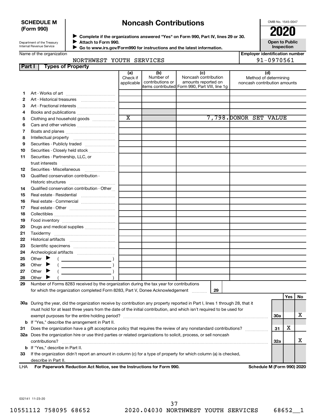## **SCHEDULE M (Form 990)**

## **Noncash Contributions**

OMB No. 1545-0047

**Open to Public**

| Department of the Treasury |
|----------------------------|
| Internal Revenue Service   |

◆ Complete if the organizations answered "Yes" on Form 990, Part IV, lines 29 or 30.<br>● Complete if the organizations answered "Yes" on Form 990, Part IV, lines 29 or 30. **Attach to Form 990.**  $\blacktriangleright$ 

 **Go to www.irs.gov/Form990 for instructions and the latest information.** J

**Inspection**

|    | Name of the organization                                                                                                                           |                               |                                      |                                                                                                      |  | <b>Employer identification number</b><br>91-0970561   |     |     |    |  |
|----|----------------------------------------------------------------------------------------------------------------------------------------------------|-------------------------------|--------------------------------------|------------------------------------------------------------------------------------------------------|--|-------------------------------------------------------|-----|-----|----|--|
|    | NORTHWEST YOUTH SERVICES<br><b>Types of Property</b><br>Part I                                                                                     |                               |                                      |                                                                                                      |  |                                                       |     |     |    |  |
|    |                                                                                                                                                    | (a)<br>Check if<br>applicable | (b)<br>Number of<br>contributions or | (c)<br>Noncash contribution<br>amounts reported on<br>items contributed Form 990, Part VIII, line 1g |  | Method of determining<br>noncash contribution amounts | (d) |     |    |  |
| 1  |                                                                                                                                                    |                               |                                      |                                                                                                      |  |                                                       |     |     |    |  |
| 2  |                                                                                                                                                    |                               |                                      |                                                                                                      |  |                                                       |     |     |    |  |
| З  |                                                                                                                                                    |                               |                                      |                                                                                                      |  |                                                       |     |     |    |  |
| 4  |                                                                                                                                                    |                               |                                      |                                                                                                      |  |                                                       |     |     |    |  |
| 5  | Clothing and household goods                                                                                                                       | $\overline{\text{x}}$         |                                      |                                                                                                      |  | 7,798. DONOR SET VALUE                                |     |     |    |  |
| 6  |                                                                                                                                                    |                               |                                      |                                                                                                      |  |                                                       |     |     |    |  |
| 7  |                                                                                                                                                    |                               |                                      |                                                                                                      |  |                                                       |     |     |    |  |
| 8  |                                                                                                                                                    |                               |                                      |                                                                                                      |  |                                                       |     |     |    |  |
| 9  |                                                                                                                                                    |                               |                                      |                                                                                                      |  |                                                       |     |     |    |  |
| 10 | Securities - Closely held stock                                                                                                                    |                               |                                      |                                                                                                      |  |                                                       |     |     |    |  |
| 11 | Securities - Partnership, LLC, or                                                                                                                  |                               |                                      |                                                                                                      |  |                                                       |     |     |    |  |
|    | trust interests                                                                                                                                    |                               |                                      |                                                                                                      |  |                                                       |     |     |    |  |
| 12 | Securities - Miscellaneous                                                                                                                         |                               |                                      |                                                                                                      |  |                                                       |     |     |    |  |
| 13 | Qualified conservation contribution -                                                                                                              |                               |                                      |                                                                                                      |  |                                                       |     |     |    |  |
|    |                                                                                                                                                    |                               |                                      |                                                                                                      |  |                                                       |     |     |    |  |
| 14 | Qualified conservation contribution - Other                                                                                                        |                               |                                      |                                                                                                      |  |                                                       |     |     |    |  |
| 15 | Real estate - Residential                                                                                                                          |                               |                                      |                                                                                                      |  |                                                       |     |     |    |  |
| 16 | Real estate - Commercial                                                                                                                           |                               |                                      |                                                                                                      |  |                                                       |     |     |    |  |
| 17 |                                                                                                                                                    |                               |                                      |                                                                                                      |  |                                                       |     |     |    |  |
| 18 |                                                                                                                                                    |                               |                                      |                                                                                                      |  |                                                       |     |     |    |  |
| 19 |                                                                                                                                                    |                               |                                      |                                                                                                      |  |                                                       |     |     |    |  |
| 20 | Drugs and medical supplies                                                                                                                         |                               |                                      |                                                                                                      |  |                                                       |     |     |    |  |
| 21 |                                                                                                                                                    |                               |                                      |                                                                                                      |  |                                                       |     |     |    |  |
| 22 |                                                                                                                                                    |                               |                                      |                                                                                                      |  |                                                       |     |     |    |  |
| 23 |                                                                                                                                                    |                               |                                      |                                                                                                      |  |                                                       |     |     |    |  |
| 24 |                                                                                                                                                    |                               |                                      |                                                                                                      |  |                                                       |     |     |    |  |
| 25 | Other $\blacktriangleright$<br>$\left(\begin{array}{ccc}\n&\n&\n\end{array}\right)$                                                                |                               |                                      |                                                                                                      |  |                                                       |     |     |    |  |
| 26 | $\qquad \qquad ($<br>Other $\blacktriangleright$                                                                                                   |                               |                                      |                                                                                                      |  |                                                       |     |     |    |  |
| 27 | Other $\blacktriangleright$<br><u> 1999 - John Harry Harry Harry Harry Harry Harry Harry Harry Harry Harry Harry Harry Harry Harry Harry Harry</u> |                               |                                      |                                                                                                      |  |                                                       |     |     |    |  |
| 28 | Other                                                                                                                                              |                               |                                      |                                                                                                      |  |                                                       |     |     |    |  |
| 29 | Number of Forms 8283 received by the organization during the tax year for contributions                                                            |                               |                                      |                                                                                                      |  |                                                       |     |     |    |  |
|    |                                                                                                                                                    |                               |                                      |                                                                                                      |  |                                                       |     |     |    |  |
|    |                                                                                                                                                    |                               |                                      |                                                                                                      |  |                                                       |     | Yes | No |  |
|    | 30a During the year, did the organization receive by contribution any property reported in Part I, lines 1 through 28, that it                     |                               |                                      |                                                                                                      |  |                                                       |     |     |    |  |
|    | must hold for at least three years from the date of the initial contribution, and which isn't required to be used for                              |                               |                                      |                                                                                                      |  |                                                       |     |     |    |  |
|    |                                                                                                                                                    |                               |                                      |                                                                                                      |  |                                                       | 30a |     | х  |  |
|    | <b>b</b> If "Yes," describe the arrangement in Part II.                                                                                            |                               |                                      |                                                                                                      |  |                                                       |     |     |    |  |
| 31 | Does the organization have a gift acceptance policy that requires the review of any nonstandard contributions?                                     |                               |                                      |                                                                                                      |  | 31                                                    | х   |     |    |  |
|    | 32a Does the organization hire or use third parties or related organizations to solicit, process, or sell noncash                                  |                               |                                      |                                                                                                      |  |                                                       |     |     |    |  |
|    | contributions?                                                                                                                                     |                               |                                      |                                                                                                      |  |                                                       | 32a |     | х  |  |
|    | <b>b</b> If "Yes," describe in Part II.                                                                                                            |                               |                                      |                                                                                                      |  |                                                       |     |     |    |  |
| 33 | If the organization didn't report an amount in column (c) for a type of property for which column (a) is checked,                                  |                               |                                      |                                                                                                      |  |                                                       |     |     |    |  |

describe in Part II.

**For Paperwork Reduction Act Notice, see the Instructions for Form 990. Schedule M (Form 990) 2020** LHA

032141 11-23-20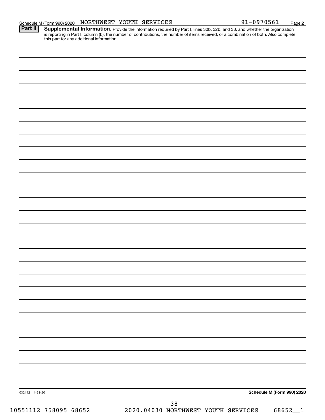Provide the information required by Part I, lines 30b, 32b, and 33, and whether the organization is reporting in Part I, column (b), the number of contributions, the number of items received, or a combination of both. Also complete this part for any additional information. **Part II Supplemental Information.** 

032142 11-23-20 **Schedule M (Form 990) 2020** 10551112 758095 68652 2020.04030 NORTHWEST YOUTH SERVICES 68652\_\_1 38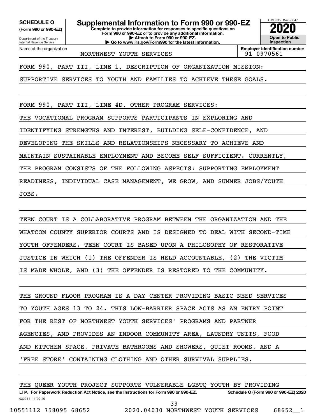**(Form 990 or 990-EZ)**

Department of the Treasury Internal Revenue Service

**Complete to provide information for responses to specific questions on Form 990 or 990-EZ or to provide any additional information. | Attach to Form 990 or 990-EZ. | Go to www.irs.gov/Form990 for the latest information. SCHEDULE O Supplemental Information to Form 990 or 990-EZ 2020**<br>(Form 990 or 990-EZ) Complete to provide information for responses to specific questions on



Name of the organization

NORTHWEST YOUTH SERVICES **191-0970561** 

**Employer identification number**

FORM 990, PART III, LINE 1, DESCRIPTION OF ORGANIZATION MISSION:

SUPPORTIVE SERVICES TO YOUTH AND FAMILIES TO ACHIEVE THESE GOALS.

FORM 990, PART III, LINE 4D, OTHER PROGRAM SERVICES:

THE VOCATIONAL PROGRAM SUPPORTS PARTICIPANTS IN EXPLORING AND

IDENTIFYING STRENGTHS AND INTEREST, BUILDING SELF-CONFIDENCE, AND

DEVELOPING THE SKILLS AND RELATIONSHIPS NECESSARY TO ACHIEVE AND

MAINTAIN SUSTAINABLE EMPLOYMENT AND BECOME SELF-SUFFICIENT. CURRENTLY,

THE PROGRAM CONSISTS OF THE FOLLOWING ASPECTS: SUPPORTING EMPLOYMENT

READINESS, INDIVIDUAL CASE MANAGEMENT, WE GROW, AND SUMMER JOBS/YOUTH

JOBS.

TEEN COURT IS A COLLABORATIVE PROGRAM BETWEEN THE ORGANIZATION AND THE WHATCOM COUNTY SUPERIOR COURTS AND IS DESIGNED TO DEAL WITH SECOND-TIME YOUTH OFFENDERS. TEEN COURT IS BASED UPON A PHILOSOPHY OF RESTORATIVE JUSTICE IN WHICH (1) THE OFFENDER IS HELD ACCOUNTABLE, (2) THE VICTIM IS MADE WHOLE, AND (3) THE OFFENDER IS RESTORED TO THE COMMUNITY.

THE GROUND FLOOR PROGRAM IS A DAY CENTER PROVIDING BASIC NEED SERVICES TO YOUTH AGES 13 TO 24. THIS LOW-BARRIER SPACE ACTS AS AN ENTRY POINT FOR THE REST OF NORTHWEST YOUTH SERVICES' PROGRAMS AND PARTNER AGENCIES, AND PROVIDES AN INDOOR COMMUNITY AREA, LAUNDRY UNITS, FOOD AND KITCHEN SPACE, PRIVATE BATHROOMS AND SHOWERS, QUIET ROOMS, AND A 'FREE STORE' CONTAINING CLOTHING AND OTHER SURVIVAL SUPPLIES.

032211 11-20-20 **For Paperwork Reduction Act Notice, see the Instructions for Form 990 or 990-EZ. Schedule O (Form 990 or 990-EZ) 2020** LHA THE QUEER YOUTH PROJECT SUPPORTS VULNERABLE LGBTQ YOUTH BY PROVIDING 39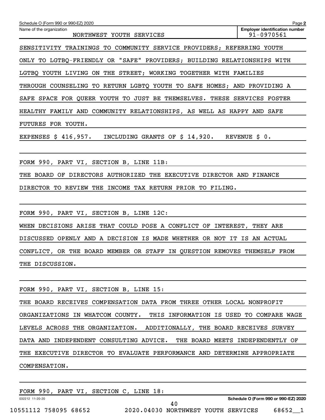| Schedule O (Form 990 or 990-EZ) 2020                                      | Page 2                                              |  |  |  |
|---------------------------------------------------------------------------|-----------------------------------------------------|--|--|--|
| Name of the organization<br>NORTHWEST YOUTH SERVICES                      | <b>Employer identification number</b><br>91-0970561 |  |  |  |
| SENSITIVITY TRAININGS TO COMMUNITY SERVICE PROVIDERS; REFERRING YOUTH     |                                                     |  |  |  |
| ONLY TO LGTBQ-FRIENDLY OR "SAFE" PROVIDERS; BUILDING RELATIONSHIPS WITH   |                                                     |  |  |  |
| LGTBQ YOUTH LIVING ON THE STREET; WORKING TOGETHER WITH FAMILIES          |                                                     |  |  |  |
| THROUGH COUNSELING TO RETURN LGBTQ YOUTH TO SAFE HOMES; AND PROVIDING A   |                                                     |  |  |  |
| SAFE SPACE FOR QUEER YOUTH TO JUST BE THEMSELVES. THESE SERVICES FOSTER   |                                                     |  |  |  |
| HEALTHY FAMILY AND COMMUNITY RELATIONSHIPS, AS WELL AS HAPPY AND SAFE     |                                                     |  |  |  |
| FUTURES FOR YOUTH.                                                        |                                                     |  |  |  |
| EXPENSES \$ 416,957. INCLUDING GRANTS OF \$ 14,920. REVENUE \$ 0.         |                                                     |  |  |  |
|                                                                           |                                                     |  |  |  |
| FORM 990, PART VI, SECTION B, LINE 11B:                                   |                                                     |  |  |  |
| THE BOARD OF DIRECTORS AUTHORIZED THE EXECUTIVE DIRECTOR AND FINANCE      |                                                     |  |  |  |
| DIRECTOR TO REVIEW THE INCOME TAX RETURN PRIOR TO FILING.                 |                                                     |  |  |  |
|                                                                           |                                                     |  |  |  |
| FORM 990, PART VI, SECTION B, LINE 12C:                                   |                                                     |  |  |  |
| WHEN DECISIONS ARISE THAT COULD POSE A CONFLICT OF INTEREST, THEY ARE     |                                                     |  |  |  |
| DISCUSSED OPENLY AND A DECISION IS MADE WHETHER OR NOT IT IS AN ACTUAL    |                                                     |  |  |  |
| CONFLICT, OR THE BOARD MEMBER OR STAFF IN QUESTION REMOVES THEMSELF FROM  |                                                     |  |  |  |
| THE DISCUSSION.                                                           |                                                     |  |  |  |
|                                                                           |                                                     |  |  |  |
| FORM 990, PART VI, SECTION B, LINE 15:                                    |                                                     |  |  |  |
| THE BOARD RECEIVES COMPENSATION DATA FROM THREE OTHER LOCAL NONPROFIT     |                                                     |  |  |  |
| ORGANIZATIONS IN WHATCOM COUNTY. THIS INFORMATION IS USED TO COMPARE WAGE |                                                     |  |  |  |
| LEVELS ACROSS THE ORGANIZATION. ADDITIONALLY, THE BOARD RECEIVES SURVEY   |                                                     |  |  |  |
| DATA AND INDEPENDENT CONSULTING ADVICE. THE BOARD MEETS INDEPENDENTLY OF  |                                                     |  |  |  |
| THE EXECUTIVE DIRECTOR TO EVALUATE PERFORMANCE AND DETERMINE APPROPRIATE  |                                                     |  |  |  |
| COMPENSATION.                                                             |                                                     |  |  |  |
|                                                                           |                                                     |  |  |  |

032212 11-20-20 **Schedule O (Form 990 or 990-EZ) 2020** FORM 990, PART VI, SECTION C, LINE 18: 10551112 758095 68652 2020.04030 NORTHWEST YOUTH SERVICES 68652\_\_1 40